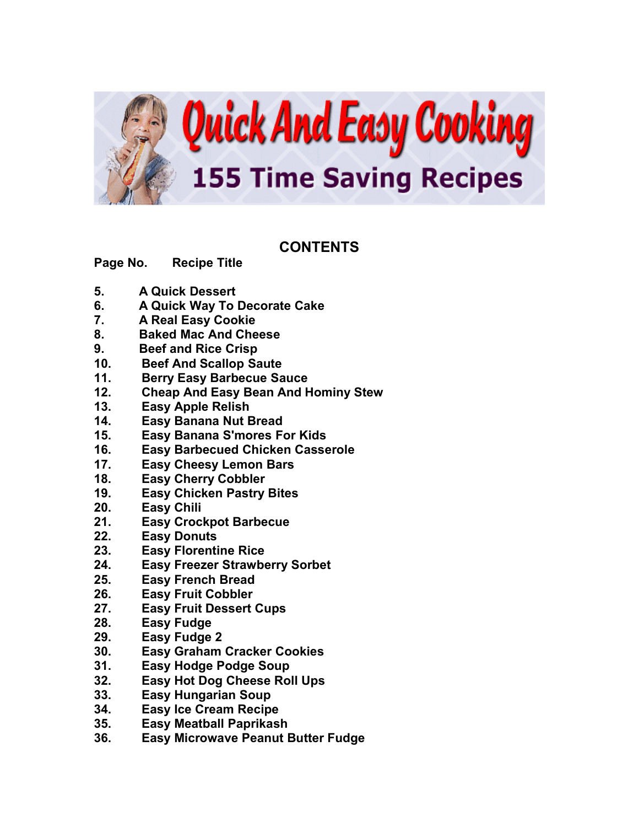

## **CONTENTS**

**Page No. Recipe Title**

- **5. A Quick Dessert**
- **6. A Quick Way To Decorate Cake**
- **7. A Real Easy Cookie**
- **8. Baked Mac And Cheese**
- **9. Beef and Rice Crisp**
- **10. Beef And Scallop Saute**
- **11. Berry Easy Barbecue Sauce**
- **12. Cheap And Easy Bean And Hominy Stew**
- **13. Easy Apple Relish**
- **14. Easy Banana Nut Bread**
- **15. Easy Banana S'mores For Kids**
- **16. Easy Barbecued Chicken Casserole**
- **17. Easy Cheesy Lemon Bars**
- **18. Easy Cherry Cobbler**
- **19. Easy Chicken Pastry Bites**
- **20. Easy Chili**
- **21. Easy Crockpot Barbecue**
- **22. Easy Donuts**
- **23. Easy Florentine Rice**
- **24. Easy Freezer Strawberry Sorbet**
- **25. Easy French Bread**
- **26. Easy Fruit Cobbler**
- **27. Easy Fruit Dessert Cups**
- **28. Easy Fudge**
- **29. Easy Fudge 2**
- **30. Easy Graham Cracker Cookies**
- **31. Easy Hodge Podge Soup**
- **32. Easy Hot Dog Cheese Roll Ups**
- **33. Easy Hungarian Soup**
- **34. Easy Ice Cream Recipe**
- **35. Easy Meatball Paprikash**
- **36. Easy Microwave Peanut Butter Fudge**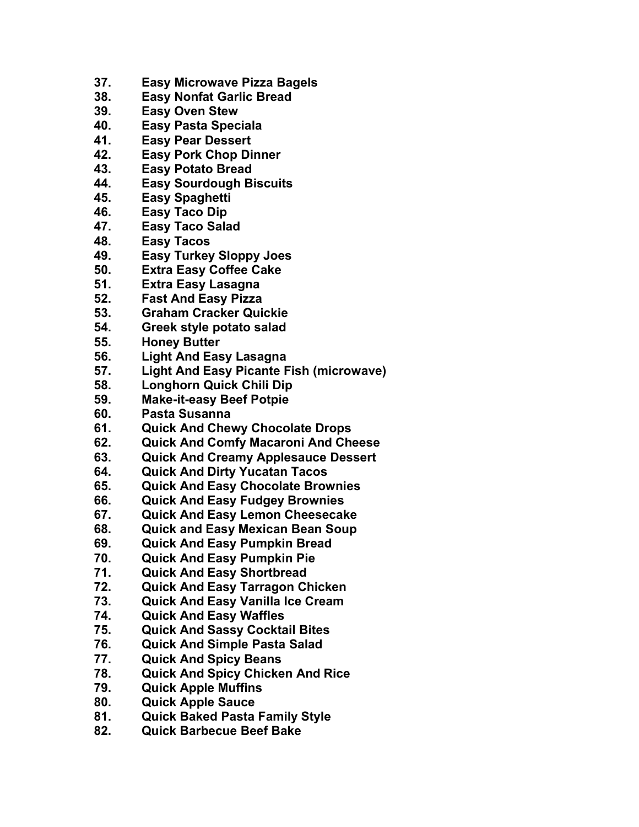- **37. Easy Microwave Pizza Bagels**
- **38. Easy Nonfat Garlic Bread**
- **39. Easy Oven Stew**
- **40. Easy Pasta Speciala**
- **41. Easy Pear Dessert**
- **42. Easy Pork Chop Dinner**
- **43. Easy Potato Bread**
- **44. Easy Sourdough Biscuits**
- **45. Easy Spaghetti**
- **46. Easy Taco Dip**
- **47. Easy Taco Salad**
- **48. Easy Tacos**
- **49. Easy Turkey Sloppy Joes**
- **50. Extra Easy Coffee Cake**
- **51. Extra Easy Lasagna**
- **52. Fast And Easy Pizza**
- **53. Graham Cracker Quickie**
- **54. Greek style potato salad**
- **55. Honey Butter**
- **56. Light And Easy Lasagna**
- **57. Light And Easy Picante Fish (microwave)**
- **58. Longhorn Quick Chili Dip**
- **59. Make-it-easy Beef Potpie**
- **60. Pasta Susanna**
- **61. Quick And Chewy Chocolate Drops**
- **62. Quick And Comfy Macaroni And Cheese**
- **63. Quick And Creamy Applesauce Dessert**
- **64. Quick And Dirty Yucatan Tacos**
- **65. Quick And Easy Chocolate Brownies**
- **66. Quick And Easy Fudgey Brownies**
- **67. Quick And Easy Lemon Cheesecake**
- **68. Quick and Easy Mexican Bean Soup**
- **69. Quick And Easy Pumpkin Bread**
- **70. Quick And Easy Pumpkin Pie**
- **71. Quick And Easy Shortbread**
- **72. Quick And Easy Tarragon Chicken**
- **73. Quick And Easy Vanilla Ice Cream**
- **74. Quick And Easy Waffles**
- **75. Quick And Sassy Cocktail Bites**
- **76. Quick And Simple Pasta Salad**
- **77. Quick And Spicy Beans**
- **78. Quick And Spicy Chicken And Rice**
- **79. Quick Apple Muffins**
- **80. Quick Apple Sauce**
- **81. Quick Baked Pasta Family Style**
- **82. Quick Barbecue Beef Bake**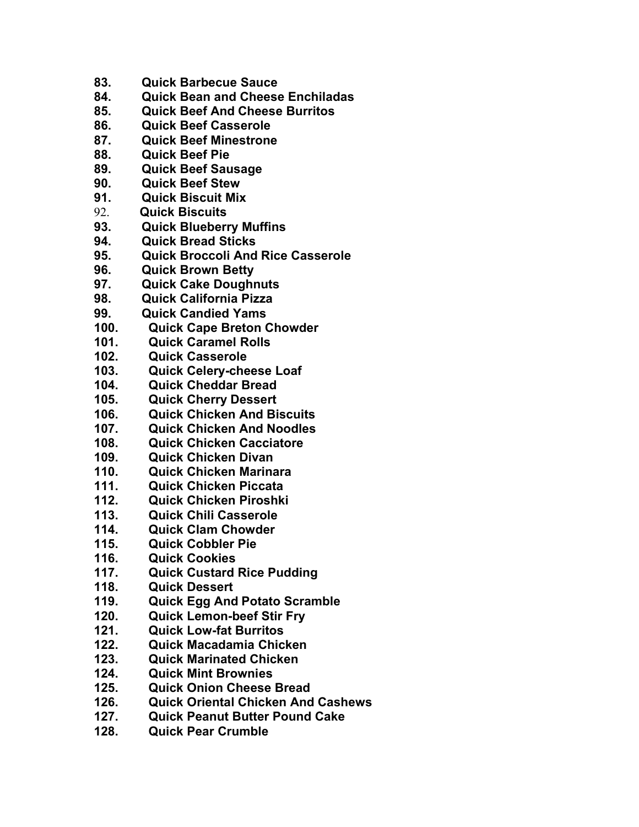- **83. Quick Barbecue Sauce**
- **84. Quick Bean and Cheese Enchiladas**
- **85. Quick Beef And Cheese Burritos**
- **86. Quick Beef Casserole**
- **87. Quick Beef Minestrone**
- **88. Quick Beef Pie**
- **89. Quick Beef Sausage**
- **90. Quick Beef Stew**
- **91. Quick Biscuit Mix**
- 92. **Quick Biscuits**
- **93. Quick Blueberry Muffins**
- **94. Quick Bread Sticks**
- **95. Quick Broccoli And Rice Casserole**
- **96. Quick Brown Betty**
- **97. Quick Cake Doughnuts**
- **98. Quick California Pizza**
- **99. Quick Candied Yams**
- **100. Quick Cape Breton Chowder**
- **101. Quick Caramel Rolls**
- **102. Quick Casserole**
- **103. Quick Celery-cheese Loaf**
- **104. Quick Cheddar Bread**
- **105. Quick Cherry Dessert**
- **106. Quick Chicken And Biscuits**
- **107. Quick Chicken And Noodles**
- **108. Quick Chicken Cacciatore**
- **109. Quick Chicken Divan**
- **110. Quick Chicken Marinara**
- **111. Quick Chicken Piccata**
- **112. Quick Chicken Piroshki**
- **113. Quick Chili Casserole**
- **114. Quick Clam Chowder**
- **115. Quick Cobbler Pie**
- **116. Quick Cookies**
- **117. Quick Custard Rice Pudding**
- **118. Quick Dessert**
- **119. Quick Egg And Potato Scramble**
- **120. Quick Lemon-beef Stir Fry**
- **121. Quick Low-fat Burritos**
- **122. Quick Macadamia Chicken**
- **123. Quick Marinated Chicken**
- **124. Quick Mint Brownies**
- **125. Quick Onion Cheese Bread**
- **126. Quick Oriental Chicken And Cashews**
- **127. Quick Peanut Butter Pound Cake**
- **128. Quick Pear Crumble**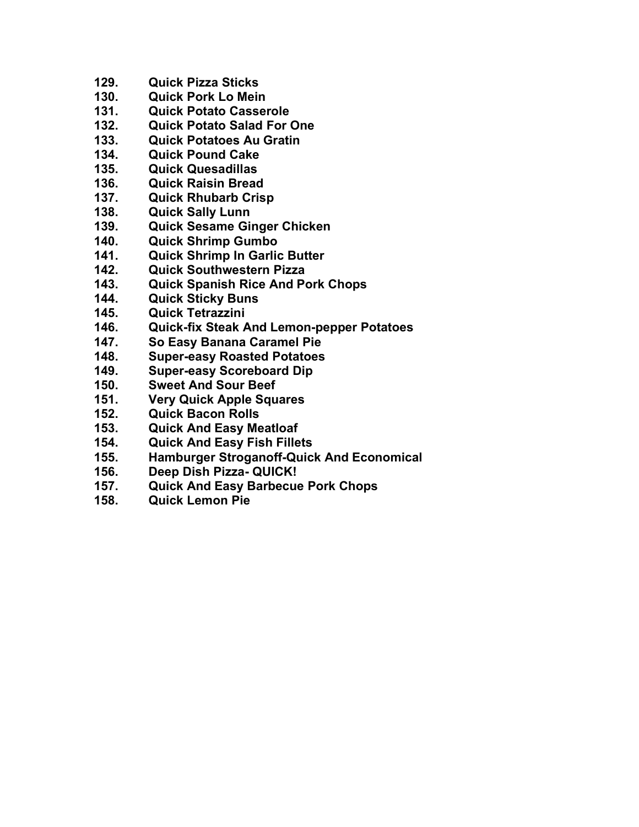- **129. Quick Pizza Sticks**
- **130. Quick Pork Lo Mein**
- **131. Quick Potato Casserole**
- **132. Quick Potato Salad For One**
- **133. Quick Potatoes Au Gratin**
- **134. Quick Pound Cake**
- **135. Quick Quesadillas**
- **136. Quick Raisin Bread**
- **137. Quick Rhubarb Crisp**
- **138. Quick Sally Lunn**
- **139. Quick Sesame Ginger Chicken**
- **140. Quick Shrimp Gumbo**
- **141. Quick Shrimp In Garlic Butter**
- **142. Quick Southwestern Pizza**
- **143. Quick Spanish Rice And Pork Chops**
- **144. Quick Sticky Buns**
- **145. Quick Tetrazzini**
- **146. Quick-fix Steak And Lemon-pepper Potatoes**
- **147. So Easy Banana Caramel Pie**
- **148. Super-easy Roasted Potatoes**
- **149. Super-easy Scoreboard Dip**
- **150. Sweet And Sour Beef**
- **151. Very Quick Apple Squares**
- **152. Quick Bacon Rolls**
- **153. Quick And Easy Meatloaf**
- **154. Quick And Easy Fish Fillets**
- **155. Hamburger Stroganoff-Quick And Economical**
- **156. Deep Dish Pizza- QUICK!**
- **157. Quick And Easy Barbecue Pork Chops**
- **158. Quick Lemon Pie**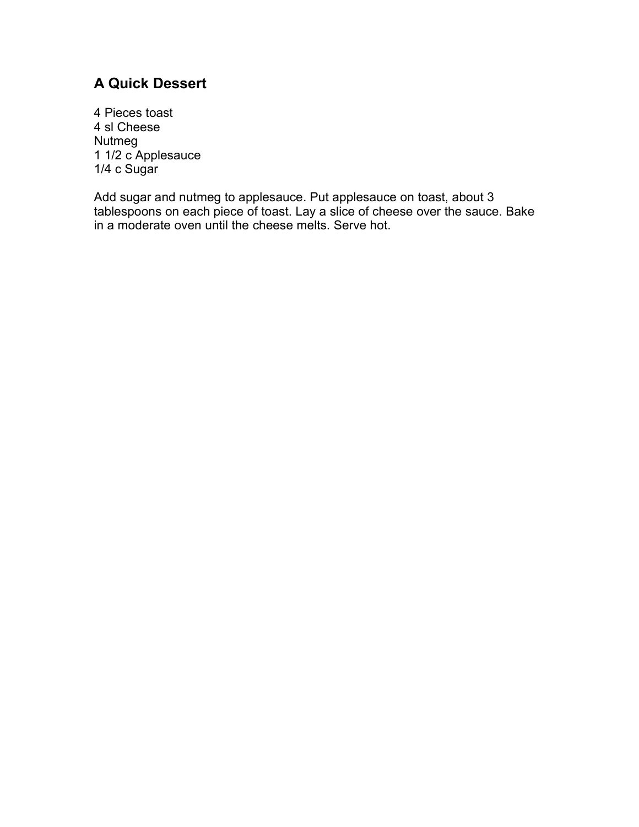## **A Quick Dessert**

4 Pieces toast 4 sl Cheese Nutmeg 1 1/2 c Applesauce 1/4 c Sugar

Add sugar and nutmeg to applesauce. Put applesauce on toast, about 3 tablespoons on each piece of toast. Lay a slice of cheese over the sauce. Bake in a moderate oven until the cheese melts. Serve hot.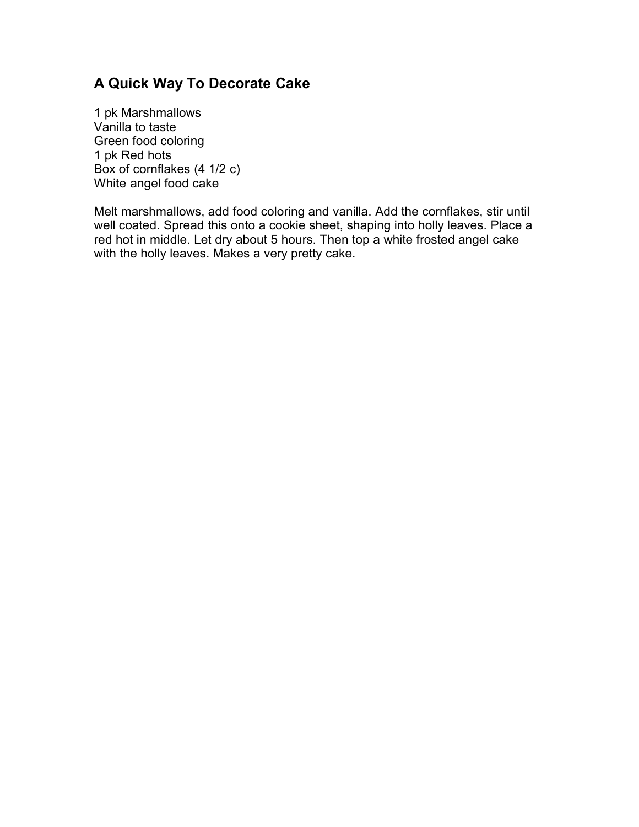## **A Quick Way To Decorate Cake**

1 pk Marshmallows Vanilla to taste Green food coloring 1 pk Red hots Box of cornflakes (4 1/2 c) White angel food cake

Melt marshmallows, add food coloring and vanilla. Add the cornflakes, stir until well coated. Spread this onto a cookie sheet, shaping into holly leaves. Place a red hot in middle. Let dry about 5 hours. Then top a white frosted angel cake with the holly leaves. Makes a very pretty cake.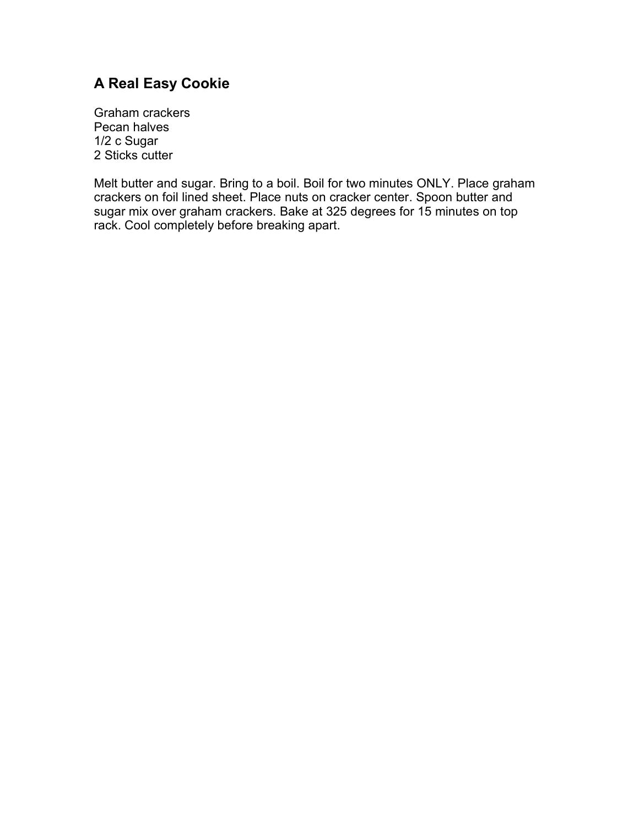# **A Real Easy Cookie**

Graham crackers Pecan halves 1/2 c Sugar 2 Sticks cutter

Melt butter and sugar. Bring to a boil. Boil for two minutes ONLY. Place graham crackers on foil lined sheet. Place nuts on cracker center. Spoon butter and sugar mix over graham crackers. Bake at 325 degrees for 15 minutes on top rack. Cool completely before breaking apart.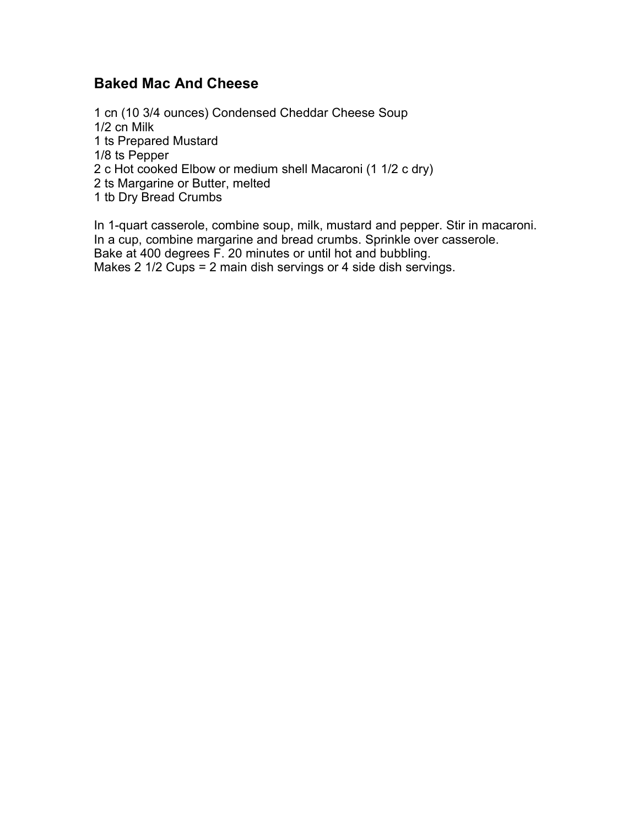## **Baked Mac And Cheese**

 cn (10 3/4 ounces) Condensed Cheddar Cheese Soup 1/2 cn Milk ts Prepared Mustard 1/8 ts Pepper c Hot cooked Elbow or medium shell Macaroni (1 1/2 c dry) ts Margarine or Butter, melted tb Dry Bread Crumbs

In 1-quart casserole, combine soup, milk, mustard and pepper. Stir in macaroni. In a cup, combine margarine and bread crumbs. Sprinkle over casserole. Bake at 400 degrees F. 20 minutes or until hot and bubbling. Makes 2 1/2 Cups = 2 main dish servings or 4 side dish servings.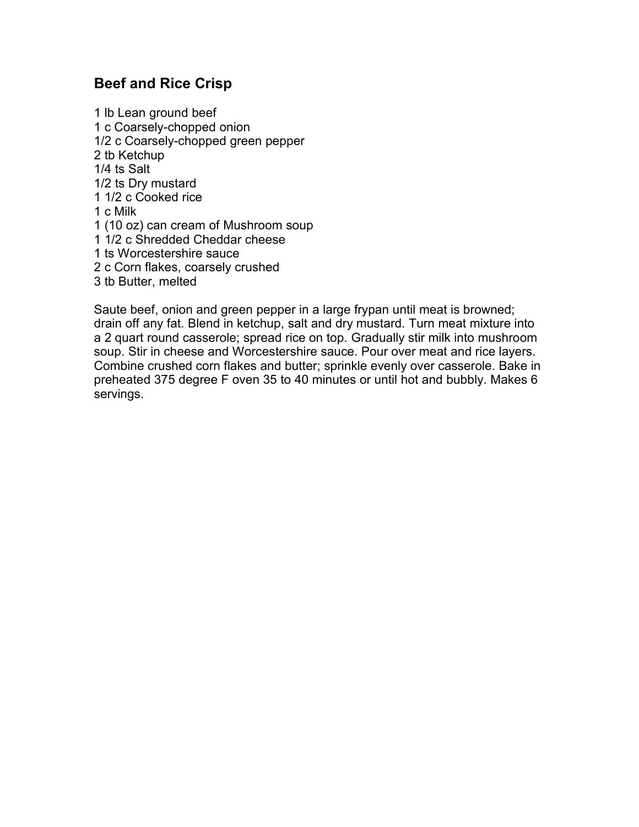#### **Beef and Rice Crisp**

 lb Lean ground beef c Coarsely-chopped onion 1/2 c Coarsely-chopped green pepper tb Ketchup 1/4 ts Salt 1/2 ts Dry mustard 1/2 c Cooked rice 1 c Milk (10 oz) can cream of Mushroom soup 1/2 c Shredded Cheddar cheese ts Worcestershire sauce c Corn flakes, coarsely crushed tb Butter, melted

Saute beef, onion and green pepper in a large frypan until meat is browned; drain off any fat. Blend in ketchup, salt and dry mustard. Turn meat mixture into a 2 quart round casserole; spread rice on top. Gradually stir milk into mushroom soup. Stir in cheese and Worcestershire sauce. Pour over meat and rice layers. Combine crushed corn flakes and butter; sprinkle evenly over casserole. Bake in preheated 375 degree F oven 35 to 40 minutes or until hot and bubbly. Makes 6 servings.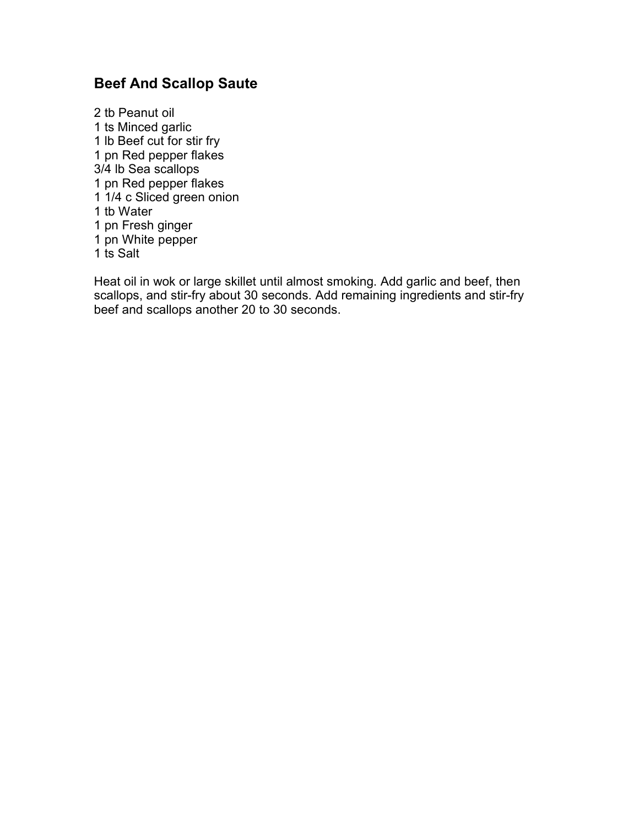## **Beef And Scallop Saute**

 tb Peanut oil ts Minced garlic lb Beef cut for stir fry pn Red pepper flakes 3/4 lb Sea scallops pn Red pepper flakes 1/4 c Sliced green onion tb Water pn Fresh ginger pn White pepper ts Salt

Heat oil in wok or large skillet until almost smoking. Add garlic and beef, then scallops, and stir-fry about 30 seconds. Add remaining ingredients and stir-fry beef and scallops another 20 to 30 seconds.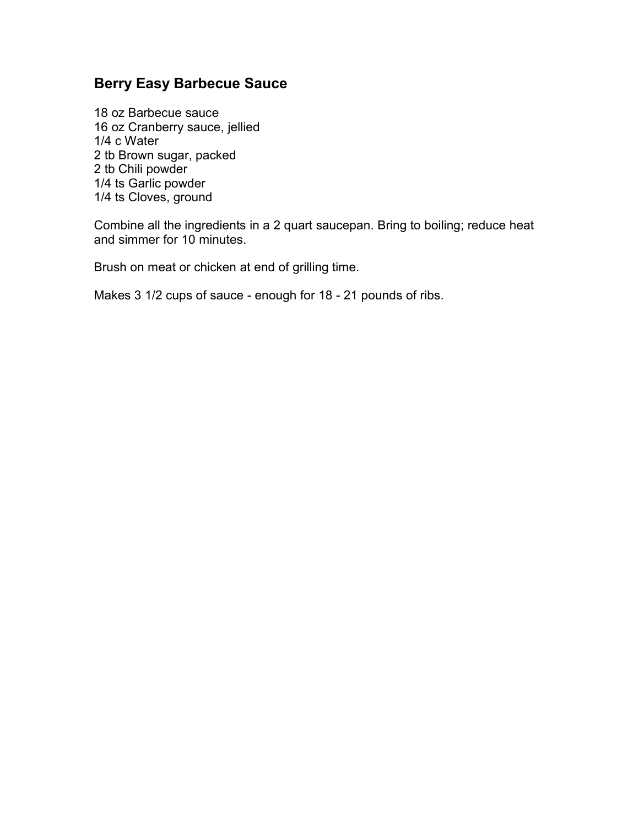## **Berry Easy Barbecue Sauce**

18 oz Barbecue sauce 16 oz Cranberry sauce, jellied 1/4 c Water 2 tb Brown sugar, packed 2 tb Chili powder 1/4 ts Garlic powder 1/4 ts Cloves, ground

Combine all the ingredients in a 2 quart saucepan. Bring to boiling; reduce heat and simmer for 10 minutes.

Brush on meat or chicken at end of grilling time.

Makes 3 1/2 cups of sauce - enough for 18 - 21 pounds of ribs.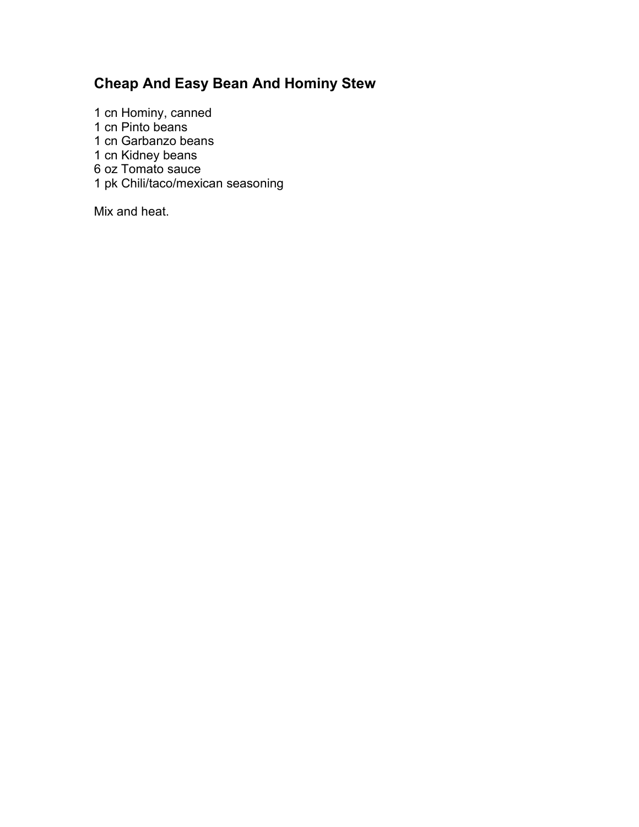# **Cheap And Easy Bean And Hominy Stew**

 cn Hominy, canned cn Pinto beans cn Garbanzo beans cn Kidney beans oz Tomato sauce pk Chili/taco/mexican seasoning

Mix and heat.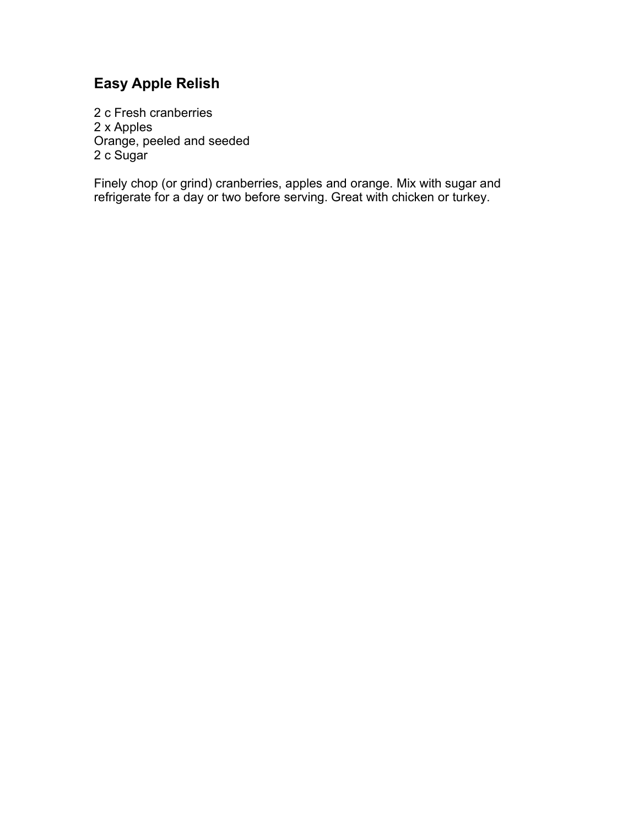# **Easy Apple Relish**

2 c Fresh cranberries 2 x Apples Orange, peeled and seeded 2 c Sugar

Finely chop (or grind) cranberries, apples and orange. Mix with sugar and refrigerate for a day or two before serving. Great with chicken or turkey.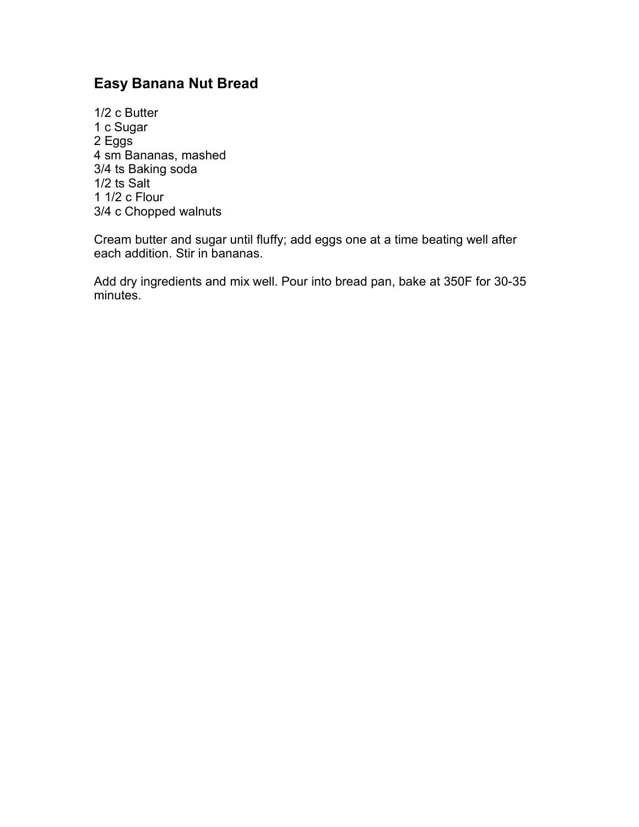# **Easy Banana Nut Bread**

1/2 c Butter 1 c Sugar 2 Eggs 4 sm Bananas, mashed 3/4 ts Baking soda 1/2 ts Salt 1 1/2 c Flour 3/4 c Chopped walnuts

Cream butter and sugar until fluffy; add eggs one at a time beating well after each addition. Stir in bananas.

Add dry ingredients and mix well. Pour into bread pan, bake at 350F for 30-35 minutes.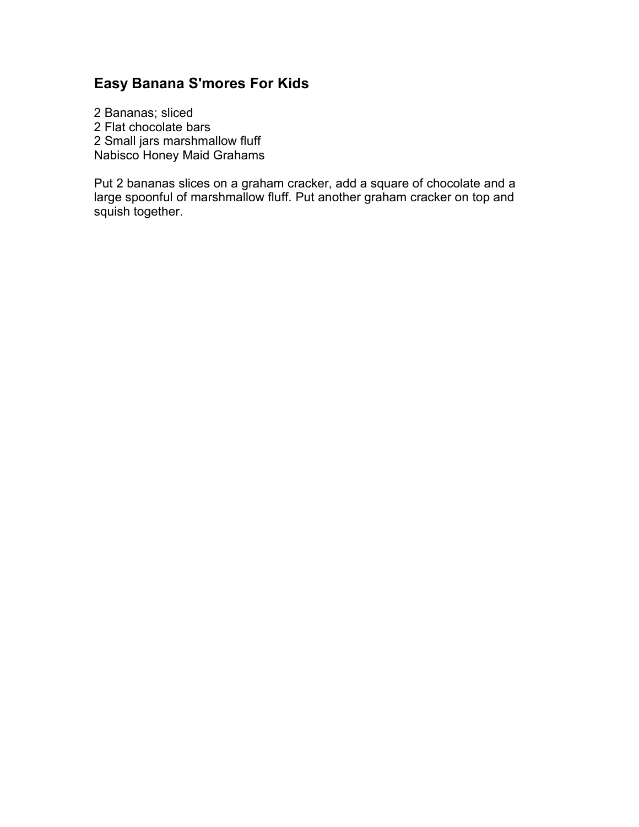# **Easy Banana S'mores For Kids**

 Bananas; sliced Flat chocolate bars Small jars marshmallow fluff Nabisco Honey Maid Grahams

Put 2 bananas slices on a graham cracker, add a square of chocolate and a large spoonful of marshmallow fluff. Put another graham cracker on top and squish together.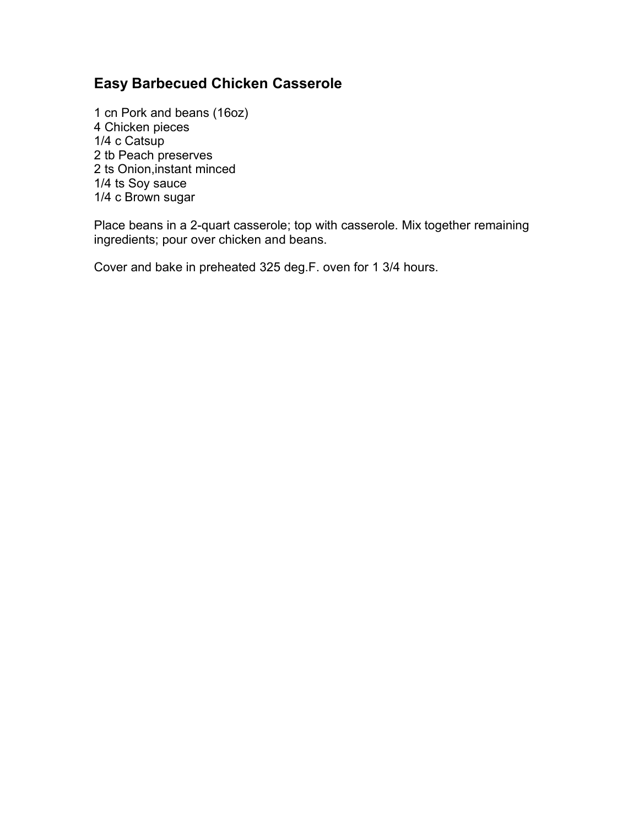# **Easy Barbecued Chicken Casserole**

1 cn Pork and beans (16oz) 4 Chicken pieces 1/4 c Catsup 2 tb Peach preserves 2 ts Onion,instant minced 1/4 ts Soy sauce 1/4 c Brown sugar

Place beans in a 2-quart casserole; top with casserole. Mix together remaining ingredients; pour over chicken and beans.

Cover and bake in preheated 325 deg.F. oven for 1 3/4 hours.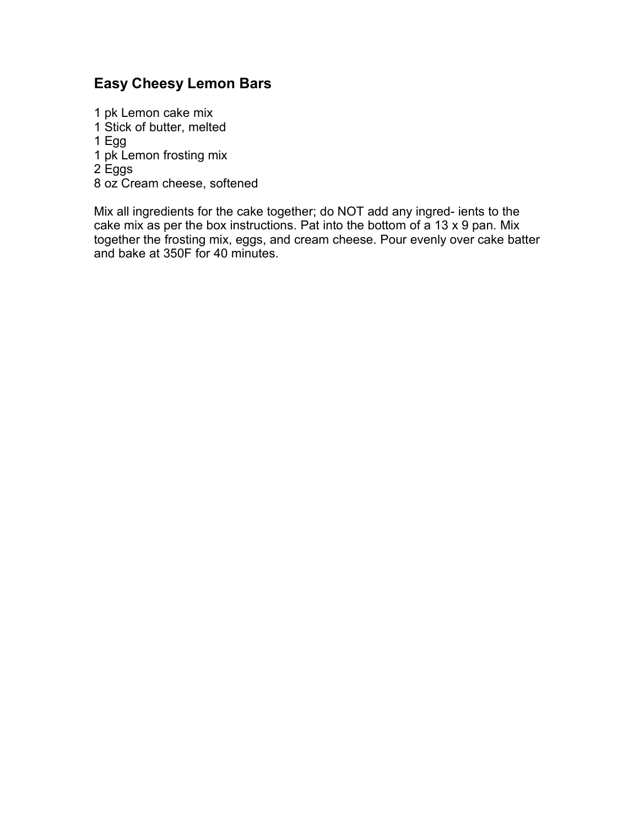## **Easy Cheesy Lemon Bars**

 pk Lemon cake mix Stick of butter, melted 1 Egg pk Lemon frosting mix 2 Eggs oz Cream cheese, softened

Mix all ingredients for the cake together; do NOT add any ingred- ients to the cake mix as per the box instructions. Pat into the bottom of a 13 x 9 pan. Mix together the frosting mix, eggs, and cream cheese. Pour evenly over cake batter and bake at 350F for 40 minutes.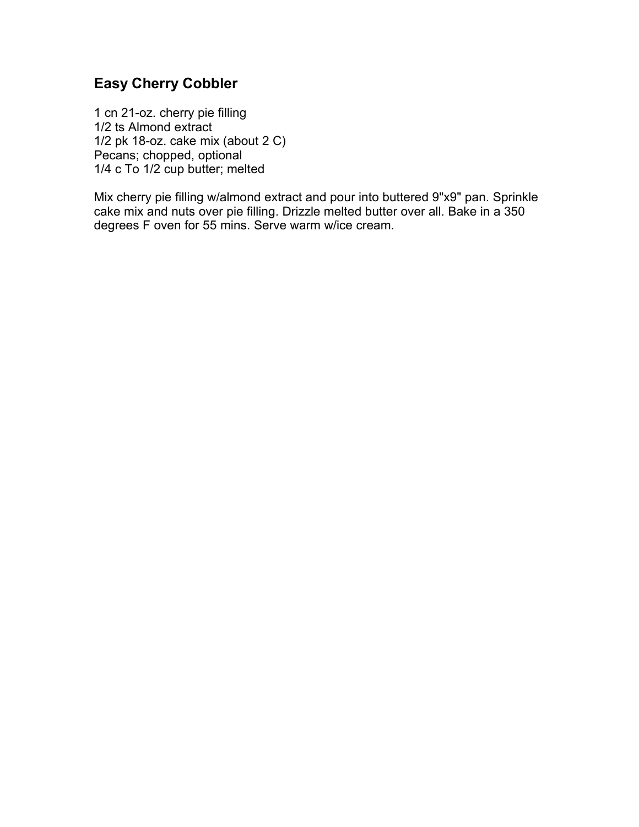## **Easy Cherry Cobbler**

1 cn 21-oz. cherry pie filling 1/2 ts Almond extract 1/2 pk 18-oz. cake mix (about 2 C) Pecans; chopped, optional 1/4 c To 1/2 cup butter; melted

Mix cherry pie filling w/almond extract and pour into buttered 9"x9" pan. Sprinkle cake mix and nuts over pie filling. Drizzle melted butter over all. Bake in a 350 degrees F oven for 55 mins. Serve warm w/ice cream.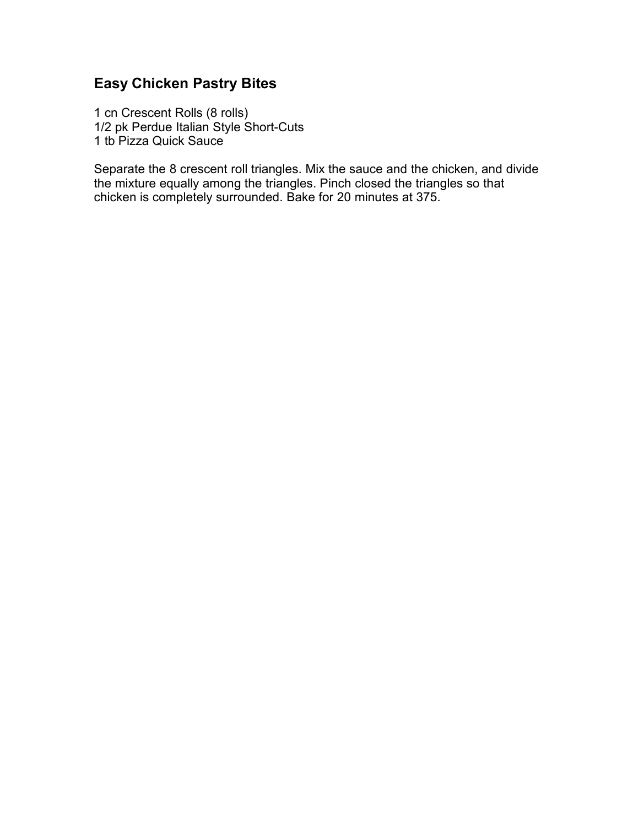# **Easy Chicken Pastry Bites**

1 cn Crescent Rolls (8 rolls) 1/2 pk Perdue Italian Style Short-Cuts 1 tb Pizza Quick Sauce

Separate the 8 crescent roll triangles. Mix the sauce and the chicken, and divide the mixture equally among the triangles. Pinch closed the triangles so that chicken is completely surrounded. Bake for 20 minutes at 375.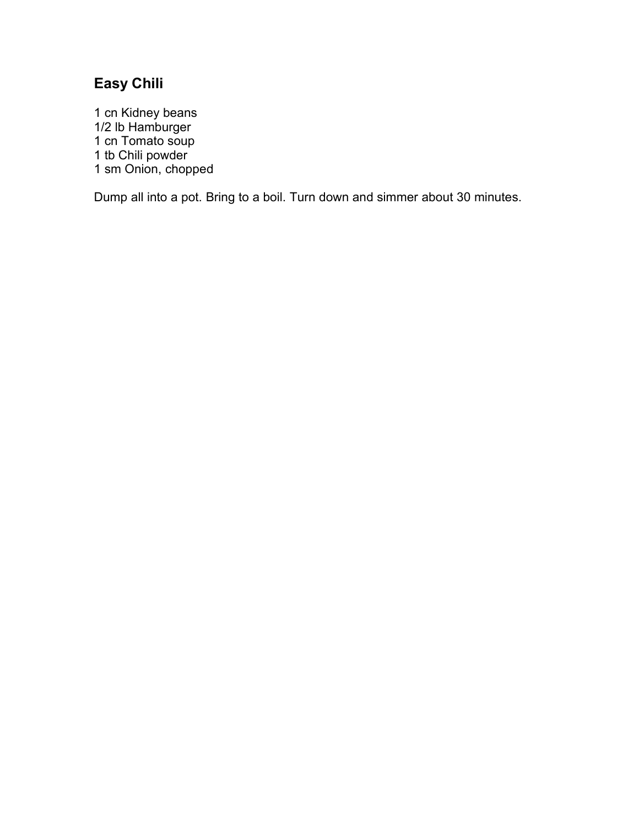# **Easy Chili**

 cn Kidney beans 1/2 lb Hamburger cn Tomato soup tb Chili powder sm Onion, chopped

Dump all into a pot. Bring to a boil. Turn down and simmer about 30 minutes.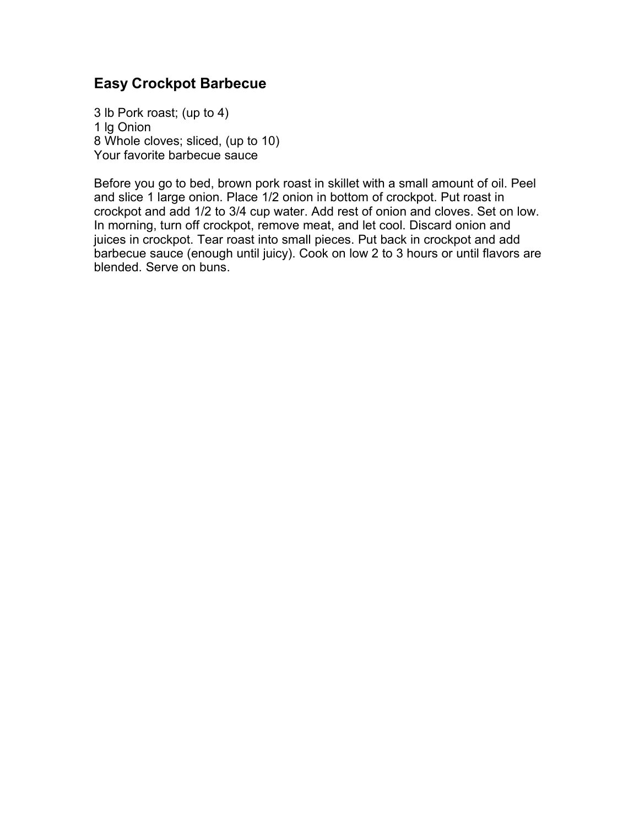#### **Easy Crockpot Barbecue**

3 lb Pork roast; (up to 4) 1 lg Onion 8 Whole cloves; sliced, (up to 10) Your favorite barbecue sauce

Before you go to bed, brown pork roast in skillet with a small amount of oil. Peel and slice 1 large onion. Place 1/2 onion in bottom of crockpot. Put roast in crockpot and add 1/2 to 3/4 cup water. Add rest of onion and cloves. Set on low. In morning, turn off crockpot, remove meat, and let cool. Discard onion and juices in crockpot. Tear roast into small pieces. Put back in crockpot and add barbecue sauce (enough until juicy). Cook on low 2 to 3 hours or until flavors are blended. Serve on buns.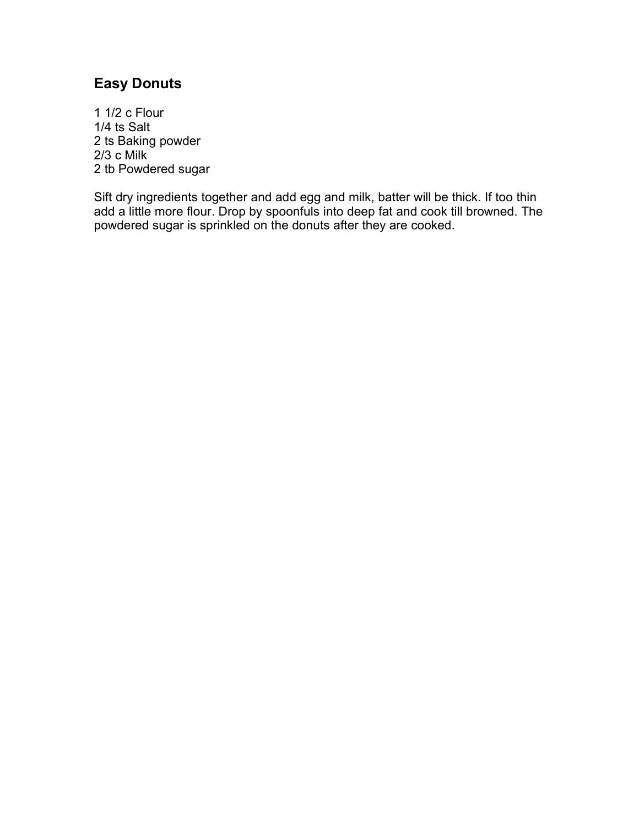# **Easy Donuts**

1 1/2 c Flour 1/4 ts Salt 2 ts Baking powder 2/3 c Milk 2 tb Powdered sugar

Sift dry ingredients together and add egg and milk, batter will be thick. If too thin add a little more flour. Drop by spoonfuls into deep fat and cook till browned. The powdered sugar is sprinkled on the donuts after they are cooked.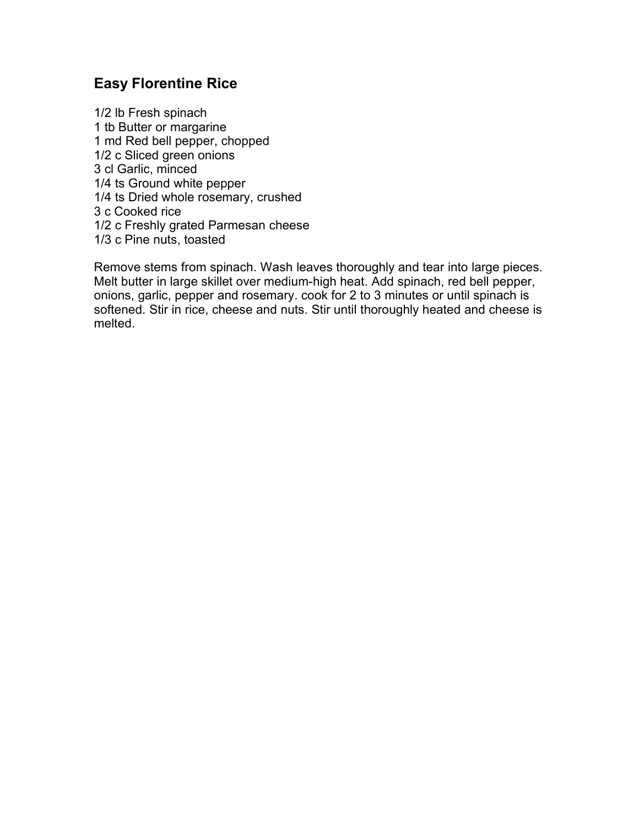#### **Easy Florentine Rice**

1/2 lb Fresh spinach 1 tb Butter or margarine 1 md Red bell pepper, chopped 1/2 c Sliced green onions 3 cl Garlic, minced 1/4 ts Ground white pepper 1/4 ts Dried whole rosemary, crushed 3 c Cooked rice 1/2 c Freshly grated Parmesan cheese 1/3 c Pine nuts, toasted

Remove stems from spinach. Wash leaves thoroughly and tear into large pieces. Melt butter in large skillet over medium-high heat. Add spinach, red bell pepper, onions, garlic, pepper and rosemary. cook for 2 to 3 minutes or until spinach is softened. Stir in rice, cheese and nuts. Stir until thoroughly heated and cheese is melted.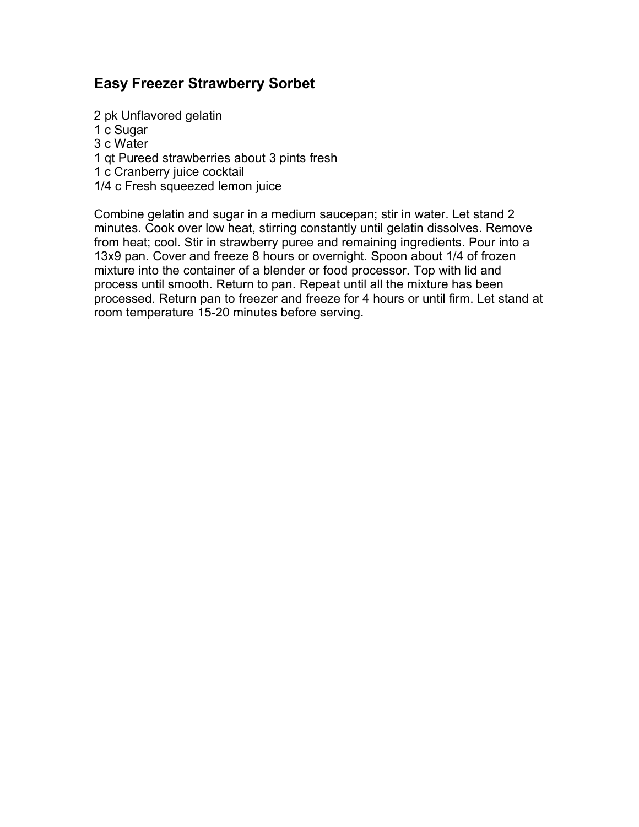#### **Easy Freezer Strawberry Sorbet**

2 pk Unflavored gelatin

- 1 c Sugar
- 3 c Water
- 1 qt Pureed strawberries about 3 pints fresh
- 1 c Cranberry juice cocktail
- 1/4 c Fresh squeezed lemon juice

Combine gelatin and sugar in a medium saucepan; stir in water. Let stand 2 minutes. Cook over low heat, stirring constantly until gelatin dissolves. Remove from heat; cool. Stir in strawberry puree and remaining ingredients. Pour into a 13x9 pan. Cover and freeze 8 hours or overnight. Spoon about 1/4 of frozen mixture into the container of a blender or food processor. Top with lid and process until smooth. Return to pan. Repeat until all the mixture has been processed. Return pan to freezer and freeze for 4 hours or until firm. Let stand at room temperature 15-20 minutes before serving.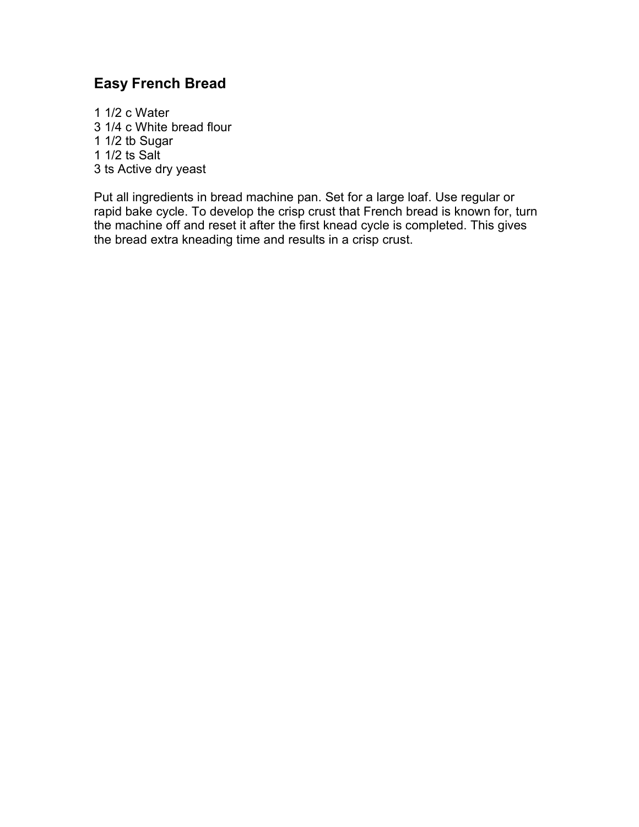# **Easy French Bread**

 1/2 c Water 1/4 c White bread flour 1/2 tb Sugar 1/2 ts Salt ts Active dry yeast

Put all ingredients in bread machine pan. Set for a large loaf. Use regular or rapid bake cycle. To develop the crisp crust that French bread is known for, turn the machine off and reset it after the first knead cycle is completed. This gives the bread extra kneading time and results in a crisp crust.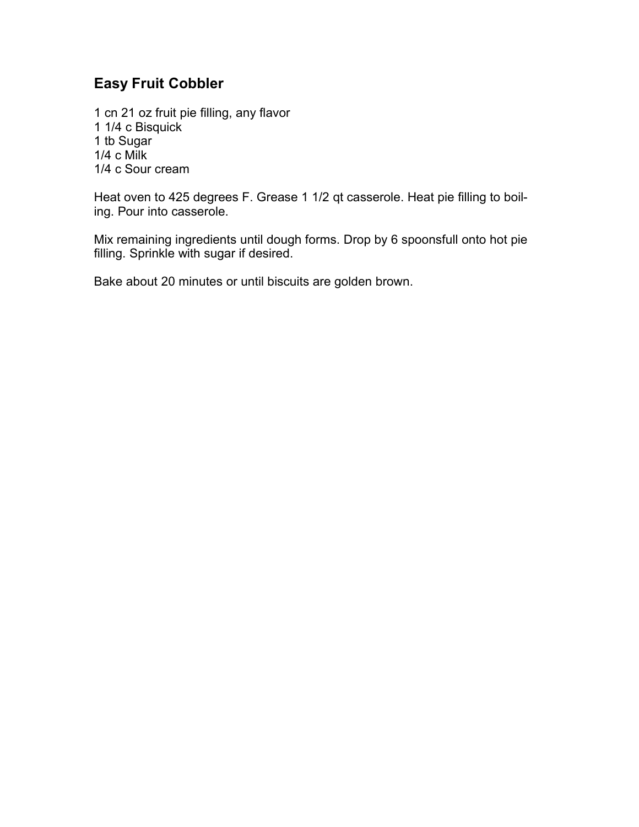## **Easy Fruit Cobbler**

1 cn 21 oz fruit pie filling, any flavor 1 1/4 c Bisquick 1 tb Sugar 1/4 c Milk 1/4 c Sour cream

Heat oven to 425 degrees F. Grease 1 1/2 qt casserole. Heat pie filling to boiling. Pour into casserole.

Mix remaining ingredients until dough forms. Drop by 6 spoonsfull onto hot pie filling. Sprinkle with sugar if desired.

Bake about 20 minutes or until biscuits are golden brown.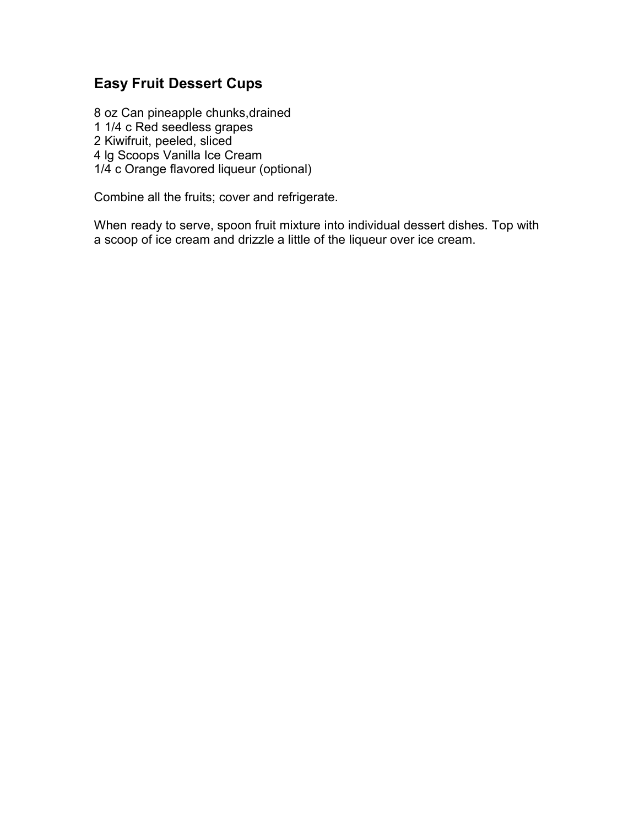# **Easy Fruit Dessert Cups**

 oz Can pineapple chunks,drained 1/4 c Red seedless grapes Kiwifruit, peeled, sliced lg Scoops Vanilla Ice Cream 1/4 c Orange flavored liqueur (optional)

Combine all the fruits; cover and refrigerate.

When ready to serve, spoon fruit mixture into individual dessert dishes. Top with a scoop of ice cream and drizzle a little of the liqueur over ice cream.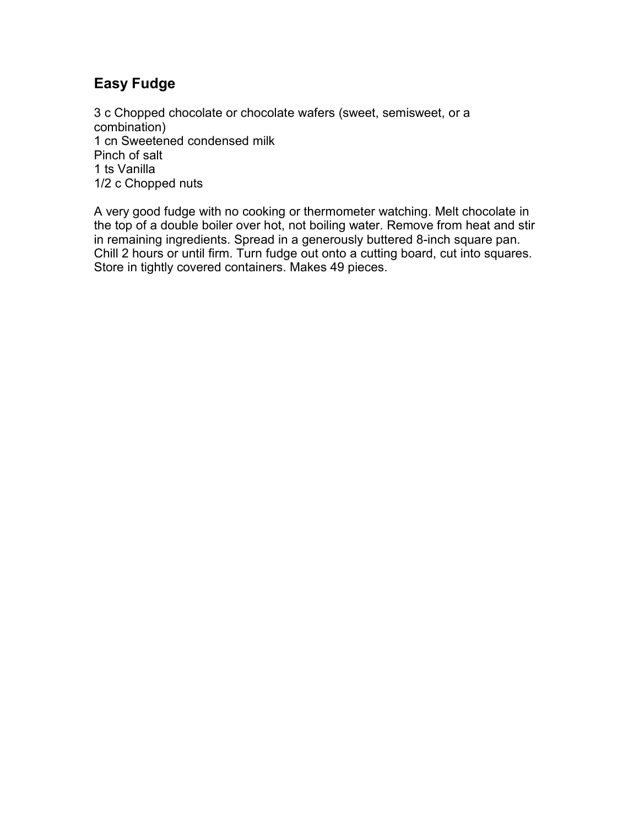## **Easy Fudge**

3 c Chopped chocolate or chocolate wafers (sweet, semisweet, or a combination) 1 cn Sweetened condensed milk Pinch of salt 1 ts Vanilla 1/2 c Chopped nuts

A very good fudge with no cooking or thermometer watching. Melt chocolate in the top of a double boiler over hot, not boiling water. Remove from heat and stir in remaining ingredients. Spread in a generously buttered 8-inch square pan. Chill 2 hours or until firm. Turn fudge out onto a cutting board, cut into squares. Store in tightly covered containers. Makes 49 pieces.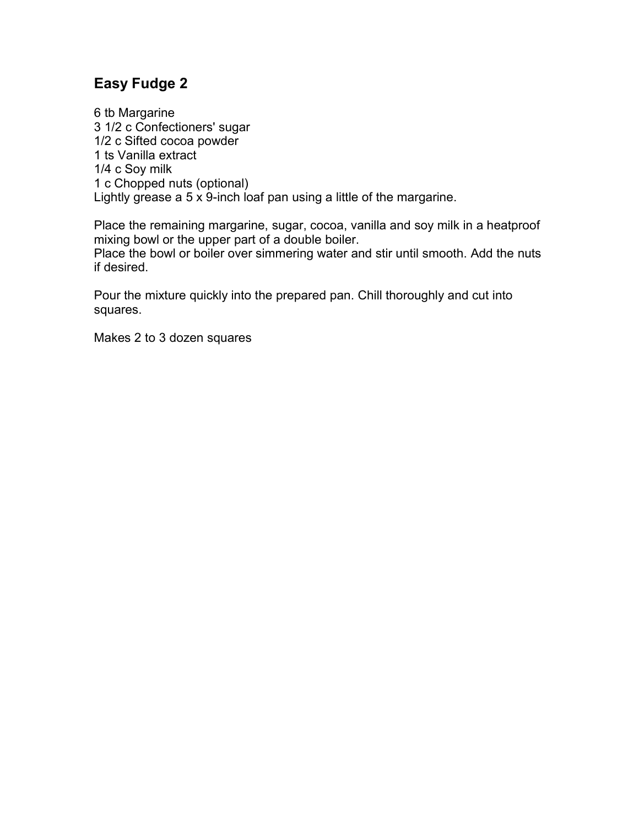#### **Easy Fudge 2**

6 tb Margarine 3 1/2 c Confectioners' sugar 1/2 c Sifted cocoa powder 1 ts Vanilla extract 1/4 c Soy milk 1 c Chopped nuts (optional) Lightly grease a  $5 \times 9$ -inch loaf pan using a little of the margarine.

Place the remaining margarine, sugar, cocoa, vanilla and soy milk in a heatproof mixing bowl or the upper part of a double boiler.

Place the bowl or boiler over simmering water and stir until smooth. Add the nuts if desired.

Pour the mixture quickly into the prepared pan. Chill thoroughly and cut into squares.

Makes 2 to 3 dozen squares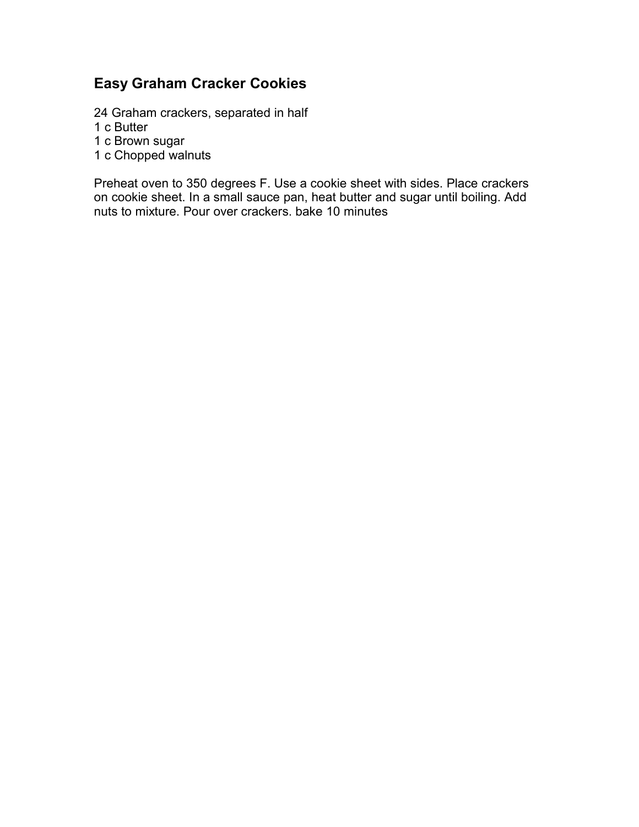# **Easy Graham Cracker Cookies**

24 Graham crackers, separated in half

1 c Butter

1 c Brown sugar

1 c Chopped walnuts

Preheat oven to 350 degrees F. Use a cookie sheet with sides. Place crackers on cookie sheet. In a small sauce pan, heat butter and sugar until boiling. Add nuts to mixture. Pour over crackers. bake 10 minutes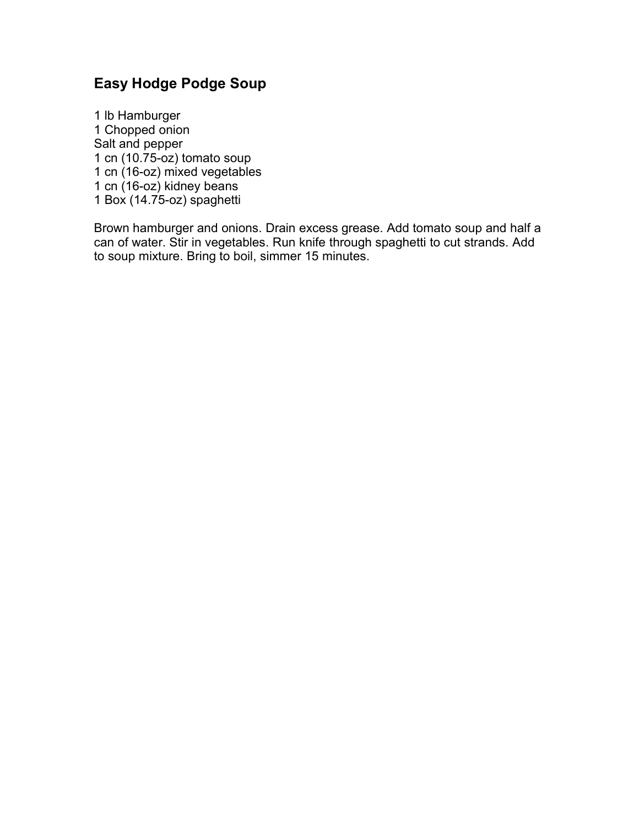## **Easy Hodge Podge Soup**

 lb Hamburger Chopped onion Salt and pepper cn (10.75-oz) tomato soup cn (16-oz) mixed vegetables cn (16-oz) kidney beans Box (14.75-oz) spaghetti

Brown hamburger and onions. Drain excess grease. Add tomato soup and half a can of water. Stir in vegetables. Run knife through spaghetti to cut strands. Add to soup mixture. Bring to boil, simmer 15 minutes.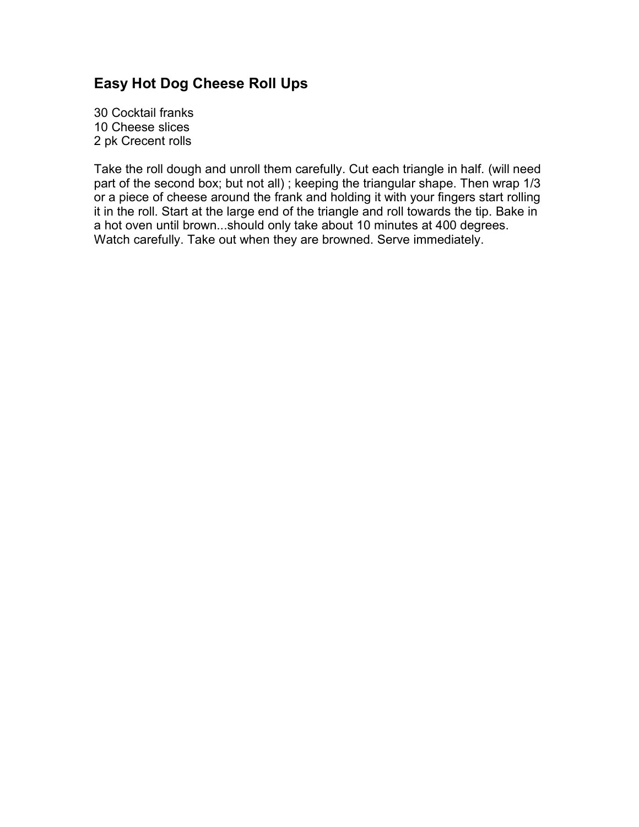## **Easy Hot Dog Cheese Roll Ups**

30 Cocktail franks 10 Cheese slices 2 pk Crecent rolls

Take the roll dough and unroll them carefully. Cut each triangle in half. (will need part of the second box; but not all) ; keeping the triangular shape. Then wrap 1/3 or a piece of cheese around the frank and holding it with your fingers start rolling it in the roll. Start at the large end of the triangle and roll towards the tip. Bake in a hot oven until brown...should only take about 10 minutes at 400 degrees. Watch carefully. Take out when they are browned. Serve immediately.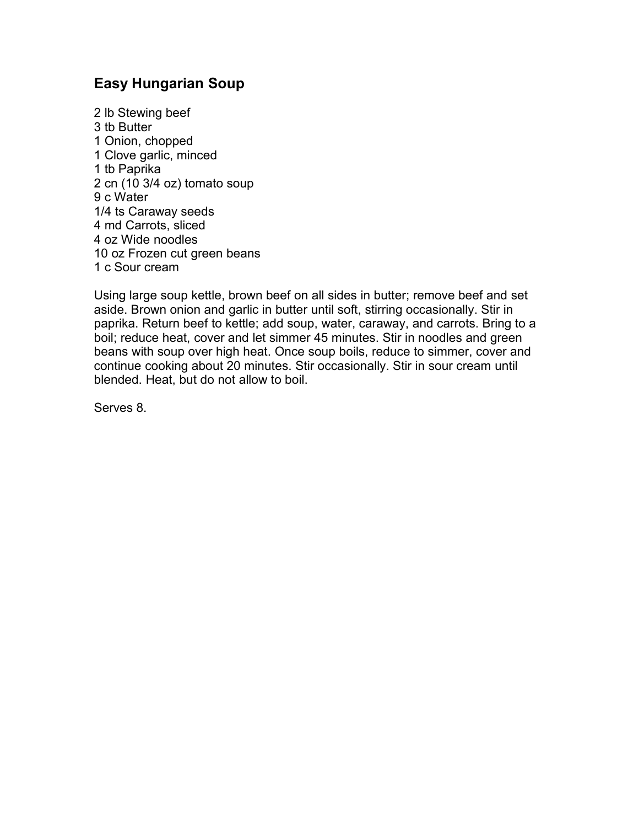#### **Easy Hungarian Soup**

 lb Stewing beef tb Butter Onion, chopped Clove garlic, minced tb Paprika cn (10 3/4 oz) tomato soup 9 c Water 1/4 ts Caraway seeds md Carrots, sliced oz Wide noodles 10 oz Frozen cut green beans c Sour cream

Using large soup kettle, brown beef on all sides in butter; remove beef and set aside. Brown onion and garlic in butter until soft, stirring occasionally. Stir in paprika. Return beef to kettle; add soup, water, caraway, and carrots. Bring to a boil; reduce heat, cover and let simmer 45 minutes. Stir in noodles and green beans with soup over high heat. Once soup boils, reduce to simmer, cover and continue cooking about 20 minutes. Stir occasionally. Stir in sour cream until blended. Heat, but do not allow to boil.

Serves 8.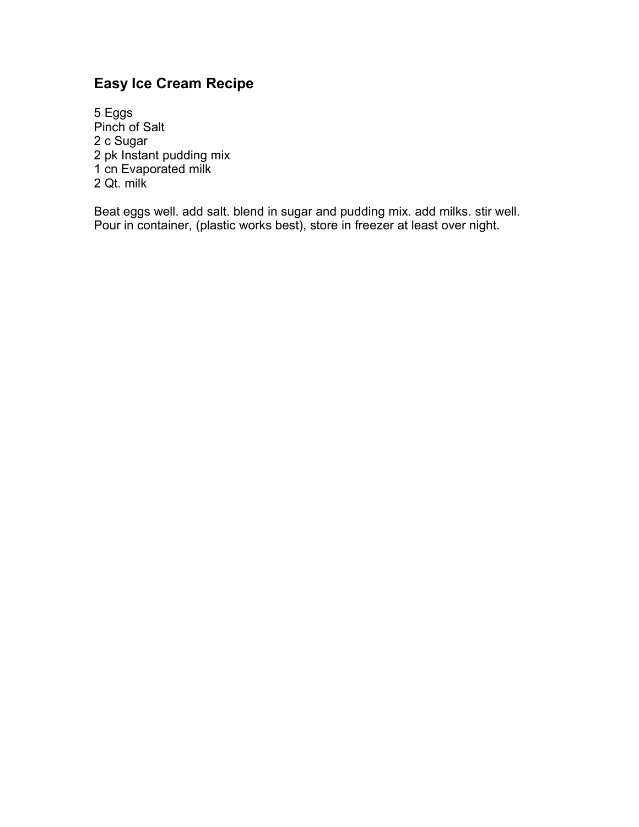# **Easy Ice Cream Recipe**

5 Eggs Pinch of Salt 2 c Sugar 2 pk Instant pudding mix 1 cn Evaporated milk 2 Qt. milk

Beat eggs well. add salt. blend in sugar and pudding mix. add milks. stir well. Pour in container, (plastic works best), store in freezer at least over night.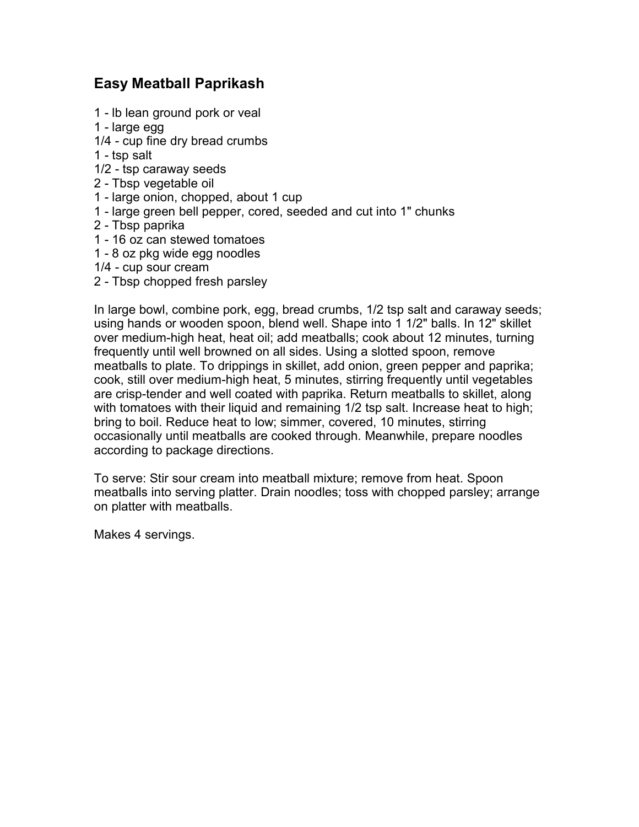#### **Easy Meatball Paprikash**

- 1 lb lean ground pork or veal
- 1 large egg
- 1/4 cup fine dry bread crumbs
- 1 tsp salt
- 1/2 tsp caraway seeds
- 2 Tbsp vegetable oil
- 1 large onion, chopped, about 1 cup
- 1 large green bell pepper, cored, seeded and cut into 1" chunks
- 2 Tbsp paprika
- 1 16 oz can stewed tomatoes
- 1 8 oz pkg wide egg noodles
- 1/4 cup sour cream
- 2 Tbsp chopped fresh parsley

In large bowl, combine pork, egg, bread crumbs, 1/2 tsp salt and caraway seeds; using hands or wooden spoon, blend well. Shape into 1 1/2" balls. In 12" skillet over medium-high heat, heat oil; add meatballs; cook about 12 minutes, turning frequently until well browned on all sides. Using a slotted spoon, remove meatballs to plate. To drippings in skillet, add onion, green pepper and paprika; cook, still over medium-high heat, 5 minutes, stirring frequently until vegetables are crisp-tender and well coated with paprika. Return meatballs to skillet, along with tomatoes with their liquid and remaining 1/2 tsp salt. Increase heat to high; bring to boil. Reduce heat to low; simmer, covered, 10 minutes, stirring occasionally until meatballs are cooked through. Meanwhile, prepare noodles according to package directions.

To serve: Stir sour cream into meatball mixture; remove from heat. Spoon meatballs into serving platter. Drain noodles; toss with chopped parsley; arrange on platter with meatballs.

Makes 4 servings.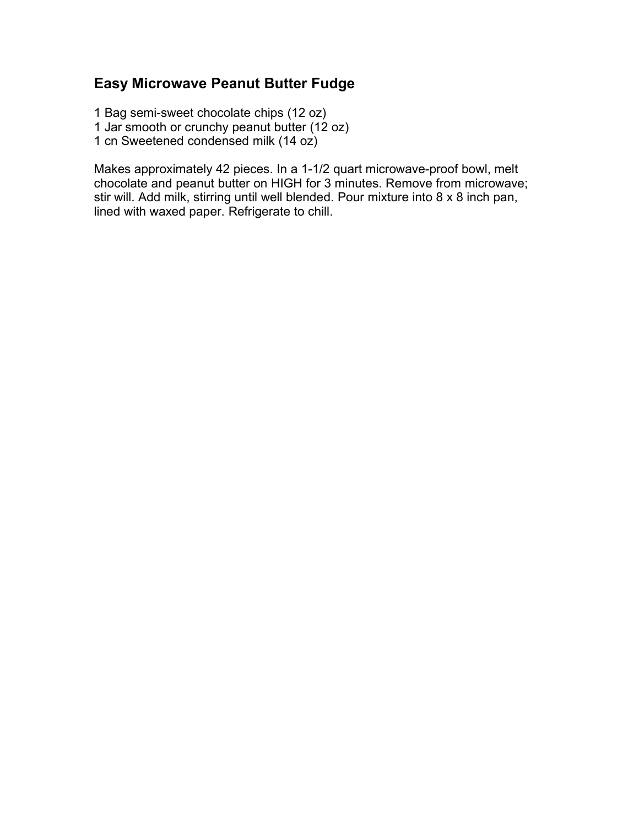## **Easy Microwave Peanut Butter Fudge**

1 Bag semi-sweet chocolate chips (12 oz)

1 Jar smooth or crunchy peanut butter (12 oz)

1 cn Sweetened condensed milk (14 oz)

Makes approximately 42 pieces. In a 1-1/2 quart microwave-proof bowl, melt chocolate and peanut butter on HIGH for 3 minutes. Remove from microwave; stir will. Add milk, stirring until well blended. Pour mixture into 8 x 8 inch pan, lined with waxed paper. Refrigerate to chill.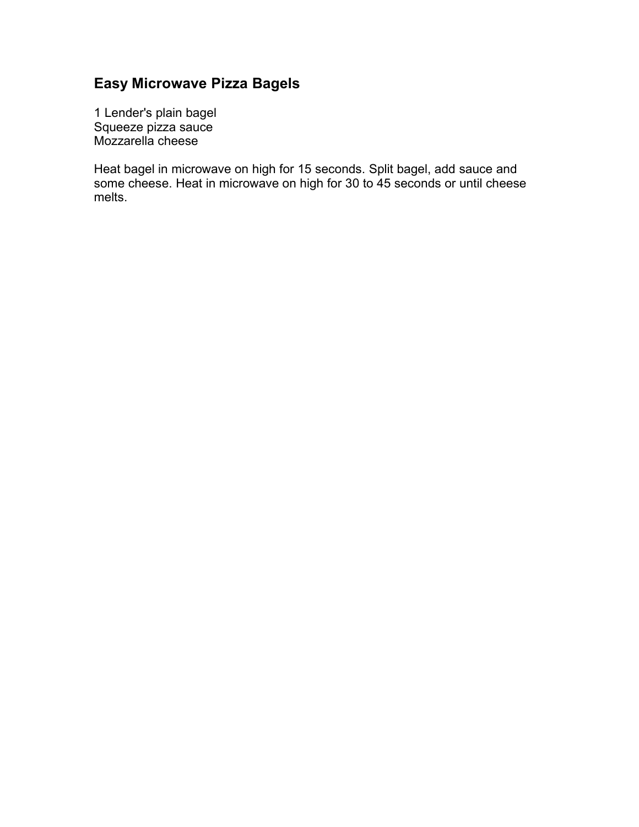# **Easy Microwave Pizza Bagels**

1 Lender's plain bagel Squeeze pizza sauce Mozzarella cheese

Heat bagel in microwave on high for 15 seconds. Split bagel, add sauce and some cheese. Heat in microwave on high for 30 to 45 seconds or until cheese melts.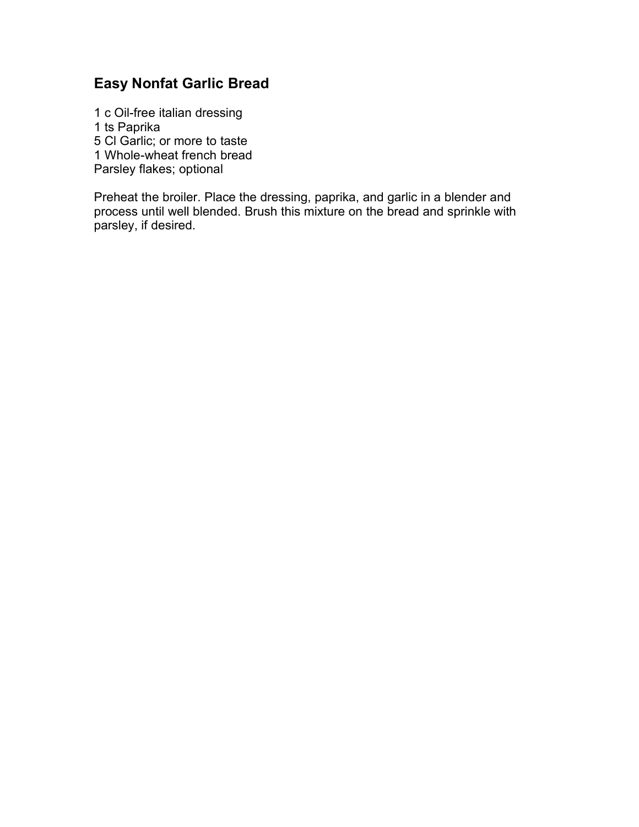## **Easy Nonfat Garlic Bread**

 c Oil-free italian dressing ts Paprika Cl Garlic; or more to taste Whole-wheat french bread Parsley flakes; optional

Preheat the broiler. Place the dressing, paprika, and garlic in a blender and process until well blended. Brush this mixture on the bread and sprinkle with parsley, if desired.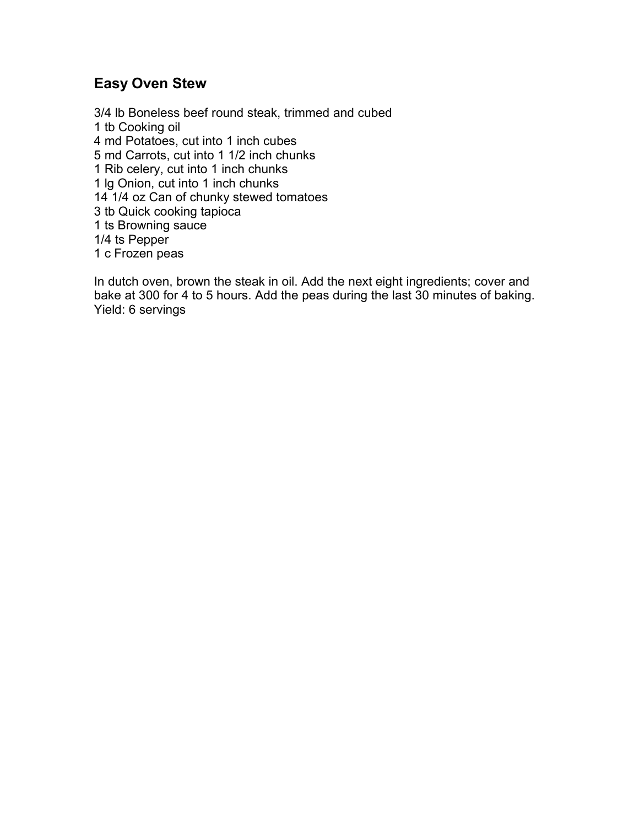#### **Easy Oven Stew**

3/4 lb Boneless beef round steak, trimmed and cubed tb Cooking oil md Potatoes, cut into 1 inch cubes md Carrots, cut into 1 1/2 inch chunks Rib celery, cut into 1 inch chunks lg Onion, cut into 1 inch chunks 14 1/4 oz Can of chunky stewed tomatoes tb Quick cooking tapioca ts Browning sauce 1/4 ts Pepper c Frozen peas

In dutch oven, brown the steak in oil. Add the next eight ingredients; cover and bake at 300 for 4 to 5 hours. Add the peas during the last 30 minutes of baking. Yield: 6 servings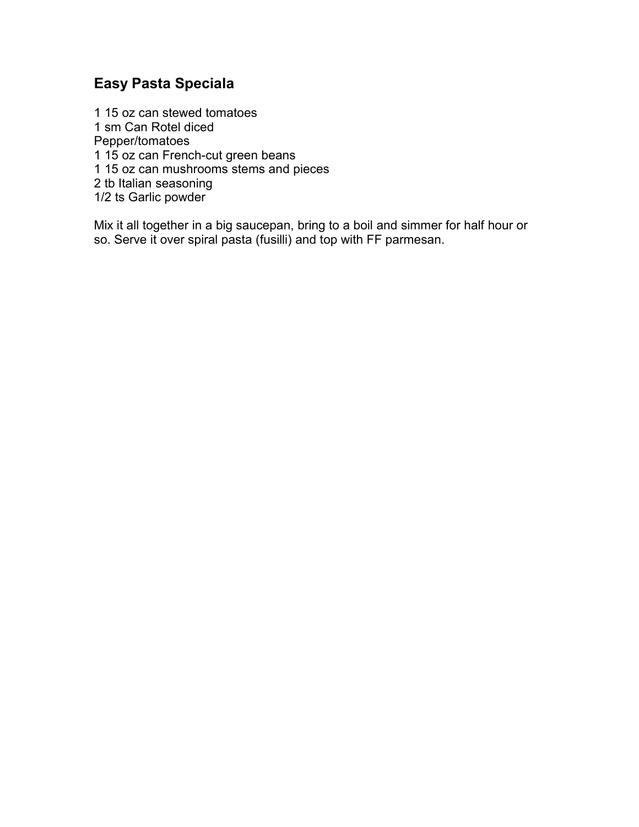## **Easy Pasta Speciala**

 15 oz can stewed tomatoes sm Can Rotel diced Pepper/tomatoes 15 oz can French-cut green beans 15 oz can mushrooms stems and pieces tb Italian seasoning 1/2 ts Garlic powder

Mix it all together in a big saucepan, bring to a boil and simmer for half hour or so. Serve it over spiral pasta (fusilli) and top with FF parmesan.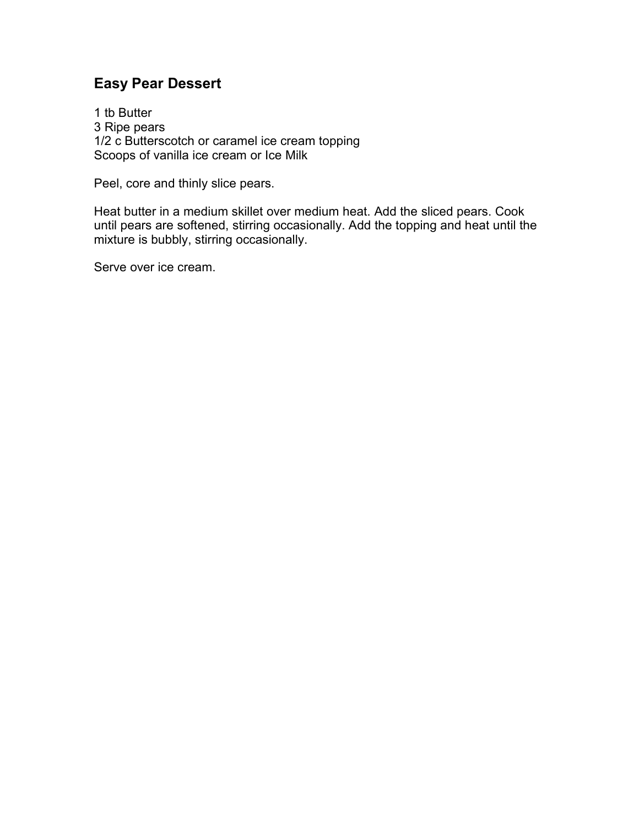# **Easy Pear Dessert**

1 tb Butter 3 Ripe pears 1/2 c Butterscotch or caramel ice cream topping Scoops of vanilla ice cream or Ice Milk

Peel, core and thinly slice pears.

Heat butter in a medium skillet over medium heat. Add the sliced pears. Cook until pears are softened, stirring occasionally. Add the topping and heat until the mixture is bubbly, stirring occasionally.

Serve over ice cream.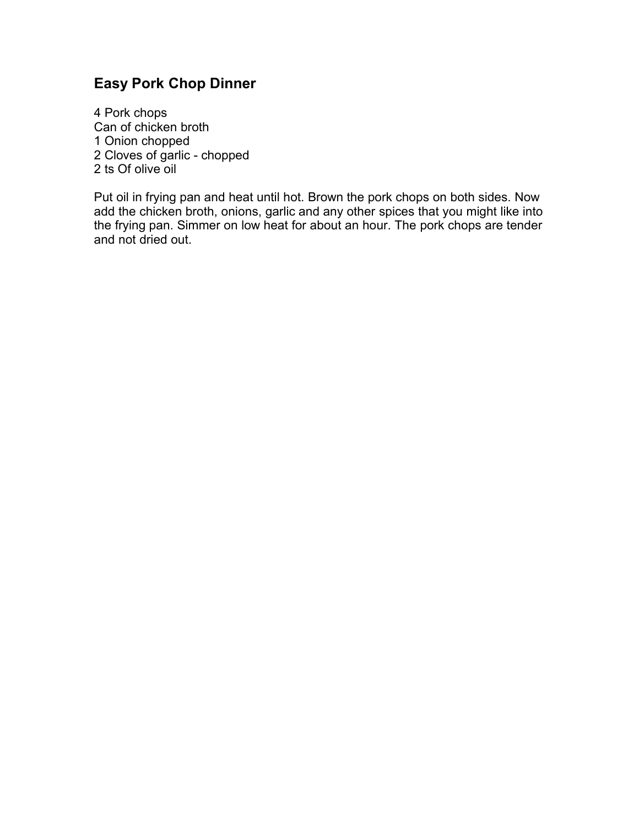## **Easy Pork Chop Dinner**

 Pork chops Can of chicken broth Onion chopped Cloves of garlic - chopped ts Of olive oil

Put oil in frying pan and heat until hot. Brown the pork chops on both sides. Now add the chicken broth, onions, garlic and any other spices that you might like into the frying pan. Simmer on low heat for about an hour. The pork chops are tender and not dried out.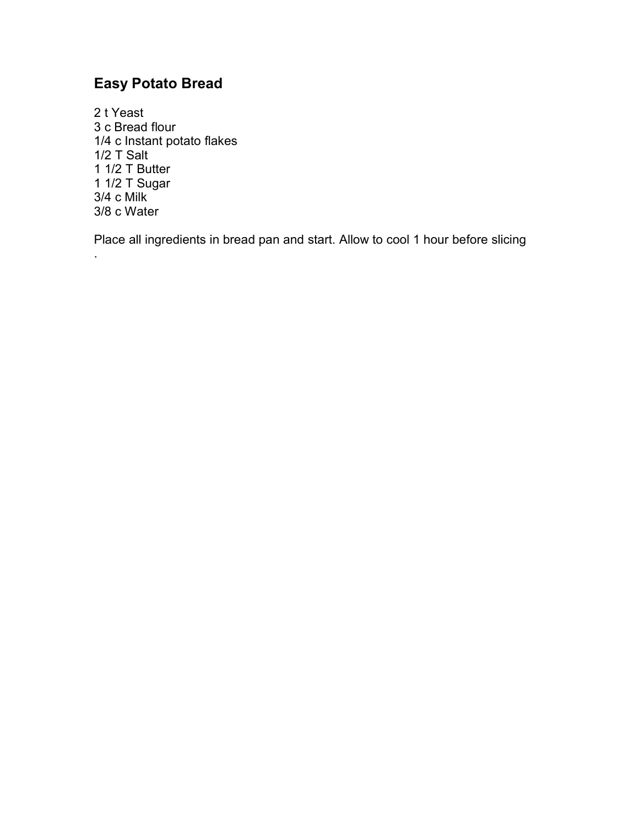# **Easy Potato Bread**

2 t Yeast 3 c Bread flour 1/4 c Instant potato flakes 1/2 T Salt 1 1/2 T Butter 1 1/2 T Sugar 3/4 c Milk 3/8 c Water

.

Place all ingredients in bread pan and start. Allow to cool 1 hour before slicing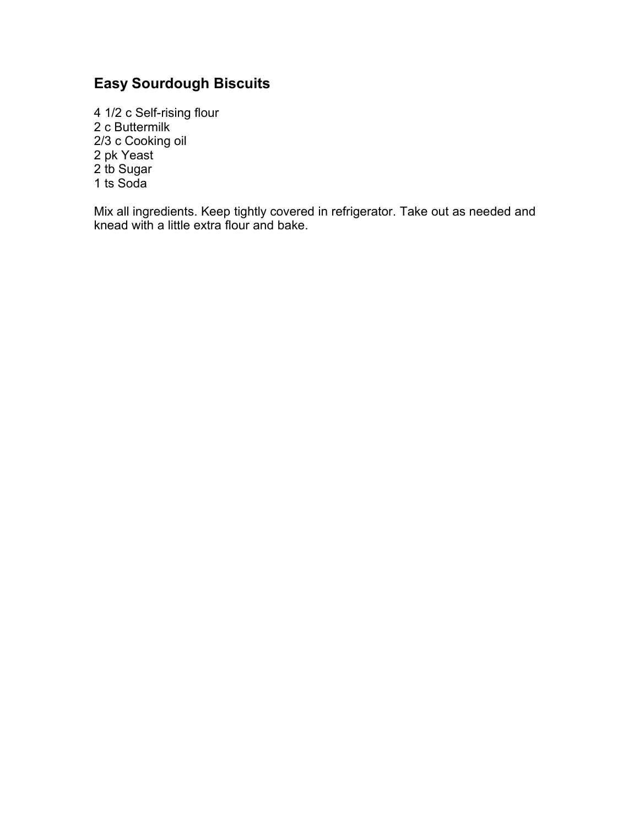# **Easy Sourdough Biscuits**

4 1/2 c Self-rising flour 2 c Buttermilk 2/3 c Cooking oil 2 pk Yeast 2 tb Sugar 1 ts Soda

Mix all ingredients. Keep tightly covered in refrigerator. Take out as needed and knead with a little extra flour and bake.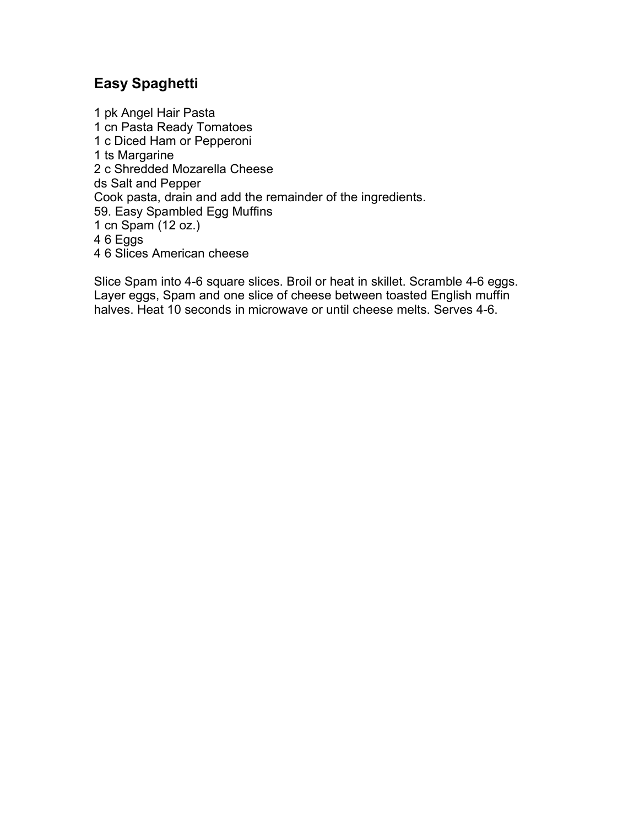#### **Easy Spaghetti**

 pk Angel Hair Pasta cn Pasta Ready Tomatoes c Diced Ham or Pepperoni ts Margarine c Shredded Mozarella Cheese ds Salt and Pepper Cook pasta, drain and add the remainder of the ingredients. 59. Easy Spambled Egg Muffins cn Spam (12 oz.) 4 6 Eggs 6 Slices American cheese

Slice Spam into 4-6 square slices. Broil or heat in skillet. Scramble 4-6 eggs. Layer eggs, Spam and one slice of cheese between toasted English muffin halves. Heat 10 seconds in microwave or until cheese melts. Serves 4-6.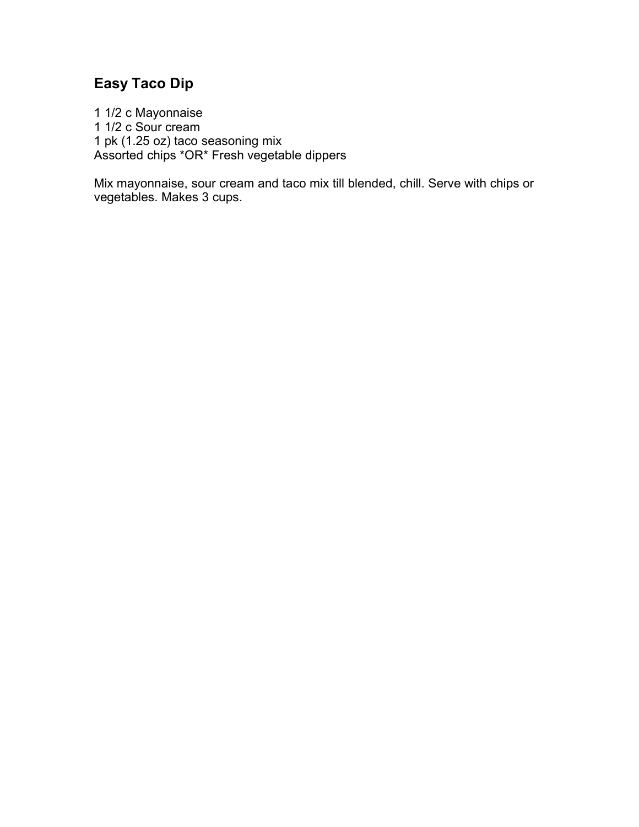# **Easy Taco Dip**

 1/2 c Mayonnaise 1/2 c Sour cream pk (1.25 oz) taco seasoning mix Assorted chips \*OR\* Fresh vegetable dippers

Mix mayonnaise, sour cream and taco mix till blended, chill. Serve with chips or vegetables. Makes 3 cups.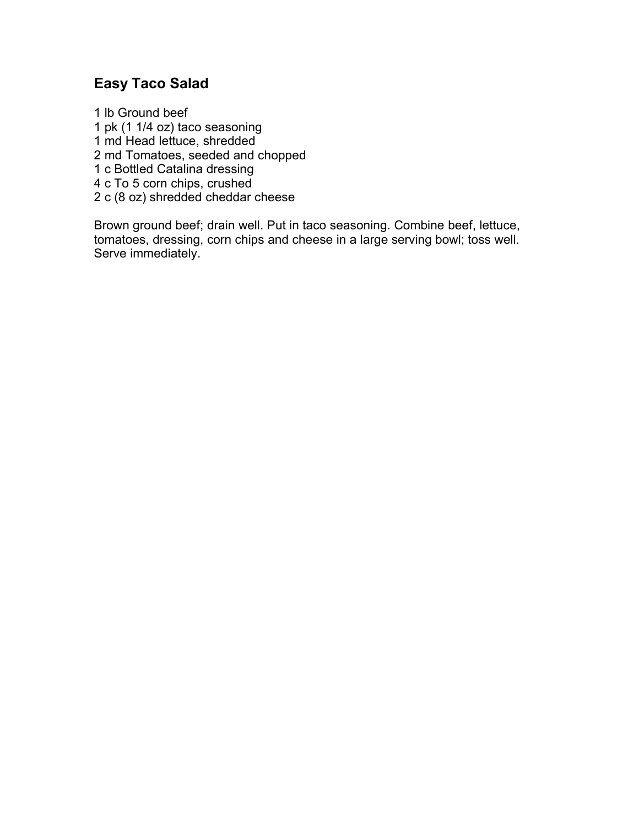## **Easy Taco Salad**

 lb Ground beef pk (1 1/4 oz) taco seasoning md Head lettuce, shredded md Tomatoes, seeded and chopped c Bottled Catalina dressing c To 5 corn chips, crushed c (8 oz) shredded cheddar cheese

Brown ground beef; drain well. Put in taco seasoning. Combine beef, lettuce, tomatoes, dressing, corn chips and cheese in a large serving bowl; toss well. Serve immediately.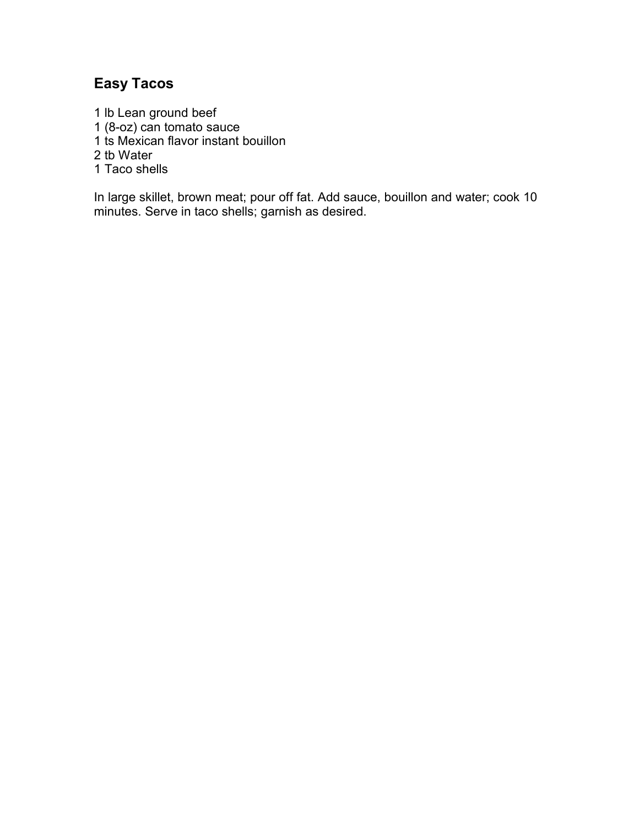# **Easy Tacos**

 lb Lean ground beef (8-oz) can tomato sauce ts Mexican flavor instant bouillon tb Water Taco shells

In large skillet, brown meat; pour off fat. Add sauce, bouillon and water; cook 10 minutes. Serve in taco shells; garnish as desired.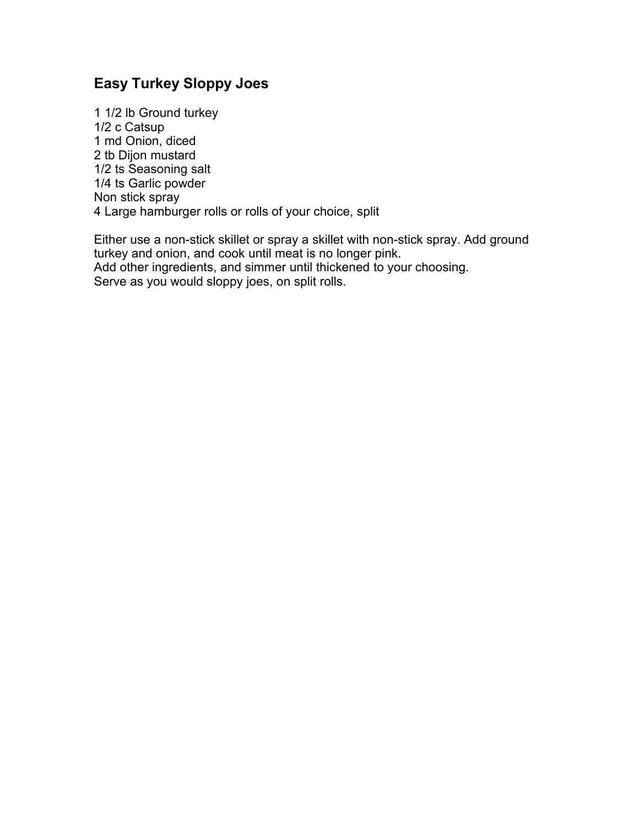## **Easy Turkey Sloppy Joes**

1 1/2 lb Ground turkey 1/2 c Catsup 1 md Onion, diced 2 tb Dijon mustard 1/2 ts Seasoning salt 1/4 ts Garlic powder Non stick spray 4 Large hamburger rolls or rolls of your choice, split

Either use a non-stick skillet or spray a skillet with non-stick spray. Add ground turkey and onion, and cook until meat is no longer pink. Add other ingredients, and simmer until thickened to your choosing. Serve as you would sloppy joes, on split rolls.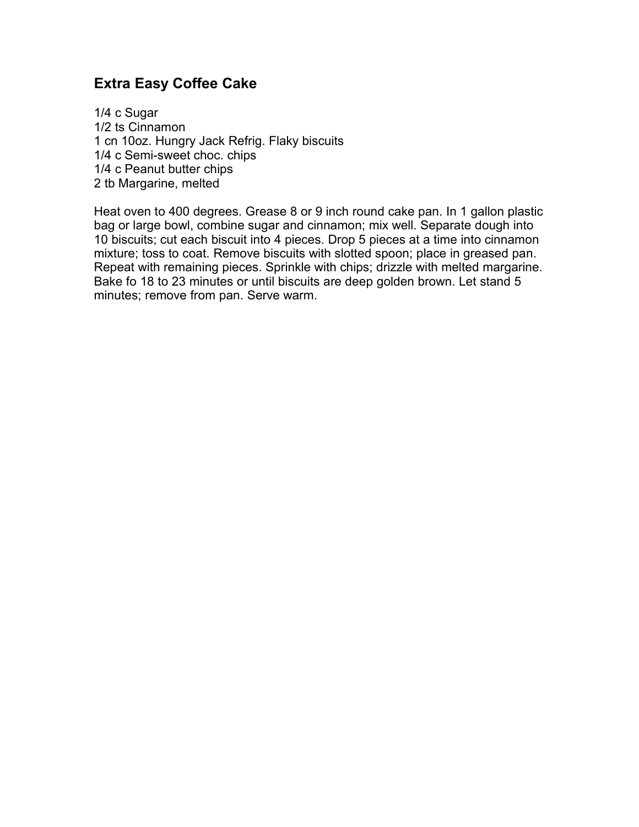#### **Extra Easy Coffee Cake**

1/4 c Sugar 1/2 ts Cinnamon 1 cn 10oz. Hungry Jack Refrig. Flaky biscuits 1/4 c Semi-sweet choc. chips 1/4 c Peanut butter chips 2 tb Margarine, melted

Heat oven to 400 degrees. Grease 8 or 9 inch round cake pan. In 1 gallon plastic bag or large bowl, combine sugar and cinnamon; mix well. Separate dough into 10 biscuits; cut each biscuit into 4 pieces. Drop 5 pieces at a time into cinnamon mixture; toss to coat. Remove biscuits with slotted spoon; place in greased pan. Repeat with remaining pieces. Sprinkle with chips; drizzle with melted margarine. Bake fo 18 to 23 minutes or until biscuits are deep golden brown. Let stand 5 minutes; remove from pan. Serve warm.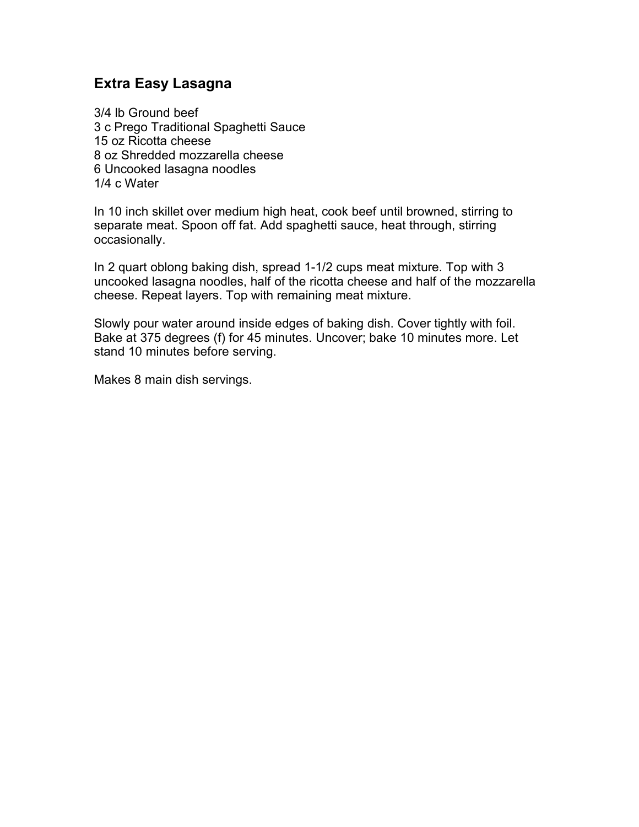#### **Extra Easy Lasagna**

3/4 lb Ground beef 3 c Prego Traditional Spaghetti Sauce 15 oz Ricotta cheese 8 oz Shredded mozzarella cheese 6 Uncooked lasagna noodles 1/4 c Water

In 10 inch skillet over medium high heat, cook beef until browned, stirring to separate meat. Spoon off fat. Add spaghetti sauce, heat through, stirring occasionally.

In 2 quart oblong baking dish, spread 1-1/2 cups meat mixture. Top with 3 uncooked lasagna noodles, half of the ricotta cheese and half of the mozzarella cheese. Repeat layers. Top with remaining meat mixture.

Slowly pour water around inside edges of baking dish. Cover tightly with foil. Bake at 375 degrees (f) for 45 minutes. Uncover; bake 10 minutes more. Let stand 10 minutes before serving.

Makes 8 main dish servings.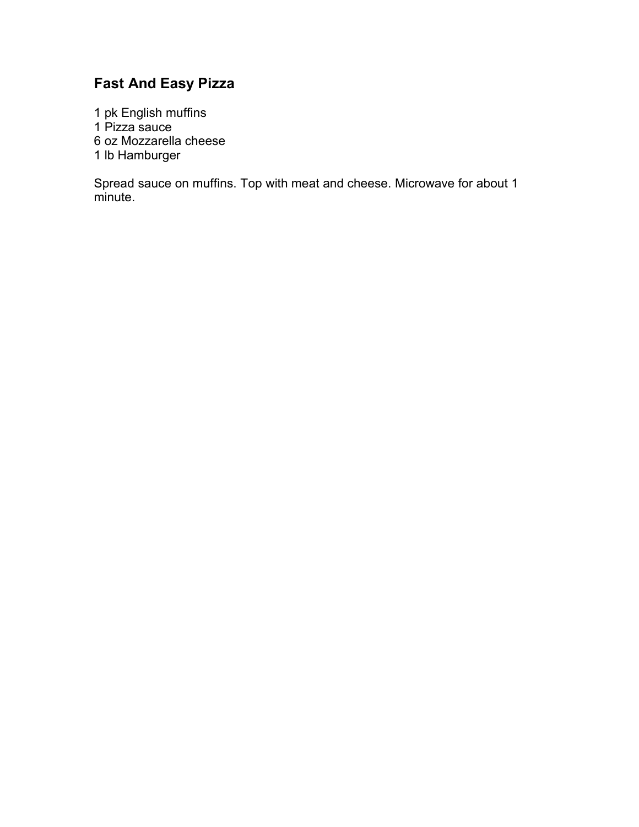# **Fast And Easy Pizza**

 pk English muffins Pizza sauce oz Mozzarella cheese lb Hamburger

Spread sauce on muffins. Top with meat and cheese. Microwave for about 1 minute.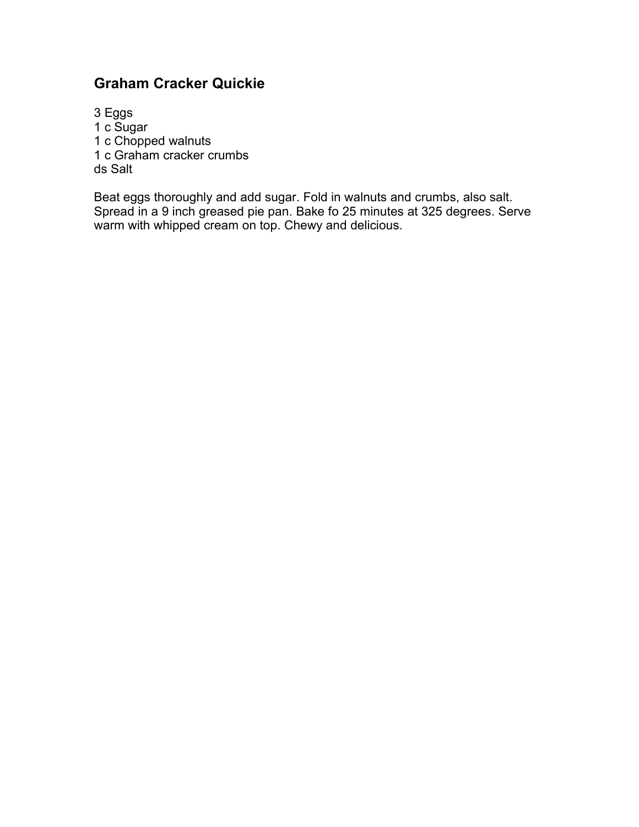## **Graham Cracker Quickie**

3 Eggs 1 c Sugar 1 c Chopped walnuts 1 c Graham cracker crumbs ds Salt

Beat eggs thoroughly and add sugar. Fold in walnuts and crumbs, also salt. Spread in a 9 inch greased pie pan. Bake fo 25 minutes at 325 degrees. Serve warm with whipped cream on top. Chewy and delicious.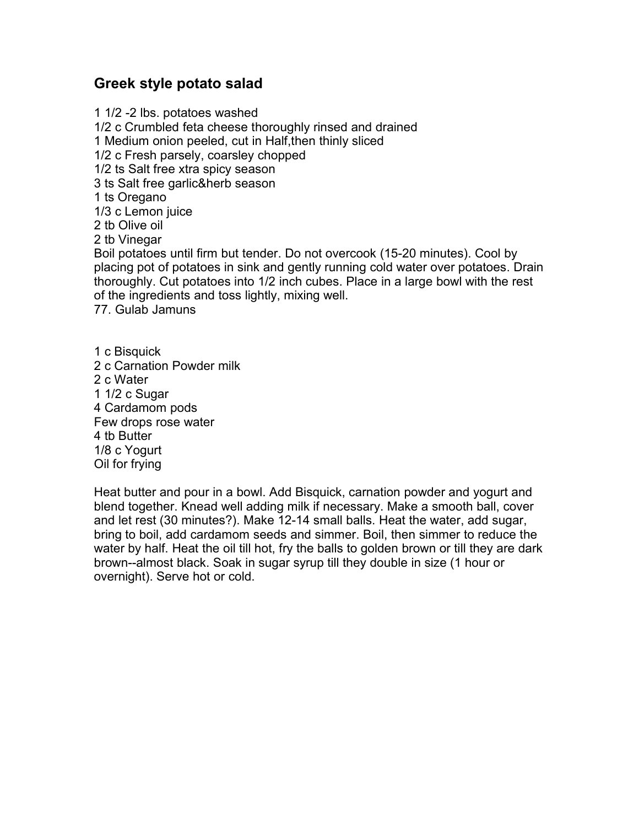#### **Greek style potato salad**

1 1/2 -2 lbs. potatoes washed 1/2 c Crumbled feta cheese thoroughly rinsed and drained 1 Medium onion peeled, cut in Half,then thinly sliced 1/2 c Fresh parsely, coarsley chopped 1/2 ts Salt free xtra spicy season 3 ts Salt free garlic&herb season 1 ts Oregano 1/3 c Lemon juice 2 tb Olive oil 2 tb Vinegar Boil potatoes until firm but tender. Do not overcook (15-20 minutes). Cool by placing pot of potatoes in sink and gently running cold water over potatoes. Drain thoroughly. Cut potatoes into 1/2 inch cubes. Place in a large bowl with the rest of the ingredients and toss lightly, mixing well. 77. Gulab Jamuns

1 c Bisquick 2 c Carnation Powder milk 2 c Water 1 1/2 c Sugar 4 Cardamom pods Few drops rose water 4 tb Butter 1/8 c Yogurt Oil for frying

Heat butter and pour in a bowl. Add Bisquick, carnation powder and yogurt and blend together. Knead well adding milk if necessary. Make a smooth ball, cover and let rest (30 minutes?). Make 12-14 small balls. Heat the water, add sugar, bring to boil, add cardamom seeds and simmer. Boil, then simmer to reduce the water by half. Heat the oil till hot, fry the balls to golden brown or till they are dark brown--almost black. Soak in sugar syrup till they double in size (1 hour or overnight). Serve hot or cold.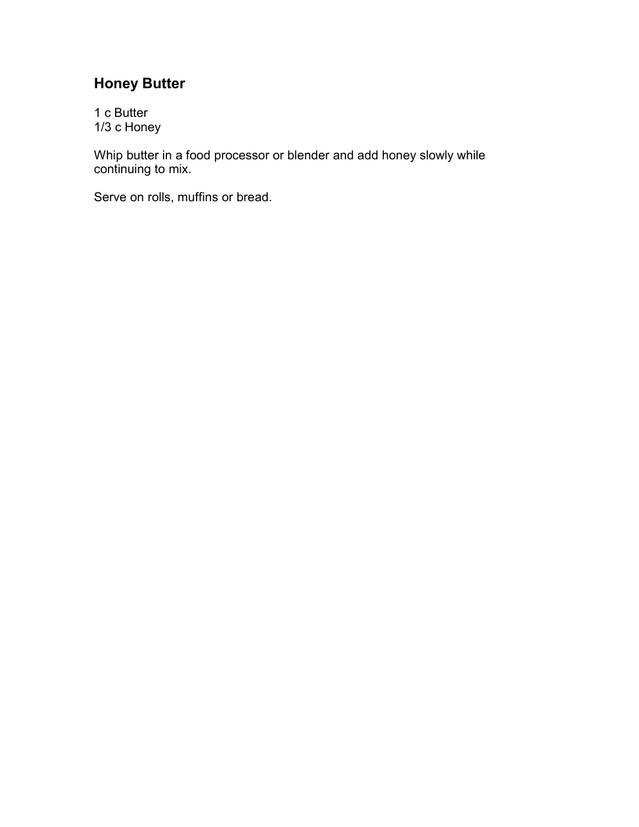# **Honey Butter**

1 c Butter 1/3 c Honey

Whip butter in a food processor or blender and add honey slowly while continuing to mix.

Serve on rolls, muffins or bread.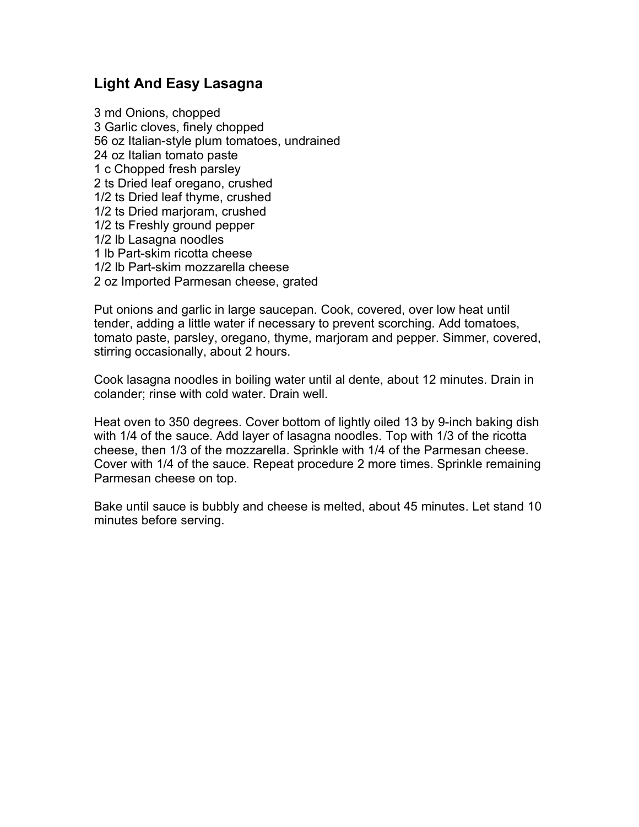#### **Light And Easy Lasagna**

3 md Onions, chopped 3 Garlic cloves, finely chopped 56 oz Italian-style plum tomatoes, undrained 24 oz Italian tomato paste 1 c Chopped fresh parsley 2 ts Dried leaf oregano, crushed 1/2 ts Dried leaf thyme, crushed 1/2 ts Dried marjoram, crushed 1/2 ts Freshly ground pepper 1/2 lb Lasagna noodles 1 lb Part-skim ricotta cheese 1/2 lb Part-skim mozzarella cheese 2 oz Imported Parmesan cheese, grated

Put onions and garlic in large saucepan. Cook, covered, over low heat until tender, adding a little water if necessary to prevent scorching. Add tomatoes, tomato paste, parsley, oregano, thyme, marjoram and pepper. Simmer, covered, stirring occasionally, about 2 hours.

Cook lasagna noodles in boiling water until al dente, about 12 minutes. Drain in colander; rinse with cold water. Drain well.

Heat oven to 350 degrees. Cover bottom of lightly oiled 13 by 9-inch baking dish with 1/4 of the sauce. Add layer of lasagna noodles. Top with 1/3 of the ricotta cheese, then 1/3 of the mozzarella. Sprinkle with 1/4 of the Parmesan cheese. Cover with 1/4 of the sauce. Repeat procedure 2 more times. Sprinkle remaining Parmesan cheese on top.

Bake until sauce is bubbly and cheese is melted, about 45 minutes. Let stand 10 minutes before serving.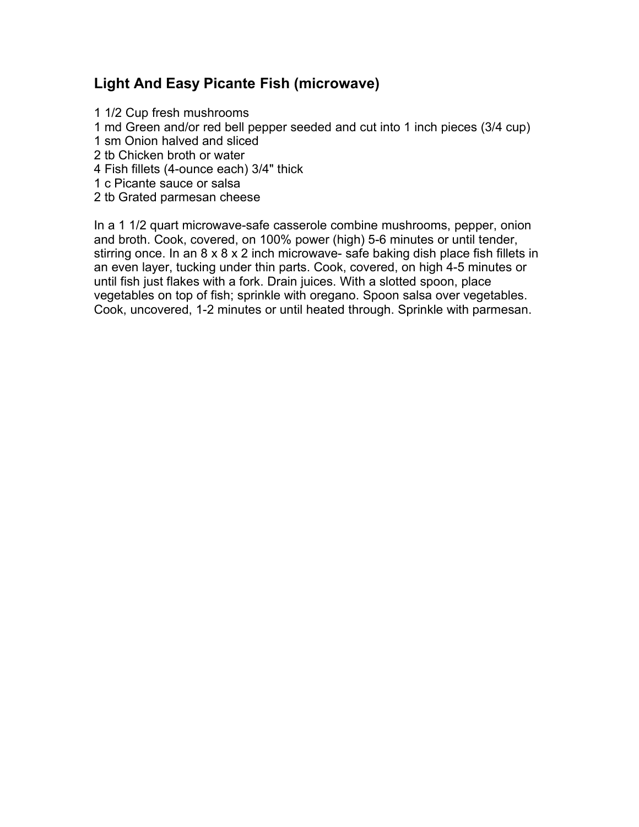## **Light And Easy Picante Fish (microwave)**

 1/2 Cup fresh mushrooms md Green and/or red bell pepper seeded and cut into 1 inch pieces (3/4 cup) sm Onion halved and sliced tb Chicken broth or water Fish fillets (4-ounce each) 3/4" thick c Picante sauce or salsa tb Grated parmesan cheese

In a 1 1/2 quart microwave-safe casserole combine mushrooms, pepper, onion and broth. Cook, covered, on 100% power (high) 5-6 minutes or until tender, stirring once. In an 8 x 8 x 2 inch microwave- safe baking dish place fish fillets in an even layer, tucking under thin parts. Cook, covered, on high 4-5 minutes or until fish just flakes with a fork. Drain juices. With a slotted spoon, place vegetables on top of fish; sprinkle with oregano. Spoon salsa over vegetables. Cook, uncovered, 1-2 minutes or until heated through. Sprinkle with parmesan.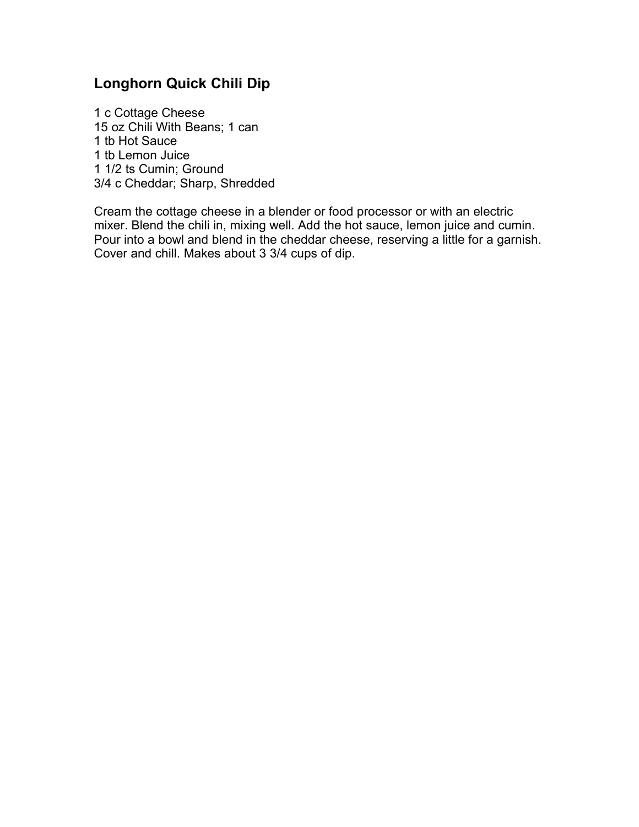## **Longhorn Quick Chili Dip**

 c Cottage Cheese 15 oz Chili With Beans; 1 can tb Hot Sauce tb Lemon Juice 1/2 ts Cumin; Ground 3/4 c Cheddar; Sharp, Shredded

Cream the cottage cheese in a blender or food processor or with an electric mixer. Blend the chili in, mixing well. Add the hot sauce, lemon juice and cumin. Pour into a bowl and blend in the cheddar cheese, reserving a little for a garnish. Cover and chill. Makes about 3 3/4 cups of dip.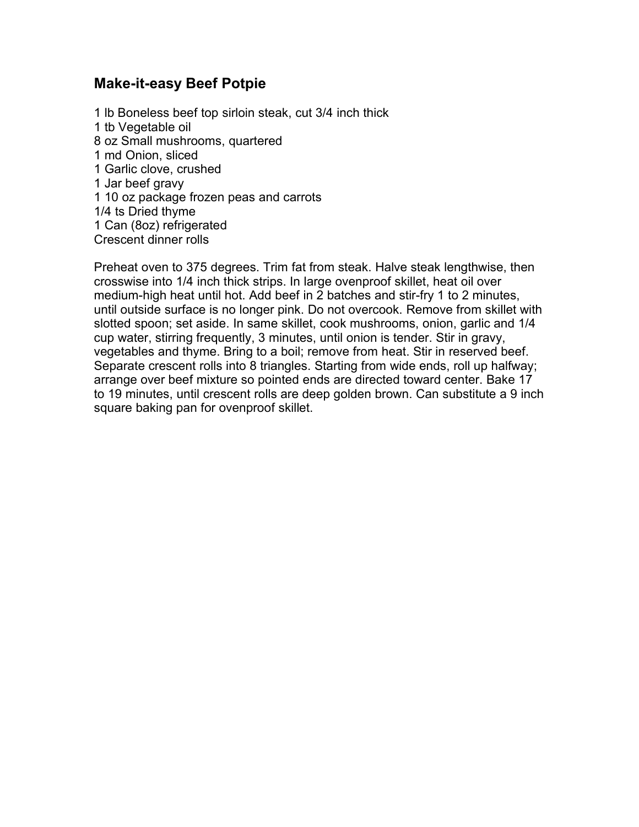#### **Make-it-easy Beef Potpie**

 lb Boneless beef top sirloin steak, cut 3/4 inch thick tb Vegetable oil oz Small mushrooms, quartered md Onion, sliced Garlic clove, crushed Jar beef gravy 10 oz package frozen peas and carrots 1/4 ts Dried thyme Can (8oz) refrigerated Crescent dinner rolls

Preheat oven to 375 degrees. Trim fat from steak. Halve steak lengthwise, then crosswise into 1/4 inch thick strips. In large ovenproof skillet, heat oil over medium-high heat until hot. Add beef in 2 batches and stir-fry 1 to 2 minutes, until outside surface is no longer pink. Do not overcook. Remove from skillet with slotted spoon; set aside. In same skillet, cook mushrooms, onion, garlic and 1/4 cup water, stirring frequently, 3 minutes, until onion is tender. Stir in gravy, vegetables and thyme. Bring to a boil; remove from heat. Stir in reserved beef. Separate crescent rolls into 8 triangles. Starting from wide ends, roll up halfway; arrange over beef mixture so pointed ends are directed toward center. Bake 17 to 19 minutes, until crescent rolls are deep golden brown. Can substitute a 9 inch square baking pan for ovenproof skillet.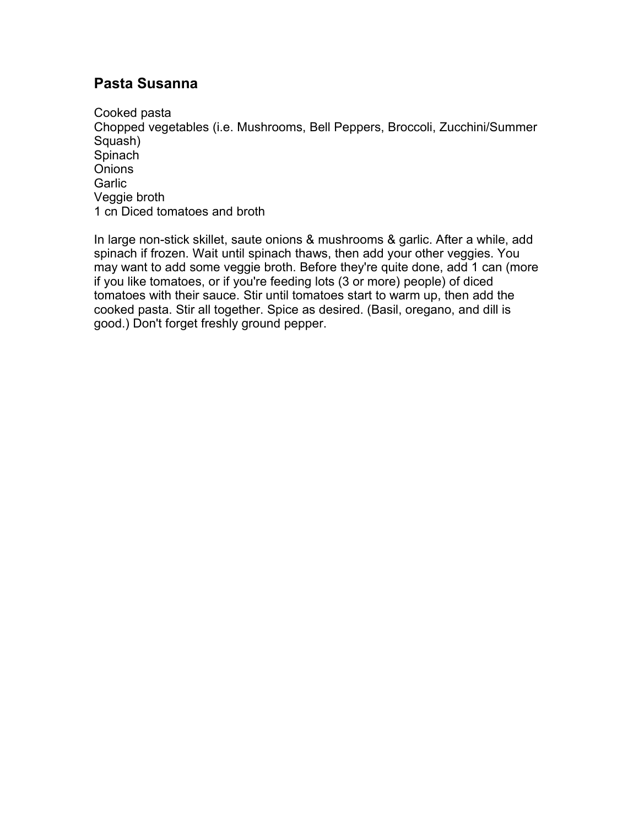#### **Pasta Susanna**

Cooked pasta Chopped vegetables (i.e. Mushrooms, Bell Peppers, Broccoli, Zucchini/Summer Squash) Spinach **Onions Garlic** Veggie broth 1 cn Diced tomatoes and broth

In large non-stick skillet, saute onions & mushrooms & garlic. After a while, add spinach if frozen. Wait until spinach thaws, then add your other veggies. You may want to add some veggie broth. Before they're quite done, add 1 can (more if you like tomatoes, or if you're feeding lots (3 or more) people) of diced tomatoes with their sauce. Stir until tomatoes start to warm up, then add the cooked pasta. Stir all together. Spice as desired. (Basil, oregano, and dill is good.) Don't forget freshly ground pepper.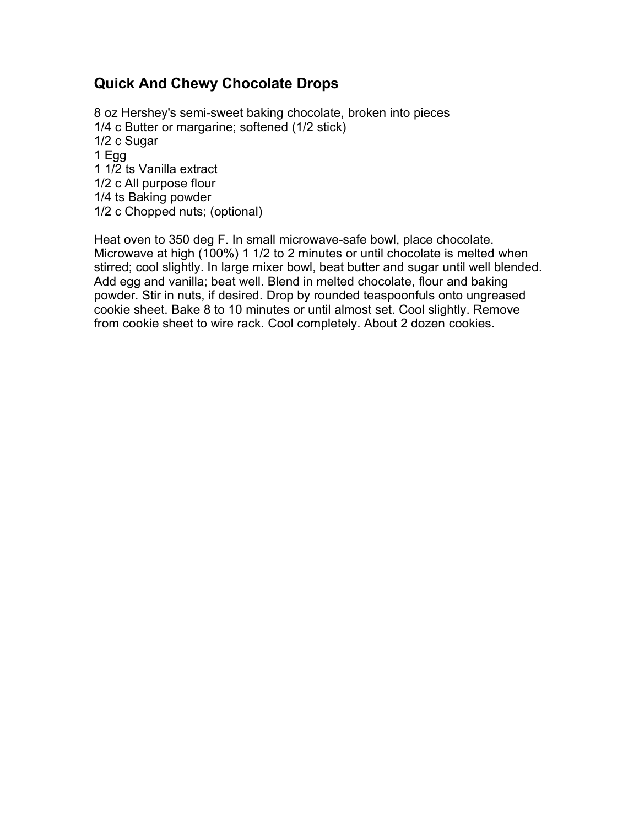## **Quick And Chewy Chocolate Drops**

8 oz Hershey's semi-sweet baking chocolate, broken into pieces 1/4 c Butter or margarine; softened (1/2 stick) 1/2 c Sugar 1 Egg 1 1/2 ts Vanilla extract 1/2 c All purpose flour 1/4 ts Baking powder 1/2 c Chopped nuts; (optional)

Heat oven to 350 deg F. In small microwave-safe bowl, place chocolate. Microwave at high (100%) 1 1/2 to 2 minutes or until chocolate is melted when stirred; cool slightly. In large mixer bowl, beat butter and sugar until well blended. Add egg and vanilla; beat well. Blend in melted chocolate, flour and baking powder. Stir in nuts, if desired. Drop by rounded teaspoonfuls onto ungreased cookie sheet. Bake 8 to 10 minutes or until almost set. Cool slightly. Remove from cookie sheet to wire rack. Cool completely. About 2 dozen cookies.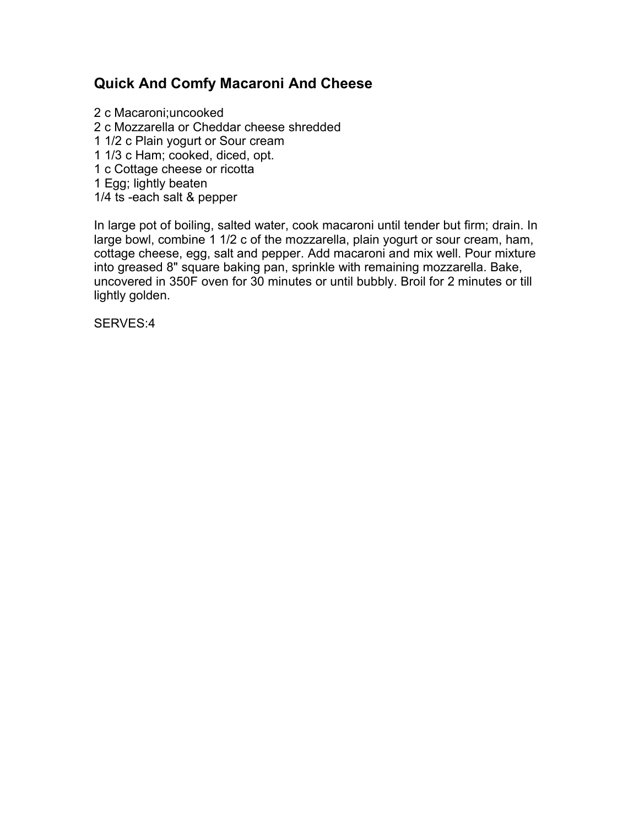## **Quick And Comfy Macaroni And Cheese**

 c Macaroni;uncooked c Mozzarella or Cheddar cheese shredded 1/2 c Plain yogurt or Sour cream 1/3 c Ham; cooked, diced, opt. c Cottage cheese or ricotta Egg; lightly beaten 1/4 ts -each salt & pepper

In large pot of boiling, salted water, cook macaroni until tender but firm; drain. In large bowl, combine 1 1/2 c of the mozzarella, plain yogurt or sour cream, ham, cottage cheese, egg, salt and pepper. Add macaroni and mix well. Pour mixture into greased 8" square baking pan, sprinkle with remaining mozzarella. Bake, uncovered in 350F oven for 30 minutes or until bubbly. Broil for 2 minutes or till lightly golden.

SERVES:4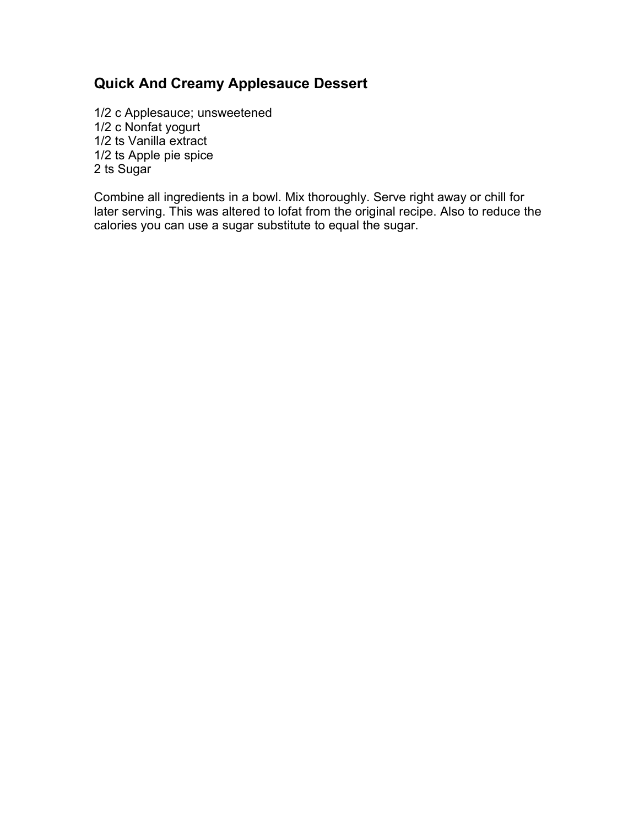## **Quick And Creamy Applesauce Dessert**

1/2 c Applesauce; unsweetened 1/2 c Nonfat yogurt 1/2 ts Vanilla extract 1/2 ts Apple pie spice 2 ts Sugar

Combine all ingredients in a bowl. Mix thoroughly. Serve right away or chill for later serving. This was altered to lofat from the original recipe. Also to reduce the calories you can use a sugar substitute to equal the sugar.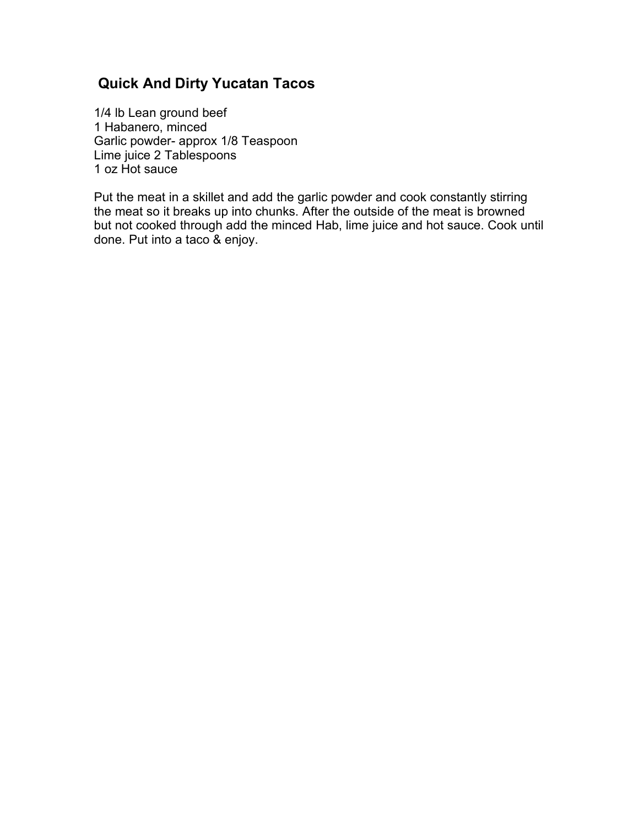## **Quick And Dirty Yucatan Tacos**

1/4 lb Lean ground beef 1 Habanero, minced Garlic powder- approx 1/8 Teaspoon Lime juice 2 Tablespoons 1 oz Hot sauce

Put the meat in a skillet and add the garlic powder and cook constantly stirring the meat so it breaks up into chunks. After the outside of the meat is browned but not cooked through add the minced Hab, lime juice and hot sauce. Cook until done. Put into a taco & enjoy.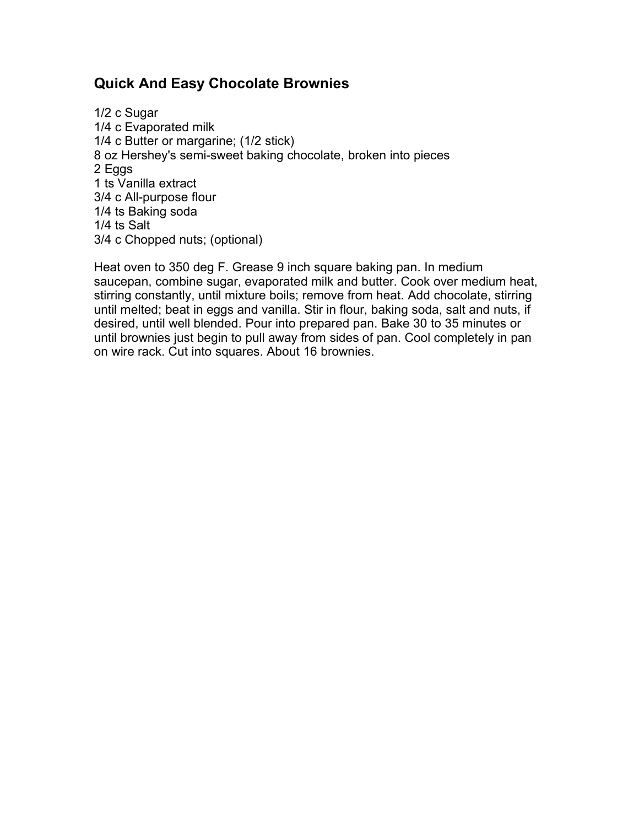#### **Quick And Easy Chocolate Brownies**

1/2 c Sugar 1/4 c Evaporated milk 1/4 c Butter or margarine; (1/2 stick) 8 oz Hershey's semi-sweet baking chocolate, broken into pieces 2 Eggs 1 ts Vanilla extract 3/4 c All-purpose flour 1/4 ts Baking soda 1/4 ts Salt 3/4 c Chopped nuts; (optional)

Heat oven to 350 deg F. Grease 9 inch square baking pan. In medium saucepan, combine sugar, evaporated milk and butter. Cook over medium heat, stirring constantly, until mixture boils; remove from heat. Add chocolate, stirring until melted; beat in eggs and vanilla. Stir in flour, baking soda, salt and nuts, if desired, until well blended. Pour into prepared pan. Bake 30 to 35 minutes or until brownies just begin to pull away from sides of pan. Cool completely in pan on wire rack. Cut into squares. About 16 brownies.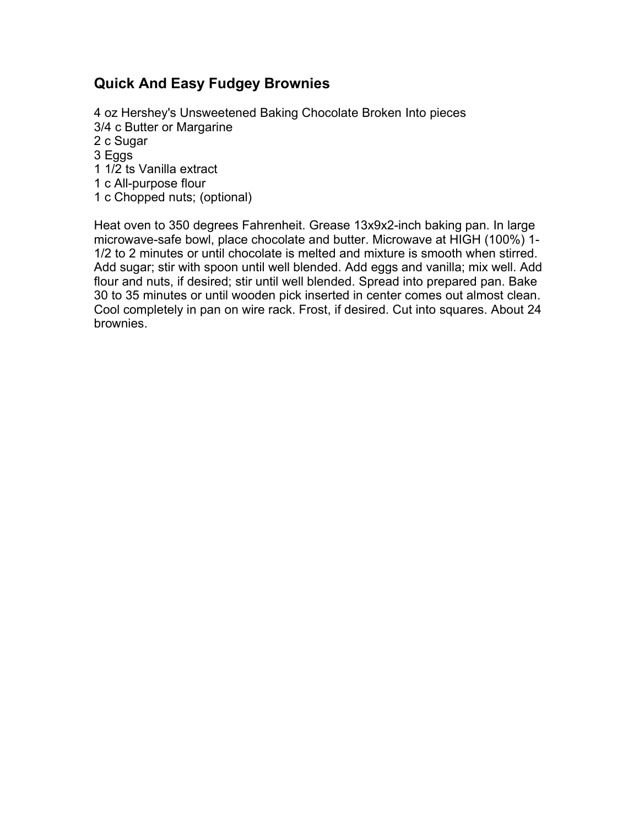## **Quick And Easy Fudgey Brownies**

4 oz Hershey's Unsweetened Baking Chocolate Broken Into pieces 3/4 c Butter or Margarine 2 c Sugar 3 Eggs 1 1/2 ts Vanilla extract 1 c All-purpose flour 1 c Chopped nuts; (optional) Heat oven to 350 degrees Fahrenheit. Grease 13x9x2-inch baking pan. In large

microwave-safe bowl, place chocolate and butter. Microwave at HIGH (100%) 1- 1/2 to 2 minutes or until chocolate is melted and mixture is smooth when stirred. Add sugar; stir with spoon until well blended. Add eggs and vanilla; mix well. Add flour and nuts, if desired; stir until well blended. Spread into prepared pan. Bake 30 to 35 minutes or until wooden pick inserted in center comes out almost clean. Cool completely in pan on wire rack. Frost, if desired. Cut into squares. About 24 brownies.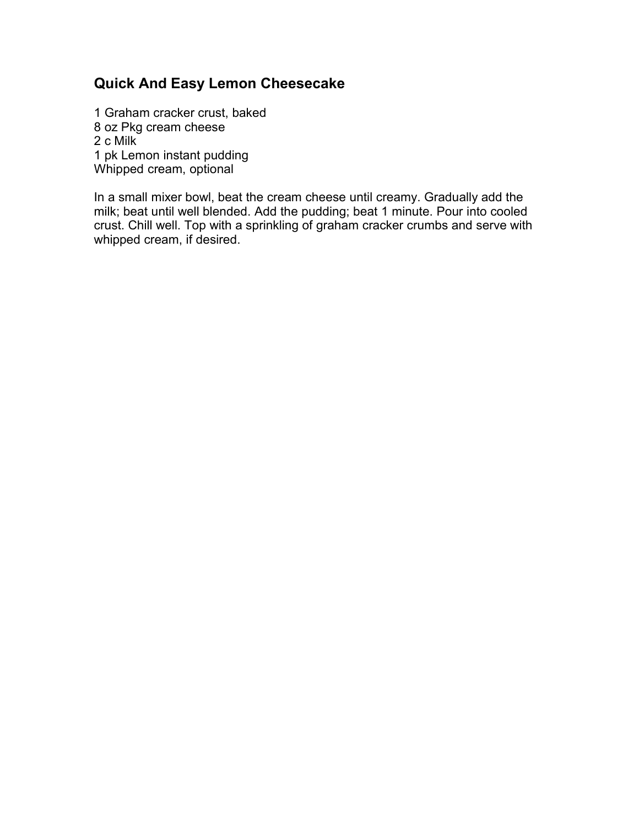## **Quick And Easy Lemon Cheesecake**

1 Graham cracker crust, baked 8 oz Pkg cream cheese 2 c Milk 1 pk Lemon instant pudding Whipped cream, optional

In a small mixer bowl, beat the cream cheese until creamy. Gradually add the milk; beat until well blended. Add the pudding; beat 1 minute. Pour into cooled crust. Chill well. Top with a sprinkling of graham cracker crumbs and serve with whipped cream, if desired.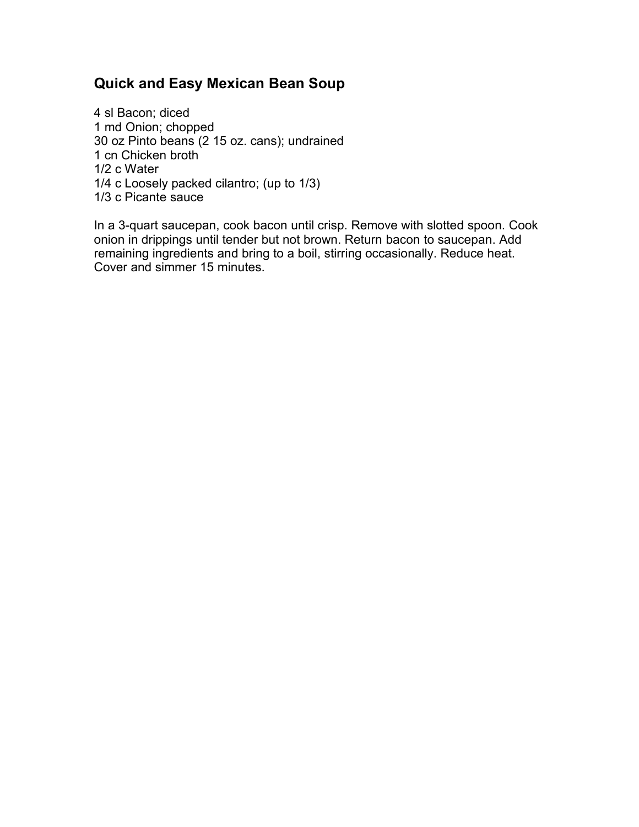#### **Quick and Easy Mexican Bean Soup**

4 sl Bacon; diced 1 md Onion; chopped 30 oz Pinto beans (2 15 oz. cans); undrained 1 cn Chicken broth 1/2 c Water 1/4 c Loosely packed cilantro; (up to 1/3) 1/3 c Picante sauce

In a 3-quart saucepan, cook bacon until crisp. Remove with slotted spoon. Cook onion in drippings until tender but not brown. Return bacon to saucepan. Add remaining ingredients and bring to a boil, stirring occasionally. Reduce heat. Cover and simmer 15 minutes.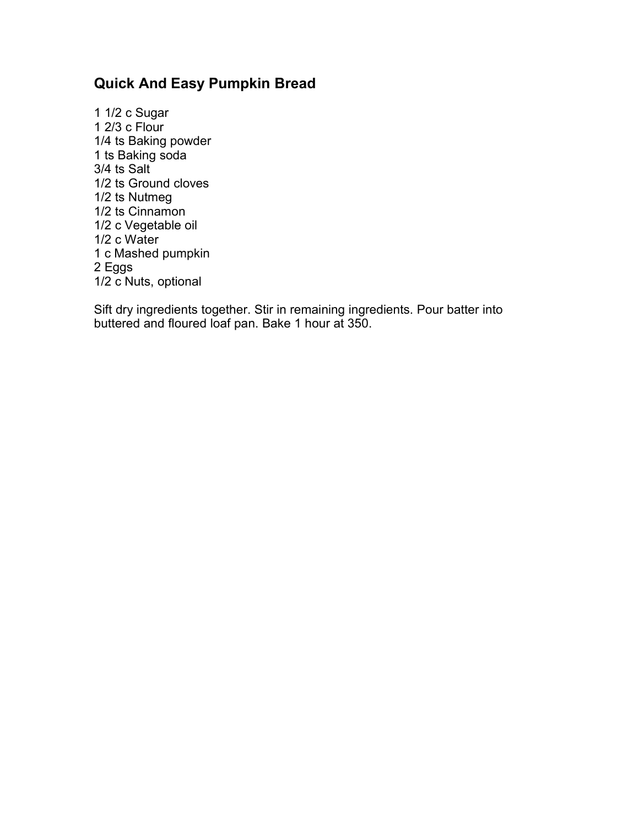## **Quick And Easy Pumpkin Bread**

1 1/2 c Sugar 1 2/3 c Flour 1/4 ts Baking powder 1 ts Baking soda 3/4 ts Salt 1/2 ts Ground cloves 1/2 ts Nutmeg 1/2 ts Cinnamon 1/2 c Vegetable oil 1/2 c Water 1 c Mashed pumpkin 2 Eggs 1/2 c Nuts, optional

Sift dry ingredients together. Stir in remaining ingredients. Pour batter into buttered and floured loaf pan. Bake 1 hour at 350.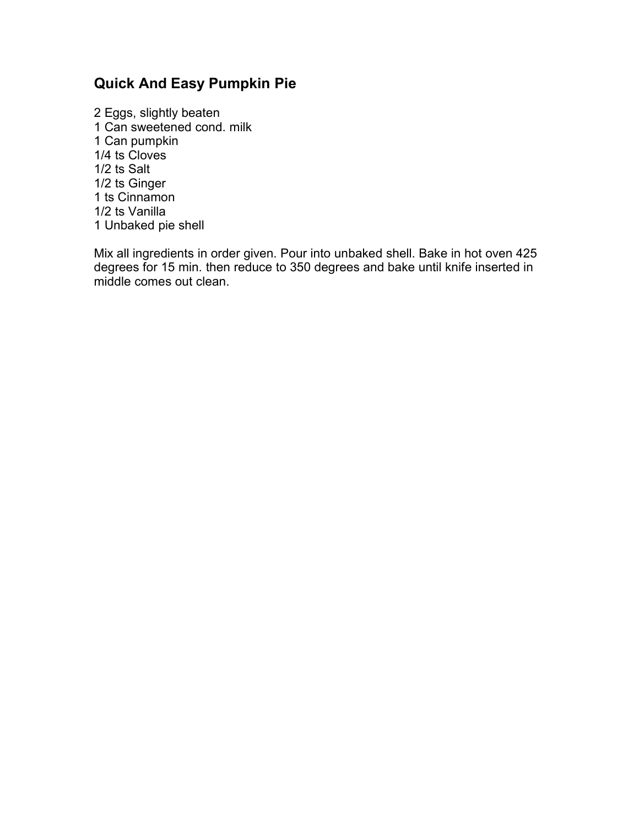## **Quick And Easy Pumpkin Pie**

2 Eggs, slightly beaten 1 Can sweetened cond. milk 1 Can pumpkin 1/4 ts Cloves 1/2 ts Salt 1/2 ts Ginger 1 ts Cinnamon 1/2 ts Vanilla 1 Unbaked pie shell

Mix all ingredients in order given. Pour into unbaked shell. Bake in hot oven 425 degrees for 15 min. then reduce to 350 degrees and bake until knife inserted in middle comes out clean.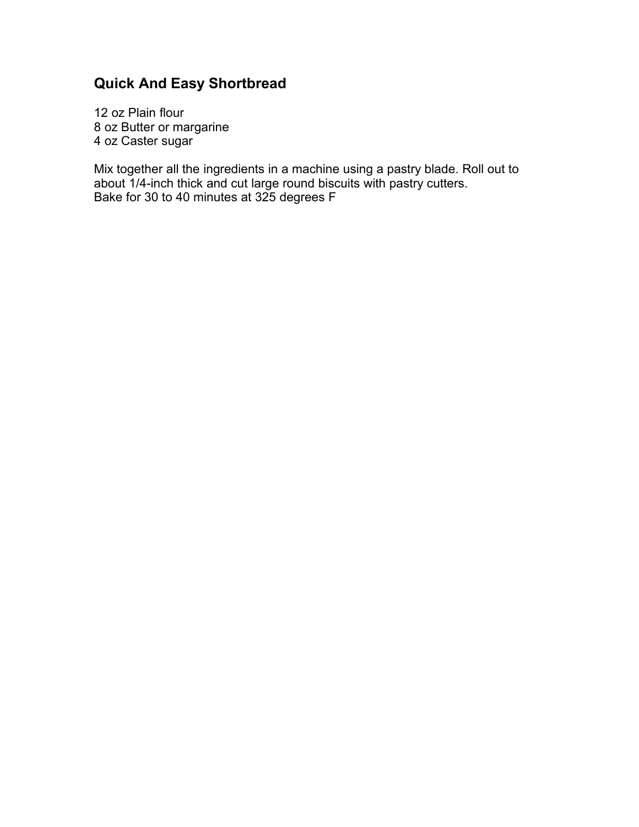# **Quick And Easy Shortbread**

12 oz Plain flour 8 oz Butter or margarine 4 oz Caster sugar

Mix together all the ingredients in a machine using a pastry blade. Roll out to about 1/4-inch thick and cut large round biscuits with pastry cutters. Bake for 30 to 40 minutes at 325 degrees F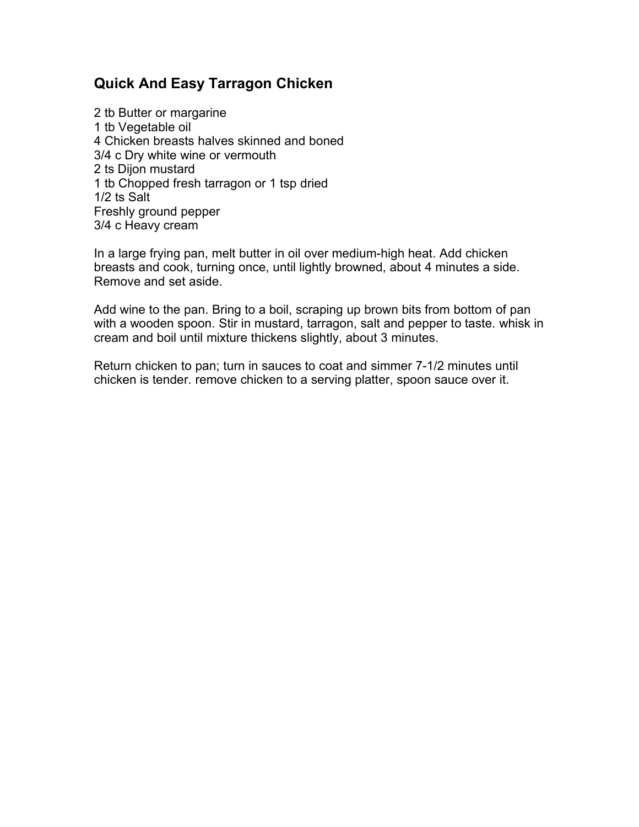## **Quick And Easy Tarragon Chicken**

2 tb Butter or margarine 1 tb Vegetable oil 4 Chicken breasts halves skinned and boned 3/4 c Dry white wine or vermouth 2 ts Dijon mustard 1 tb Chopped fresh tarragon or 1 tsp dried 1/2 ts Salt Freshly ground pepper 3/4 c Heavy cream

In a large frying pan, melt butter in oil over medium-high heat. Add chicken breasts and cook, turning once, until lightly browned, about 4 minutes a side. Remove and set aside.

Add wine to the pan. Bring to a boil, scraping up brown bits from bottom of pan with a wooden spoon. Stir in mustard, tarragon, salt and pepper to taste. whisk in cream and boil until mixture thickens slightly, about 3 minutes.

Return chicken to pan; turn in sauces to coat and simmer 7-1/2 minutes until chicken is tender. remove chicken to a serving platter, spoon sauce over it.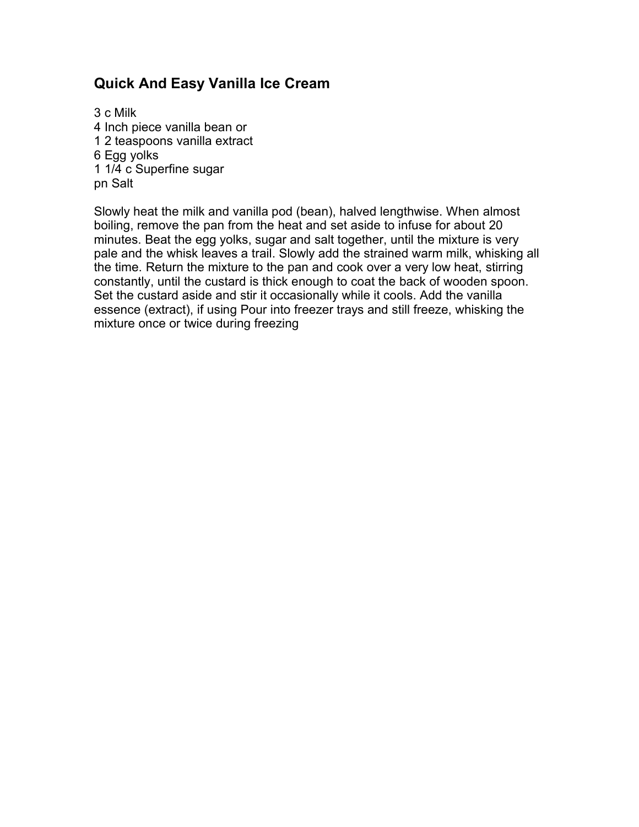### **Quick And Easy Vanilla Ice Cream**

3 c Milk Inch piece vanilla bean or 2 teaspoons vanilla extract Egg yolks 1/4 c Superfine sugar pn Salt

Slowly heat the milk and vanilla pod (bean), halved lengthwise. When almost boiling, remove the pan from the heat and set aside to infuse for about 20 minutes. Beat the egg yolks, sugar and salt together, until the mixture is very pale and the whisk leaves a trail. Slowly add the strained warm milk, whisking all the time. Return the mixture to the pan and cook over a very low heat, stirring constantly, until the custard is thick enough to coat the back of wooden spoon. Set the custard aside and stir it occasionally while it cools. Add the vanilla essence (extract), if using Pour into freezer trays and still freeze, whisking the mixture once or twice during freezing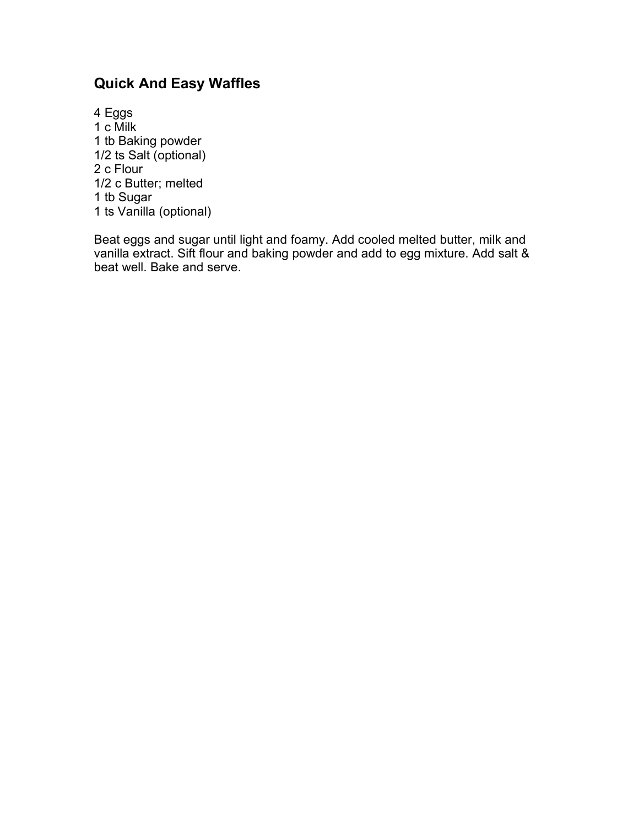# **Quick And Easy Waffles**

4 Eggs 1 c Milk 1 tb Baking powder 1/2 ts Salt (optional) 2 c Flour 1/2 c Butter; melted 1 tb Sugar 1 ts Vanilla (optional)

Beat eggs and sugar until light and foamy. Add cooled melted butter, milk and vanilla extract. Sift flour and baking powder and add to egg mixture. Add salt & beat well. Bake and serve.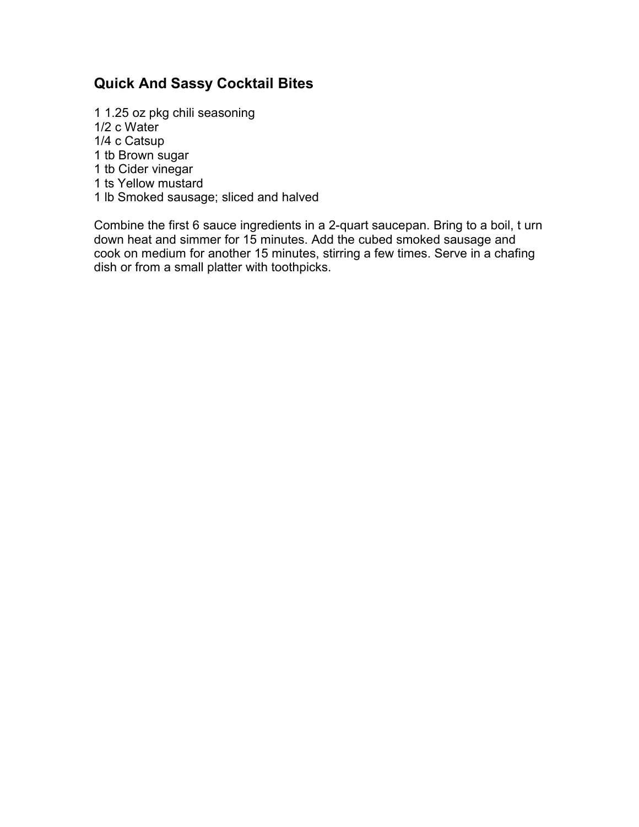### **Quick And Sassy Cocktail Bites**

 1.25 oz pkg chili seasoning 1/2 c Water 1/4 c Catsup tb Brown sugar tb Cider vinegar ts Yellow mustard lb Smoked sausage; sliced and halved

Combine the first 6 sauce ingredients in a 2-quart saucepan. Bring to a boil, t urn down heat and simmer for 15 minutes. Add the cubed smoked sausage and cook on medium for another 15 minutes, stirring a few times. Serve in a chafing dish or from a small platter with toothpicks.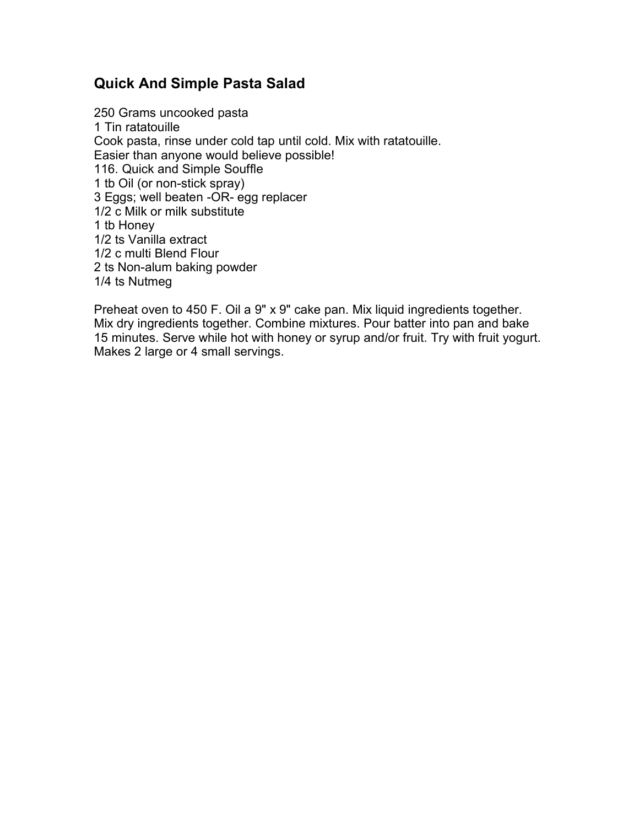#### **Quick And Simple Pasta Salad**

250 Grams uncooked pasta 1 Tin ratatouille Cook pasta, rinse under cold tap until cold. Mix with ratatouille. Easier than anyone would believe possible! 116. Quick and Simple Souffle 1 tb Oil (or non-stick spray) 3 Eggs; well beaten -OR- egg replacer 1/2 c Milk or milk substitute 1 tb Honey 1/2 ts Vanilla extract 1/2 c multi Blend Flour 2 ts Non-alum baking powder 1/4 ts Nutmeg

Preheat oven to 450 F. Oil a 9" x 9" cake pan. Mix liquid ingredients together. Mix dry ingredients together. Combine mixtures. Pour batter into pan and bake 15 minutes. Serve while hot with honey or syrup and/or fruit. Try with fruit yogurt. Makes 2 large or 4 small servings.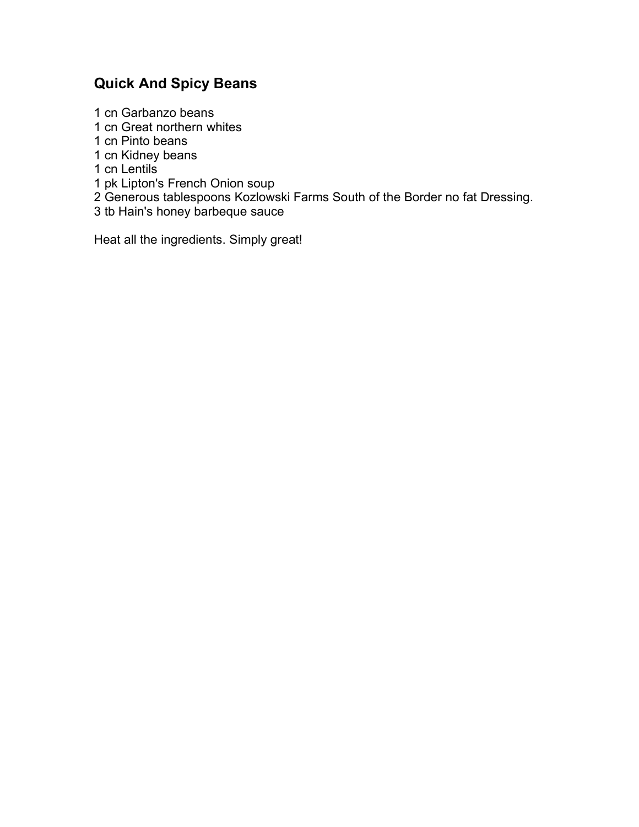# **Quick And Spicy Beans**

 cn Garbanzo beans cn Great northern whites cn Pinto beans cn Kidney beans cn Lentils pk Lipton's French Onion soup Generous tablespoons Kozlowski Farms South of the Border no fat Dressing. tb Hain's honey barbeque sauce

Heat all the ingredients. Simply great!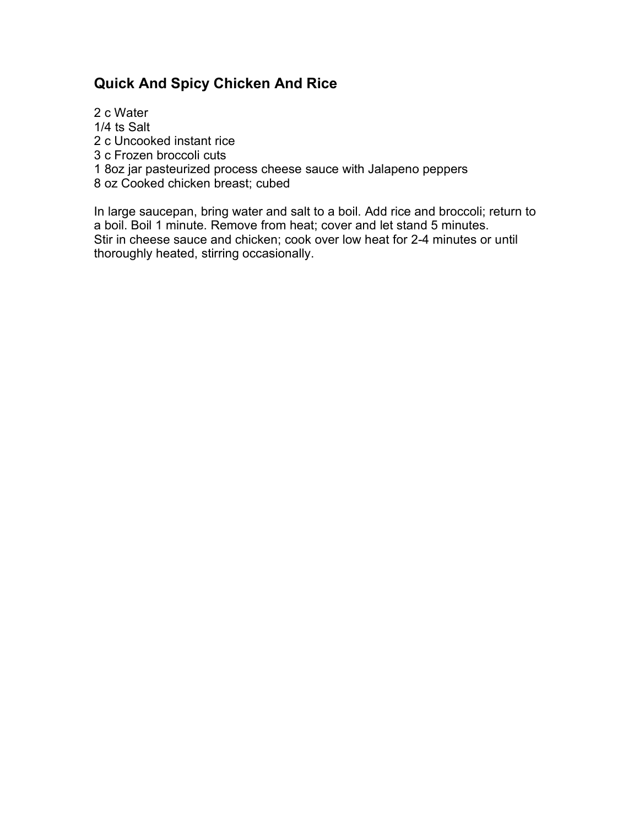## **Quick And Spicy Chicken And Rice**

2 c Water 1/4 ts Salt c Uncooked instant rice c Frozen broccoli cuts 8oz jar pasteurized process cheese sauce with Jalapeno peppers oz Cooked chicken breast; cubed

In large saucepan, bring water and salt to a boil. Add rice and broccoli; return to a boil. Boil 1 minute. Remove from heat; cover and let stand 5 minutes. Stir in cheese sauce and chicken; cook over low heat for 2-4 minutes or until thoroughly heated, stirring occasionally.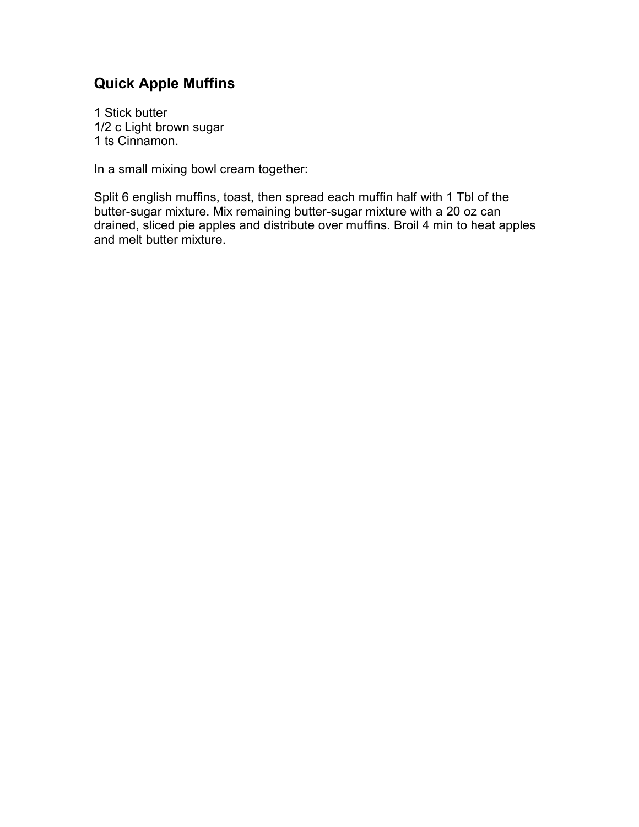# **Quick Apple Muffins**

1 Stick butter 1/2 c Light brown sugar 1 ts Cinnamon.

In a small mixing bowl cream together:

Split 6 english muffins, toast, then spread each muffin half with 1 Tbl of the butter-sugar mixture. Mix remaining butter-sugar mixture with a 20 oz can drained, sliced pie apples and distribute over muffins. Broil 4 min to heat apples and melt butter mixture.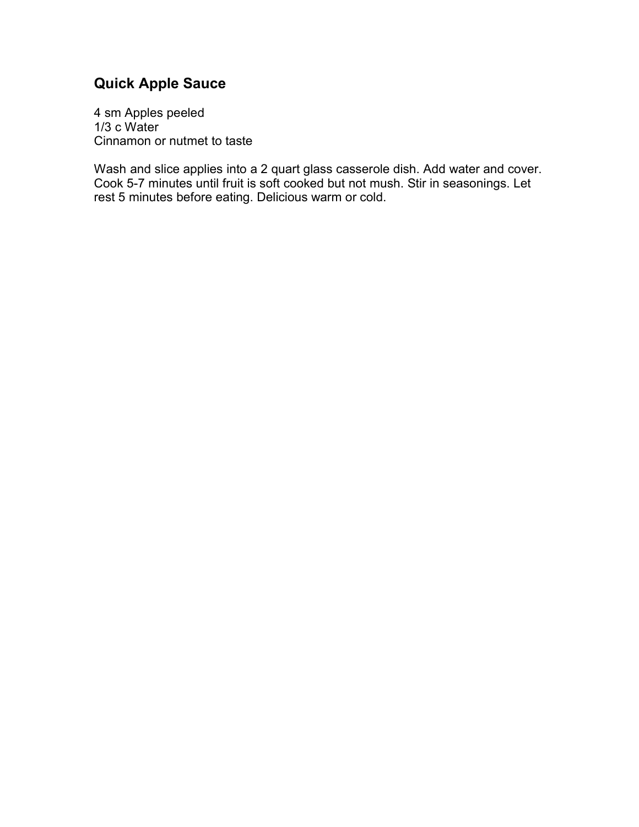# **Quick Apple Sauce**

4 sm Apples peeled 1/3 c Water Cinnamon or nutmet to taste

Wash and slice applies into a 2 quart glass casserole dish. Add water and cover. Cook 5-7 minutes until fruit is soft cooked but not mush. Stir in seasonings. Let rest 5 minutes before eating. Delicious warm or cold.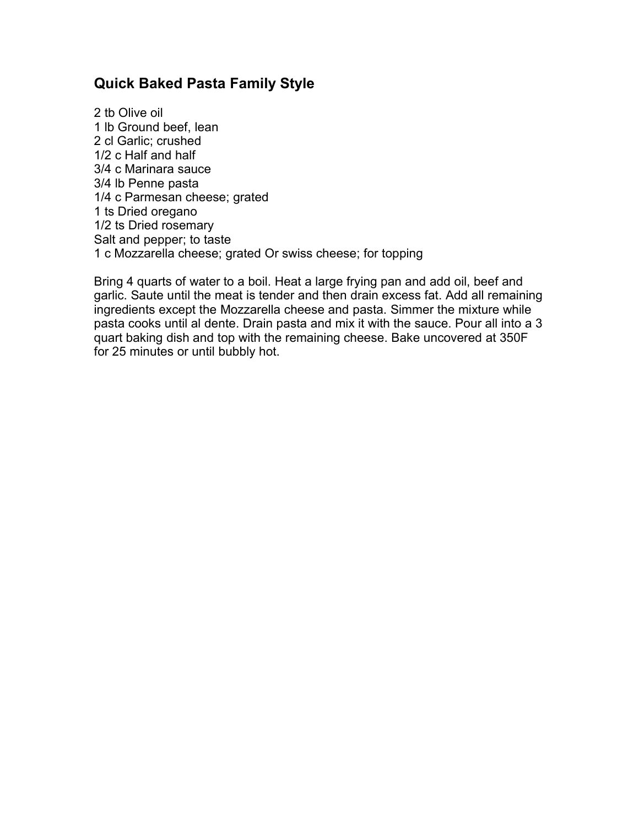#### **Quick Baked Pasta Family Style**

2 tb Olive oil 1 lb Ground beef, lean 2 cl Garlic; crushed 1/2 c Half and half 3/4 c Marinara sauce 3/4 lb Penne pasta 1/4 c Parmesan cheese; grated 1 ts Dried oregano 1/2 ts Dried rosemary Salt and pepper; to taste 1 c Mozzarella cheese; grated Or swiss cheese; for topping

Bring 4 quarts of water to a boil. Heat a large frying pan and add oil, beef and garlic. Saute until the meat is tender and then drain excess fat. Add all remaining ingredients except the Mozzarella cheese and pasta. Simmer the mixture while pasta cooks until al dente. Drain pasta and mix it with the sauce. Pour all into a 3 quart baking dish and top with the remaining cheese. Bake uncovered at 350F for 25 minutes or until bubbly hot.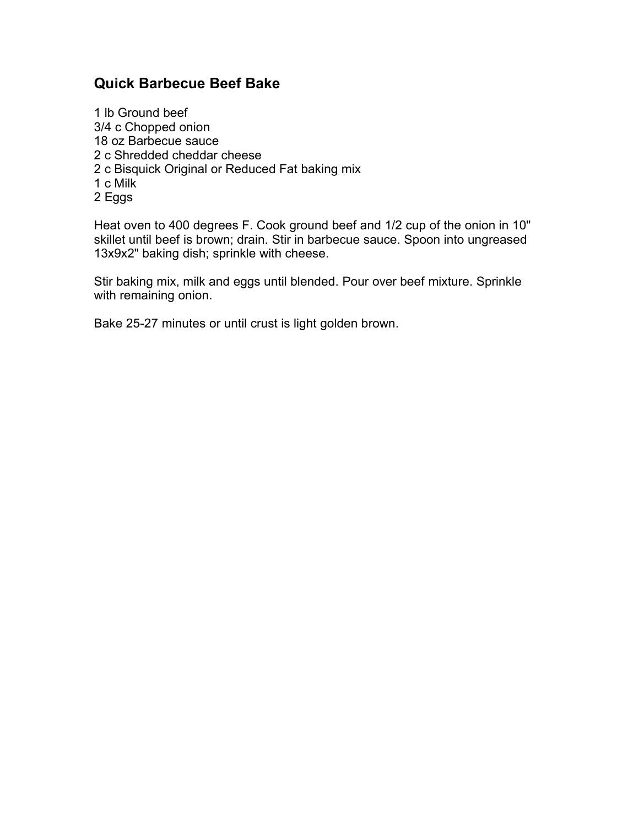### **Quick Barbecue Beef Bake**

1 lb Ground beef 3/4 c Chopped onion 18 oz Barbecue sauce 2 c Shredded cheddar cheese 2 c Bisquick Original or Reduced Fat baking mix 1 c Milk 2 Eggs

Heat oven to 400 degrees F. Cook ground beef and 1/2 cup of the onion in 10" skillet until beef is brown; drain. Stir in barbecue sauce. Spoon into ungreased 13x9x2" baking dish; sprinkle with cheese.

Stir baking mix, milk and eggs until blended. Pour over beef mixture. Sprinkle with remaining onion.

Bake 25-27 minutes or until crust is light golden brown.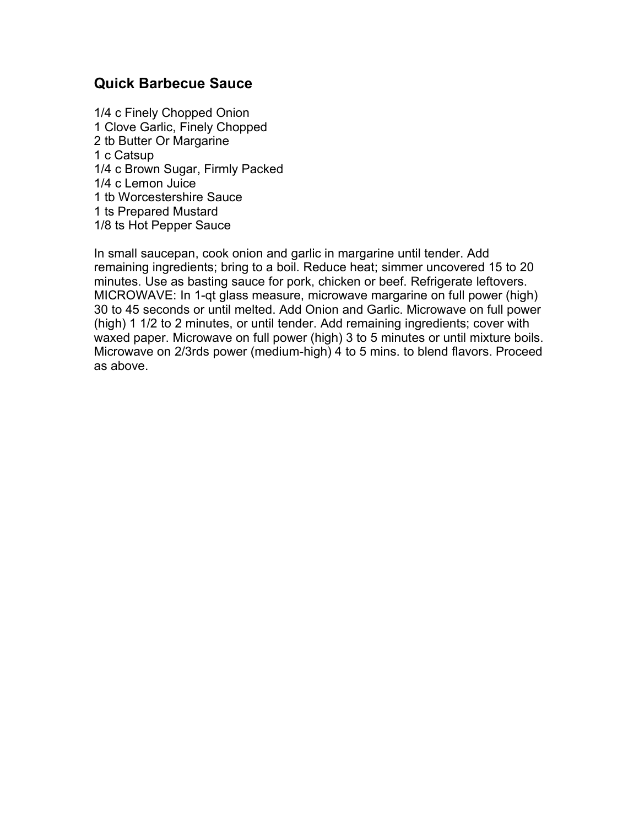#### **Quick Barbecue Sauce**

1/4 c Finely Chopped Onion 1 Clove Garlic, Finely Chopped 2 tb Butter Or Margarine 1 c Catsup 1/4 c Brown Sugar, Firmly Packed 1/4 c Lemon Juice 1 tb Worcestershire Sauce 1 ts Prepared Mustard 1/8 ts Hot Pepper Sauce

In small saucepan, cook onion and garlic in margarine until tender. Add remaining ingredients; bring to a boil. Reduce heat; simmer uncovered 15 to 20 minutes. Use as basting sauce for pork, chicken or beef. Refrigerate leftovers. MICROWAVE: In 1-qt glass measure, microwave margarine on full power (high) 30 to 45 seconds or until melted. Add Onion and Garlic. Microwave on full power (high) 1 1/2 to 2 minutes, or until tender. Add remaining ingredients; cover with waxed paper. Microwave on full power (high) 3 to 5 minutes or until mixture boils. Microwave on 2/3rds power (medium-high) 4 to 5 mins. to blend flavors. Proceed as above.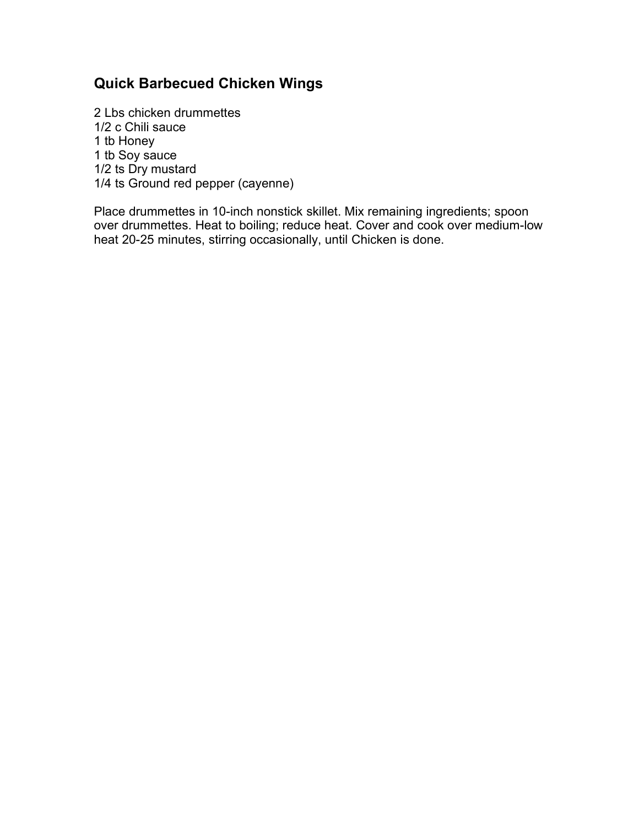# **Quick Barbecued Chicken Wings**

2 Lbs chicken drummettes 1/2 c Chili sauce 1 tb Honey 1 tb Soy sauce 1/2 ts Dry mustard 1/4 ts Ground red pepper (cayenne)

Place drummettes in 10-inch nonstick skillet. Mix remaining ingredients; spoon over drummettes. Heat to boiling; reduce heat. Cover and cook over medium-low heat 20-25 minutes, stirring occasionally, until Chicken is done.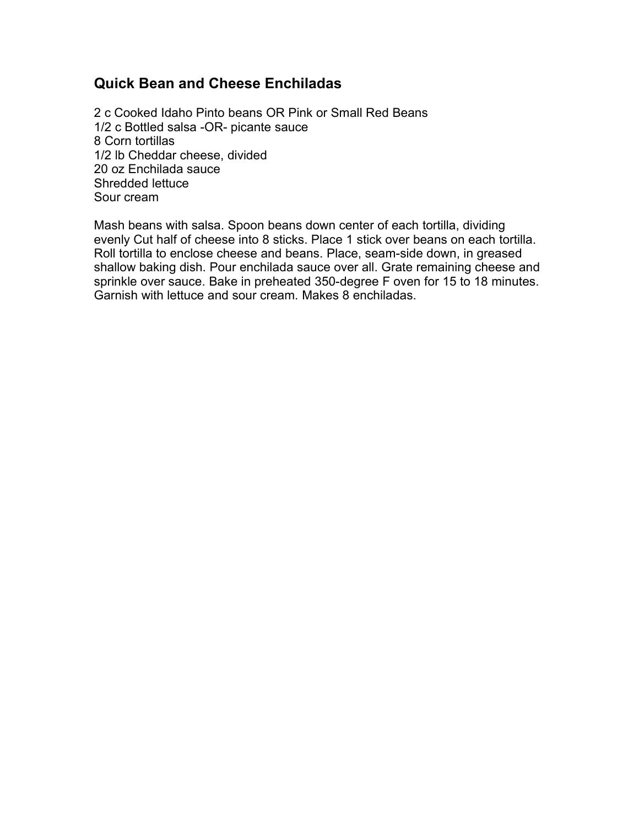#### **Quick Bean and Cheese Enchiladas**

2 c Cooked Idaho Pinto beans OR Pink or Small Red Beans 1/2 c Bottled salsa -OR- picante sauce 8 Corn tortillas 1/2 lb Cheddar cheese, divided 20 oz Enchilada sauce Shredded lettuce Sour cream

Mash beans with salsa. Spoon beans down center of each tortilla, dividing evenly Cut half of cheese into 8 sticks. Place 1 stick over beans on each tortilla. Roll tortilla to enclose cheese and beans. Place, seam-side down, in greased shallow baking dish. Pour enchilada sauce over all. Grate remaining cheese and sprinkle over sauce. Bake in preheated 350-degree F oven for 15 to 18 minutes. Garnish with lettuce and sour cream. Makes 8 enchiladas.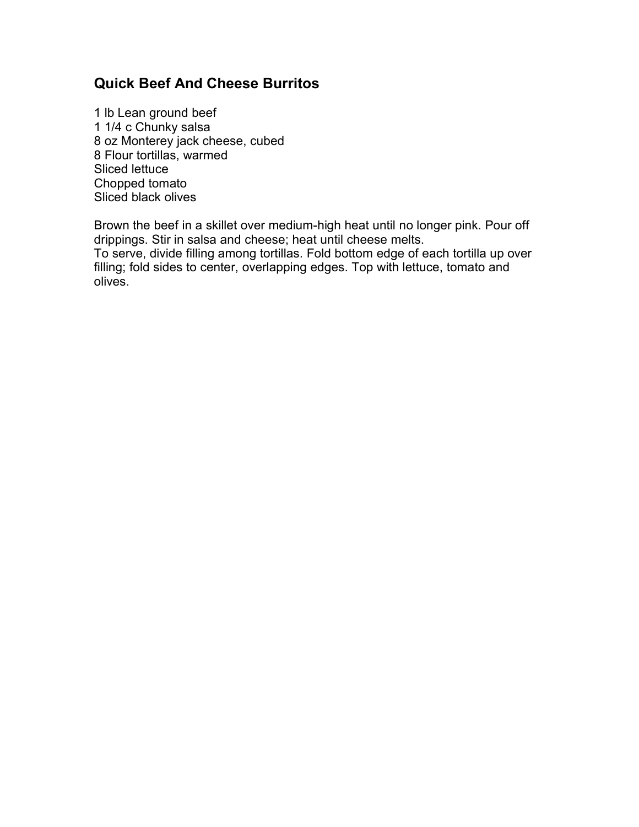### **Quick Beef And Cheese Burritos**

1 lb Lean ground beef 1 1/4 c Chunky salsa 8 oz Monterey jack cheese, cubed 8 Flour tortillas, warmed Sliced lettuce Chopped tomato Sliced black olives

Brown the beef in a skillet over medium-high heat until no longer pink. Pour off drippings. Stir in salsa and cheese; heat until cheese melts. To serve, divide filling among tortillas. Fold bottom edge of each tortilla up over filling; fold sides to center, overlapping edges. Top with lettuce, tomato and olives.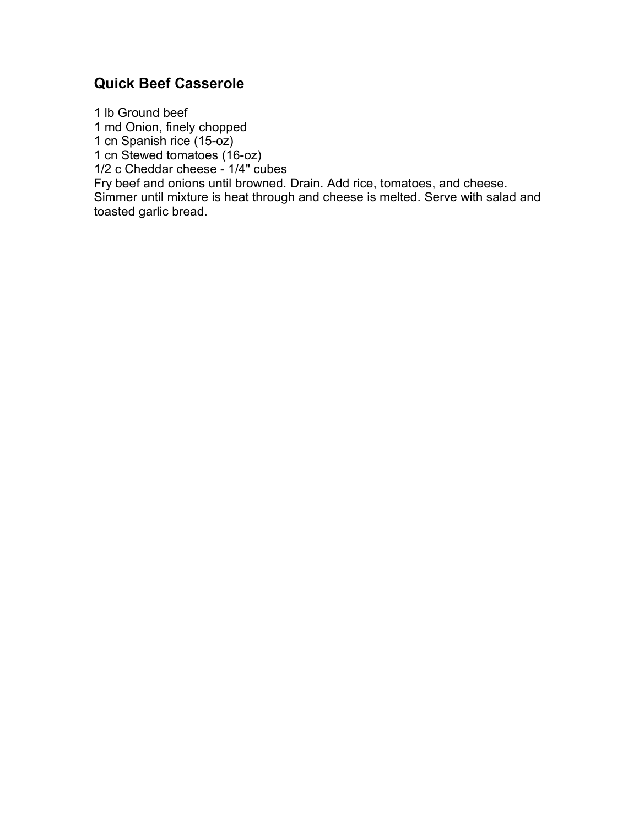### **Quick Beef Casserole**

1 lb Ground beef 1 md Onion, finely chopped 1 cn Spanish rice (15-oz) 1 cn Stewed tomatoes (16-oz) 1/2 c Cheddar cheese - 1/4" cubes Fry beef and onions until browned. Drain. Add rice, tomatoes, and cheese. Simmer until mixture is heat through and cheese is melted. Serve with salad and toasted garlic bread.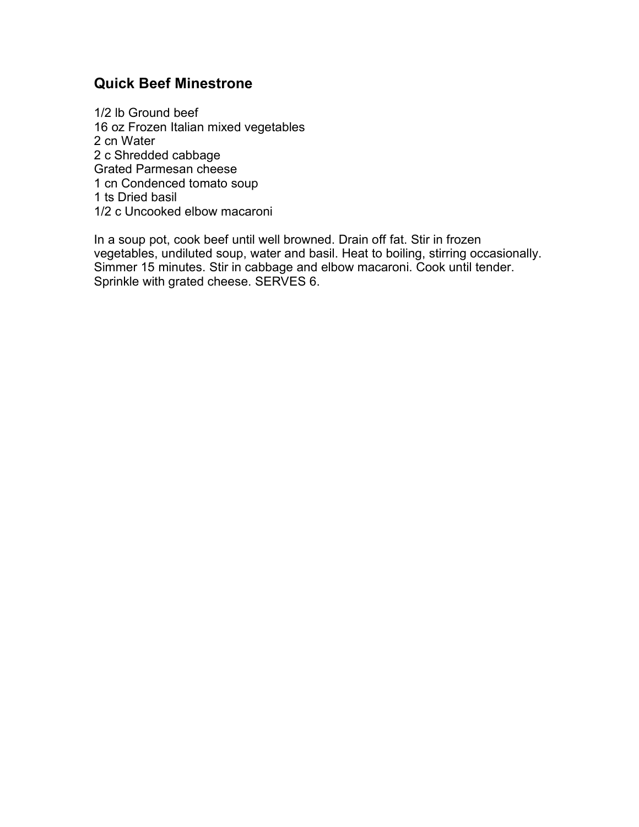### **Quick Beef Minestrone**

1/2 lb Ground beef 16 oz Frozen Italian mixed vegetables 2 cn Water 2 c Shredded cabbage Grated Parmesan cheese 1 cn Condenced tomato soup 1 ts Dried basil 1/2 c Uncooked elbow macaroni

In a soup pot, cook beef until well browned. Drain off fat. Stir in frozen vegetables, undiluted soup, water and basil. Heat to boiling, stirring occasionally. Simmer 15 minutes. Stir in cabbage and elbow macaroni. Cook until tender. Sprinkle with grated cheese. SERVES 6.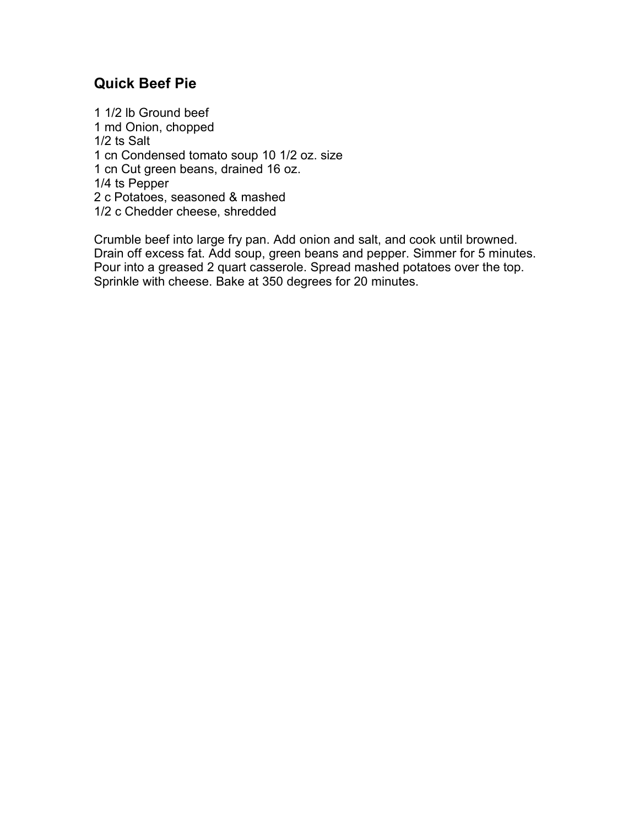### **Quick Beef Pie**

 1/2 lb Ground beef md Onion, chopped 1/2 ts Salt cn Condensed tomato soup 10 1/2 oz. size cn Cut green beans, drained 16 oz. 1/4 ts Pepper c Potatoes, seasoned & mashed 1/2 c Chedder cheese, shredded

Crumble beef into large fry pan. Add onion and salt, and cook until browned. Drain off excess fat. Add soup, green beans and pepper. Simmer for 5 minutes. Pour into a greased 2 quart casserole. Spread mashed potatoes over the top. Sprinkle with cheese. Bake at 350 degrees for 20 minutes.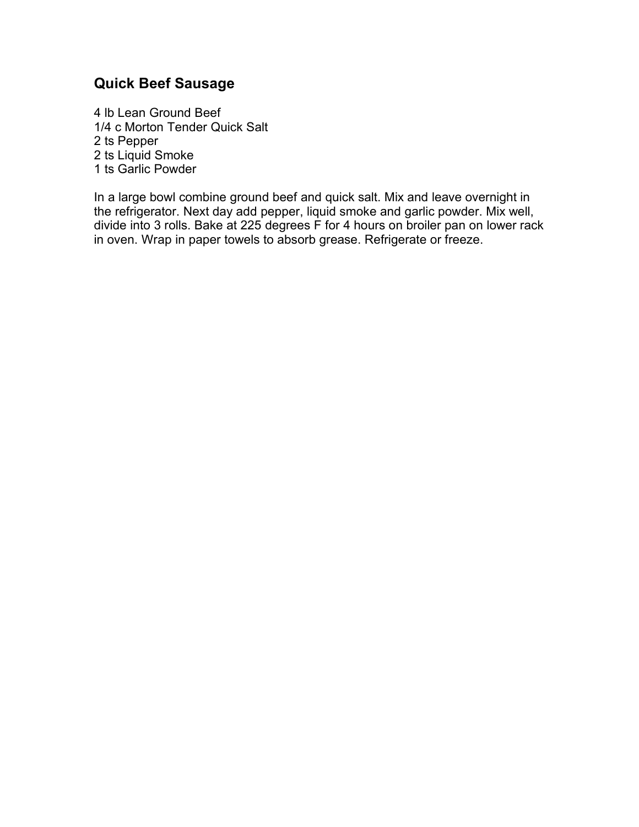### **Quick Beef Sausage**

 lb Lean Ground Beef 1/4 c Morton Tender Quick Salt ts Pepper ts Liquid Smoke ts Garlic Powder

In a large bowl combine ground beef and quick salt. Mix and leave overnight in the refrigerator. Next day add pepper, liquid smoke and garlic powder. Mix well, divide into 3 rolls. Bake at 225 degrees F for 4 hours on broiler pan on lower rack in oven. Wrap in paper towels to absorb grease. Refrigerate or freeze.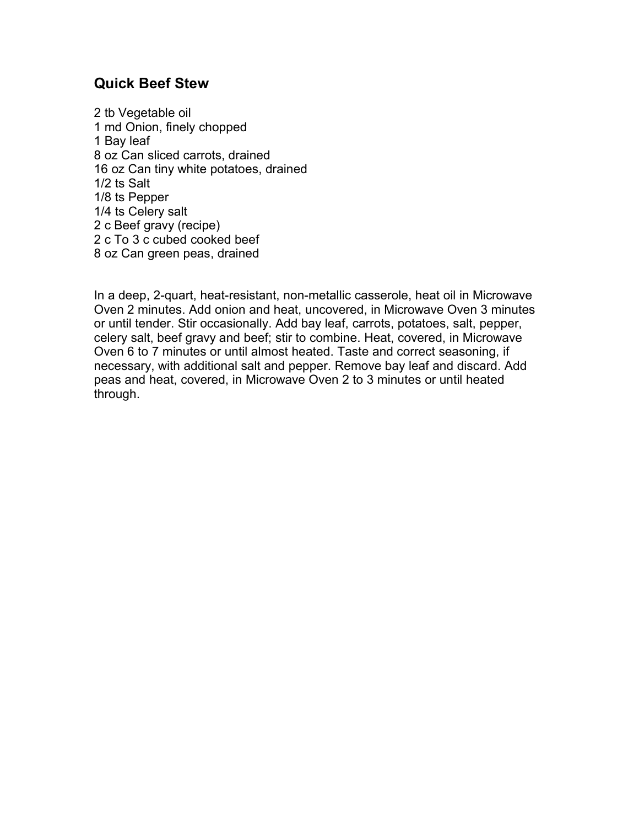#### **Quick Beef Stew**

2 tb Vegetable oil 1 md Onion, finely chopped 1 Bay leaf 8 oz Can sliced carrots, drained 16 oz Can tiny white potatoes, drained 1/2 ts Salt 1/8 ts Pepper 1/4 ts Celery salt 2 c Beef gravy (recipe) 2 c To 3 c cubed cooked beef 8 oz Can green peas, drained

In a deep, 2-quart, heat-resistant, non-metallic casserole, heat oil in Microwave Oven 2 minutes. Add onion and heat, uncovered, in Microwave Oven 3 minutes or until tender. Stir occasionally. Add bay leaf, carrots, potatoes, salt, pepper, celery salt, beef gravy and beef; stir to combine. Heat, covered, in Microwave Oven 6 to 7 minutes or until almost heated. Taste and correct seasoning, if necessary, with additional salt and pepper. Remove bay leaf and discard. Add peas and heat, covered, in Microwave Oven 2 to 3 minutes or until heated through.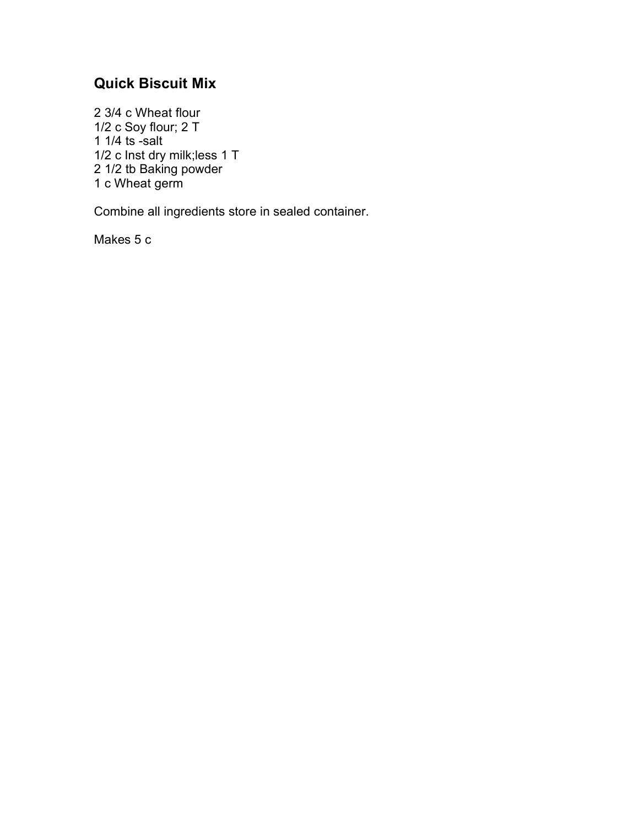## **Quick Biscuit Mix**

2 3/4 c Wheat flour 1/2 c Soy flour; 2 T 1 1/4 ts -salt 1/2 c Inst dry milk;less 1 T 2 1/2 tb Baking powder 1 c Wheat germ

Combine all ingredients store in sealed container.

Makes 5 c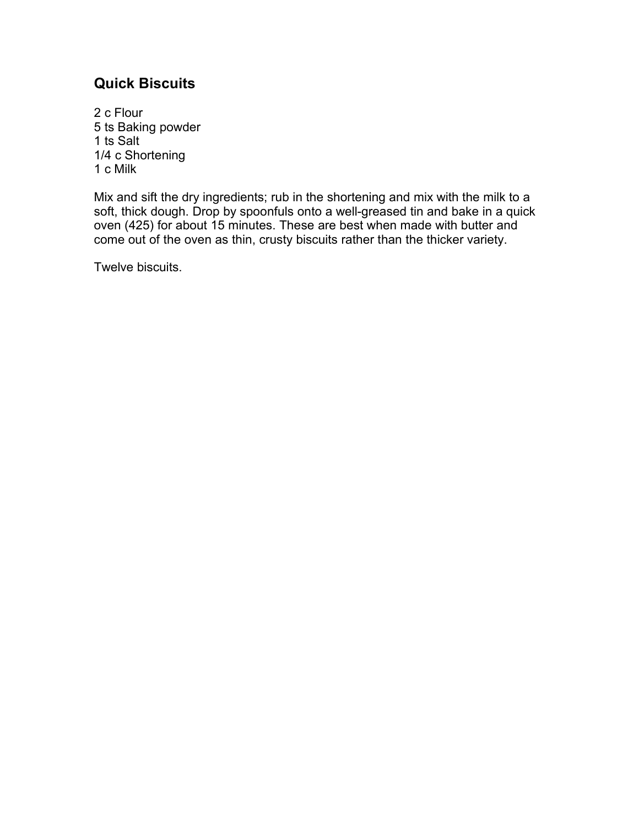## **Quick Biscuits**

2 c Flour 5 ts Baking powder 1 ts Salt 1/4 c Shortening 1 c Milk

Mix and sift the dry ingredients; rub in the shortening and mix with the milk to a soft, thick dough. Drop by spoonfuls onto a well-greased tin and bake in a quick oven (425) for about 15 minutes. These are best when made with butter and come out of the oven as thin, crusty biscuits rather than the thicker variety.

Twelve biscuits.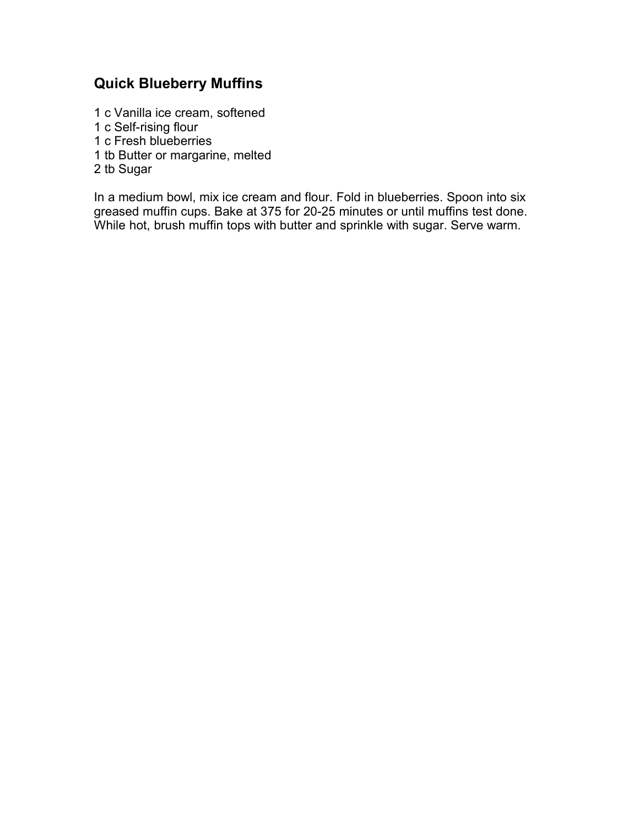### **Quick Blueberry Muffins**

 c Vanilla ice cream, softened c Self-rising flour c Fresh blueberries tb Butter or margarine, melted 2 tb Sugar

In a medium bowl, mix ice cream and flour. Fold in blueberries. Spoon into six greased muffin cups. Bake at 375 for 20-25 minutes or until muffins test done. While hot, brush muffin tops with butter and sprinkle with sugar. Serve warm.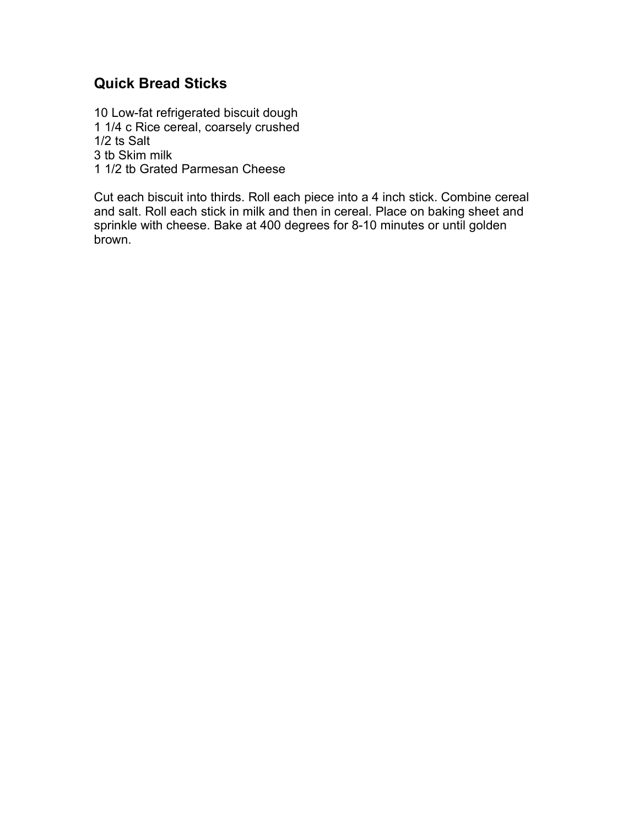## **Quick Bread Sticks**

10 Low-fat refrigerated biscuit dough 1 1/4 c Rice cereal, coarsely crushed 1/2 ts Salt 3 tb Skim milk 1 1/2 tb Grated Parmesan Cheese

Cut each biscuit into thirds. Roll each piece into a 4 inch stick. Combine cereal and salt. Roll each stick in milk and then in cereal. Place on baking sheet and sprinkle with cheese. Bake at 400 degrees for 8-10 minutes or until golden brown.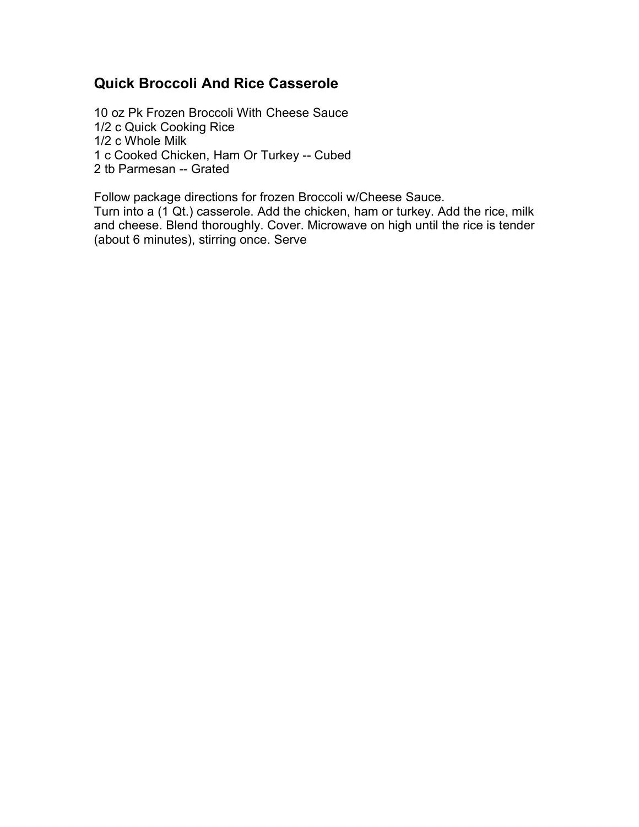### **Quick Broccoli And Rice Casserole**

10 oz Pk Frozen Broccoli With Cheese Sauce 1/2 c Quick Cooking Rice 1/2 c Whole Milk 1 c Cooked Chicken, Ham Or Turkey -- Cubed 2 tb Parmesan -- Grated

Follow package directions for frozen Broccoli w/Cheese Sauce. Turn into a (1 Qt.) casserole. Add the chicken, ham or turkey. Add the rice, milk and cheese. Blend thoroughly. Cover. Microwave on high until the rice is tender (about 6 minutes), stirring once. Serve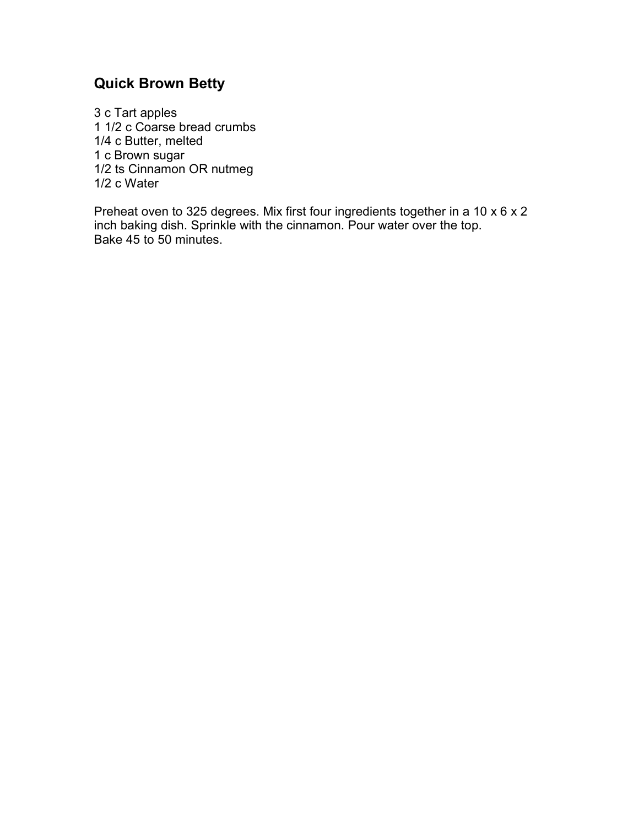# **Quick Brown Betty**

3 c Tart apples 1 1/2 c Coarse bread crumbs 1/4 c Butter, melted 1 c Brown sugar 1/2 ts Cinnamon OR nutmeg 1/2 c Water

Preheat oven to 325 degrees. Mix first four ingredients together in a 10 x 6 x 2 inch baking dish. Sprinkle with the cinnamon. Pour water over the top. Bake 45 to 50 minutes.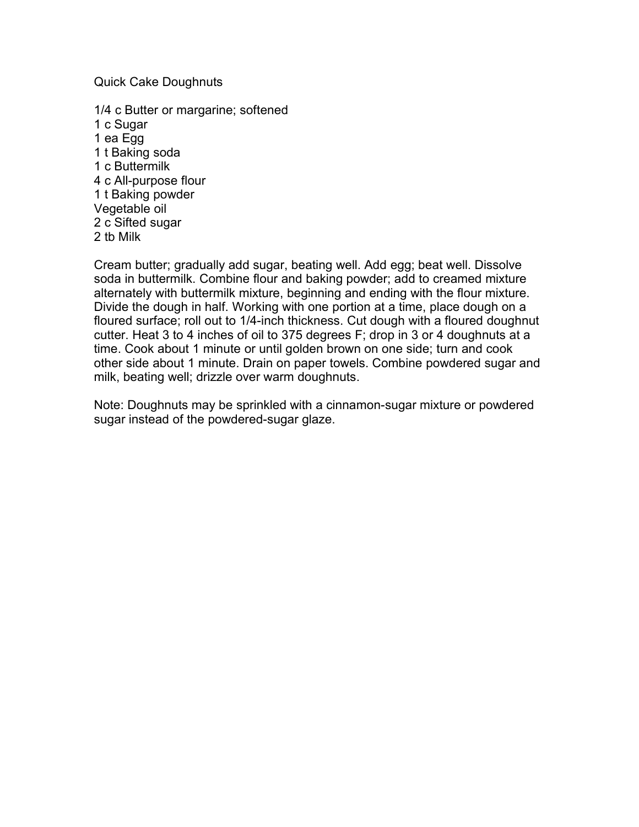Quick Cake Doughnuts

1/4 c Butter or margarine; softened 1 c Sugar 1 ea Egg 1 t Baking soda 1 c Buttermilk 4 c All-purpose flour 1 t Baking powder Vegetable oil 2 c Sifted sugar 2 tb Milk

Cream butter; gradually add sugar, beating well. Add egg; beat well. Dissolve soda in buttermilk. Combine flour and baking powder; add to creamed mixture alternately with buttermilk mixture, beginning and ending with the flour mixture. Divide the dough in half. Working with one portion at a time, place dough on a floured surface; roll out to 1/4-inch thickness. Cut dough with a floured doughnut cutter. Heat 3 to 4 inches of oil to 375 degrees F; drop in 3 or 4 doughnuts at a time. Cook about 1 minute or until golden brown on one side; turn and cook other side about 1 minute. Drain on paper towels. Combine powdered sugar and milk, beating well; drizzle over warm doughnuts.

Note: Doughnuts may be sprinkled with a cinnamon-sugar mixture or powdered sugar instead of the powdered-sugar glaze.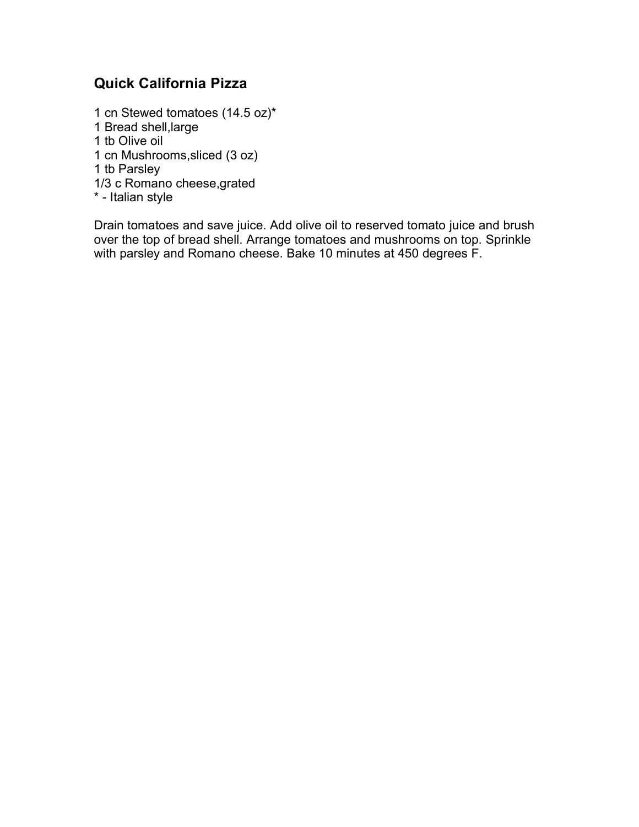### **Quick California Pizza**

 cn Stewed tomatoes (14.5 oz)\* Bread shell,large tb Olive oil cn Mushrooms,sliced (3 oz) tb Parsley 1/3 c Romano cheese,grated \* - Italian style

Drain tomatoes and save juice. Add olive oil to reserved tomato juice and brush over the top of bread shell. Arrange tomatoes and mushrooms on top. Sprinkle with parsley and Romano cheese. Bake 10 minutes at 450 degrees F.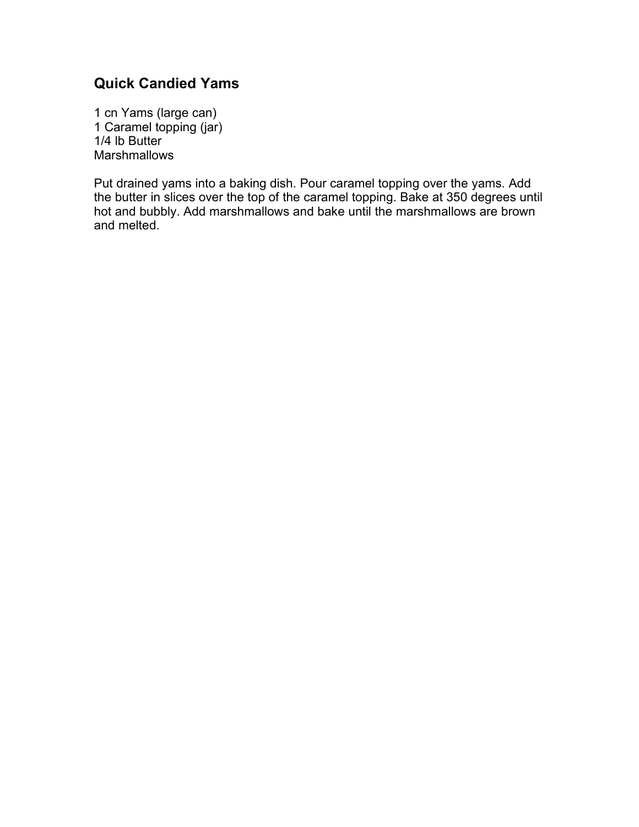# **Quick Candied Yams**

1 cn Yams (large can) 1 Caramel topping (jar) 1/4 lb Butter Marshmallows

Put drained yams into a baking dish. Pour caramel topping over the yams. Add the butter in slices over the top of the caramel topping. Bake at 350 degrees until hot and bubbly. Add marshmallows and bake until the marshmallows are brown and melted.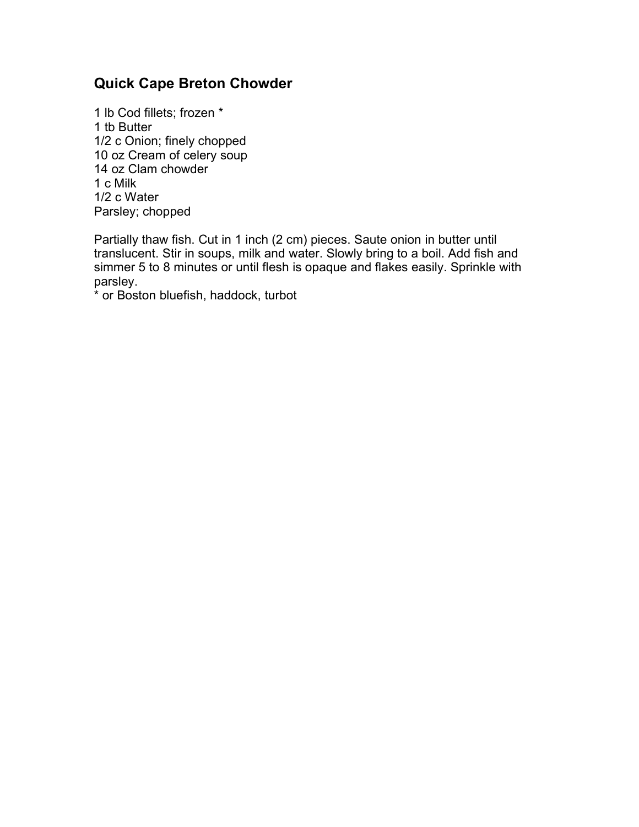### **Quick Cape Breton Chowder**

1 lb Cod fillets; frozen \* 1 tb Butter 1/2 c Onion; finely chopped 10 oz Cream of celery soup 14 oz Clam chowder 1 c Milk 1/2 c Water Parsley; chopped

Partially thaw fish. Cut in 1 inch (2 cm) pieces. Saute onion in butter until translucent. Stir in soups, milk and water. Slowly bring to a boil. Add fish and simmer 5 to 8 minutes or until flesh is opaque and flakes easily. Sprinkle with parsley.

\* or Boston bluefish, haddock, turbot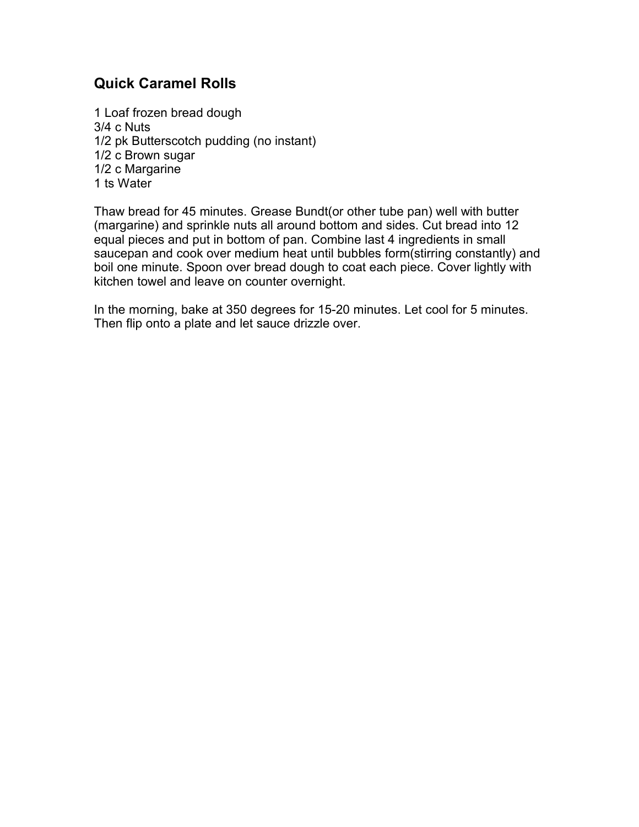### **Quick Caramel Rolls**

1 Loaf frozen bread dough 3/4 c Nuts 1/2 pk Butterscotch pudding (no instant) 1/2 c Brown sugar 1/2 c Margarine 1 ts Water

Thaw bread for 45 minutes. Grease Bundt(or other tube pan) well with butter (margarine) and sprinkle nuts all around bottom and sides. Cut bread into 12 equal pieces and put in bottom of pan. Combine last 4 ingredients in small saucepan and cook over medium heat until bubbles form(stirring constantly) and boil one minute. Spoon over bread dough to coat each piece. Cover lightly with kitchen towel and leave on counter overnight.

In the morning, bake at 350 degrees for 15-20 minutes. Let cool for 5 minutes. Then flip onto a plate and let sauce drizzle over.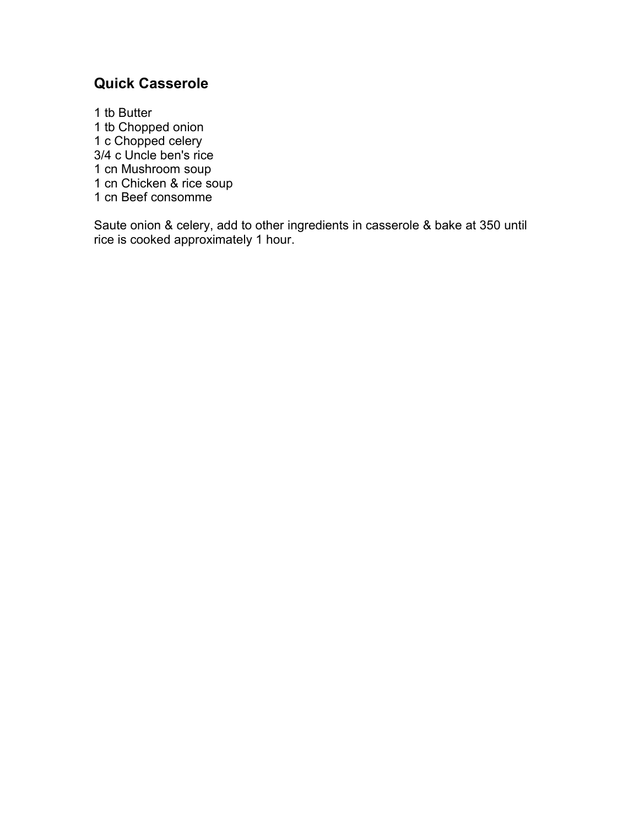## **Quick Casserole**

 tb Butter tb Chopped onion 1 c Chopped celery 3/4 c Uncle ben's rice cn Mushroom soup cn Chicken & rice soup cn Beef consomme

Saute onion & celery, add to other ingredients in casserole & bake at 350 until rice is cooked approximately 1 hour.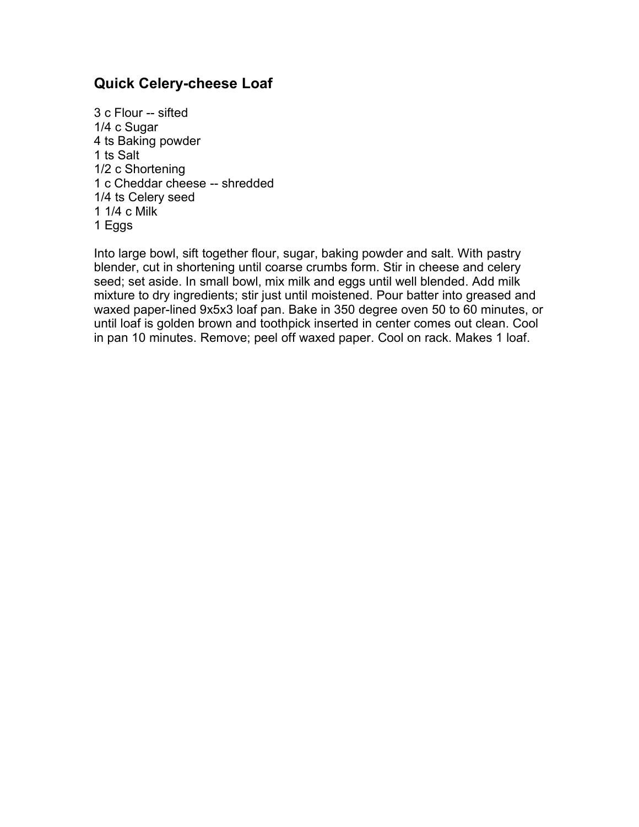### **Quick Celery-cheese Loaf**

3 c Flour -- sifted 1/4 c Sugar 4 ts Baking powder 1 ts Salt 1/2 c Shortening 1 c Cheddar cheese -- shredded 1/4 ts Celery seed 1 1/4 c Milk 1 Eggs

Into large bowl, sift together flour, sugar, baking powder and salt. With pastry blender, cut in shortening until coarse crumbs form. Stir in cheese and celery seed; set aside. In small bowl, mix milk and eggs until well blended. Add milk mixture to dry ingredients; stir just until moistened. Pour batter into greased and waxed paper-lined 9x5x3 loaf pan. Bake in 350 degree oven 50 to 60 minutes, or until loaf is golden brown and toothpick inserted in center comes out clean. Cool in pan 10 minutes. Remove; peel off waxed paper. Cool on rack. Makes 1 loaf.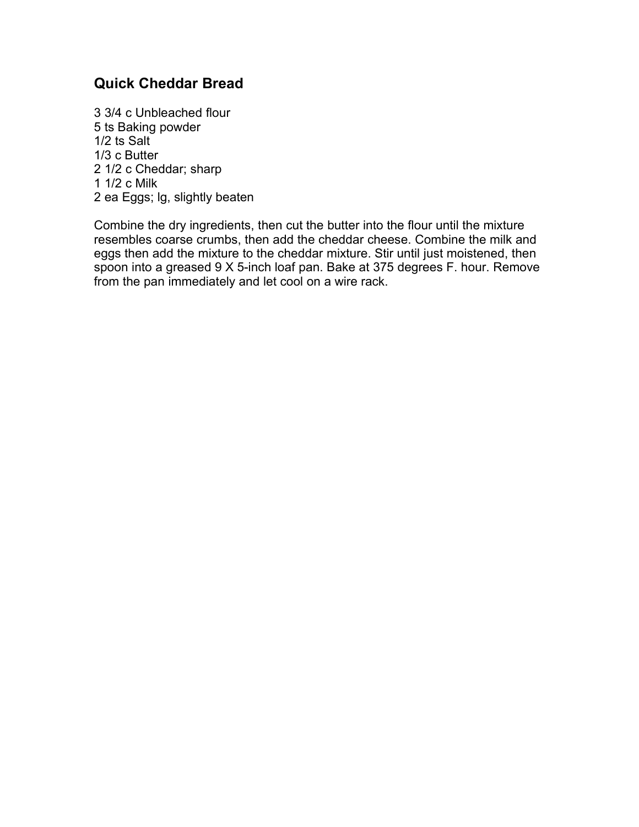### **Quick Cheddar Bread**

 3/4 c Unbleached flour ts Baking powder 1/2 ts Salt 1/3 c Butter 1/2 c Cheddar; sharp 1/2 c Milk ea Eggs; lg, slightly beaten

Combine the dry ingredients, then cut the butter into the flour until the mixture resembles coarse crumbs, then add the cheddar cheese. Combine the milk and eggs then add the mixture to the cheddar mixture. Stir until just moistened, then spoon into a greased 9 X 5-inch loaf pan. Bake at 375 degrees F. hour. Remove from the pan immediately and let cool on a wire rack.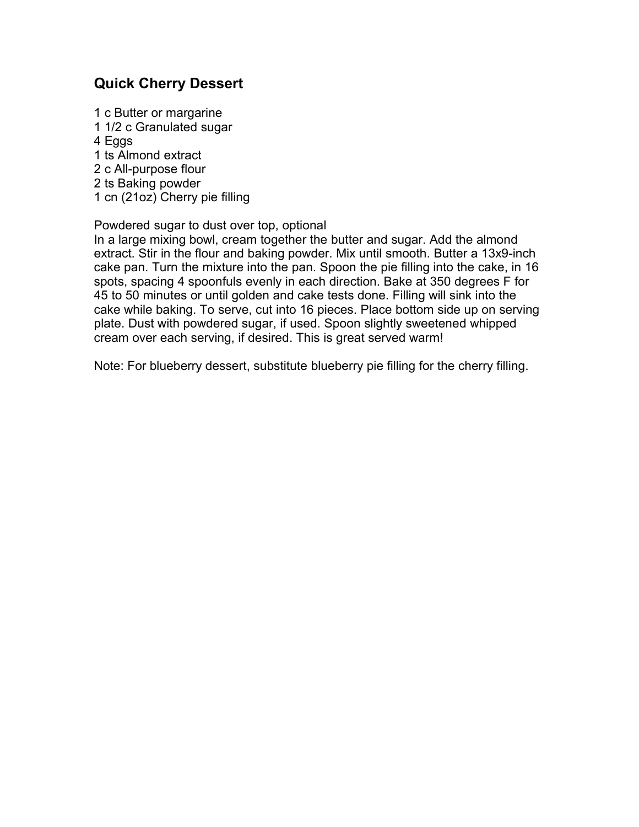### **Quick Cherry Dessert**

 c Butter or margarine 1/2 c Granulated sugar 4 Eggs ts Almond extract c All-purpose flour ts Baking powder cn (21oz) Cherry pie filling

Powdered sugar to dust over top, optional

In a large mixing bowl, cream together the butter and sugar. Add the almond extract. Stir in the flour and baking powder. Mix until smooth. Butter a 13x9-inch cake pan. Turn the mixture into the pan. Spoon the pie filling into the cake, in 16 spots, spacing 4 spoonfuls evenly in each direction. Bake at 350 degrees F for 45 to 50 minutes or until golden and cake tests done. Filling will sink into the cake while baking. To serve, cut into 16 pieces. Place bottom side up on serving plate. Dust with powdered sugar, if used. Spoon slightly sweetened whipped cream over each serving, if desired. This is great served warm!

Note: For blueberry dessert, substitute blueberry pie filling for the cherry filling.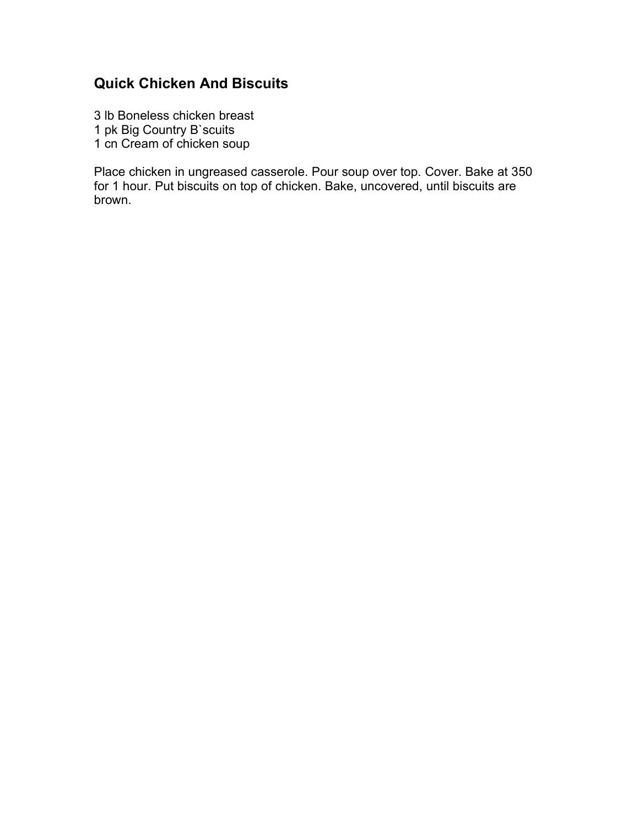## **Quick Chicken And Biscuits**

3 lb Boneless chicken breast 1 pk Big Country B`scuits 1 cn Cream of chicken soup

Place chicken in ungreased casserole. Pour soup over top. Cover. Bake at 350 for 1 hour. Put biscuits on top of chicken. Bake, uncovered, until biscuits are brown.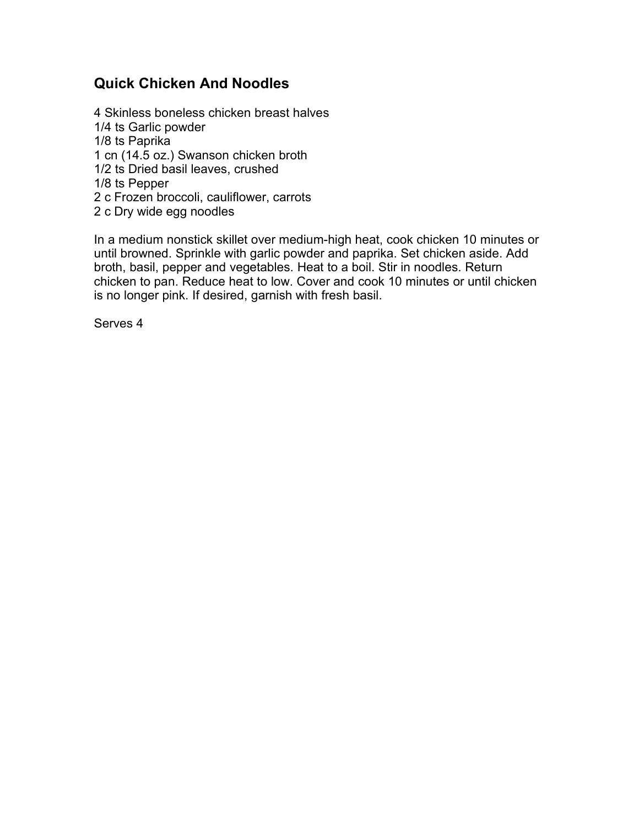### **Quick Chicken And Noodles**

4 Skinless boneless chicken breast halves 1/4 ts Garlic powder 1/8 ts Paprika 1 cn (14.5 oz.) Swanson chicken broth 1/2 ts Dried basil leaves, crushed 1/8 ts Pepper 2 c Frozen broccoli, cauliflower, carrots 2 c Dry wide egg noodles

In a medium nonstick skillet over medium-high heat, cook chicken 10 minutes or until browned. Sprinkle with garlic powder and paprika. Set chicken aside. Add broth, basil, pepper and vegetables. Heat to a boil. Stir in noodles. Return chicken to pan. Reduce heat to low. Cover and cook 10 minutes or until chicken is no longer pink. If desired, garnish with fresh basil.

Serves 4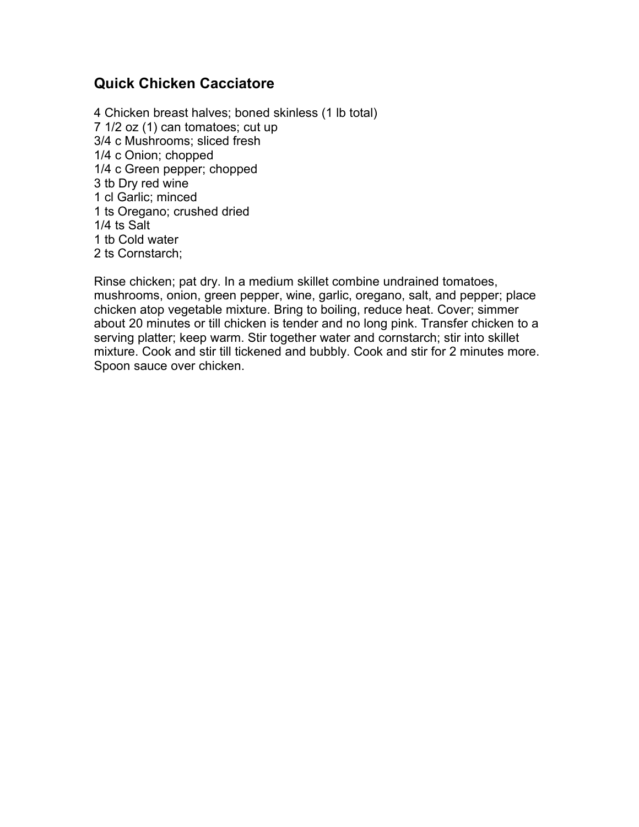#### **Quick Chicken Cacciatore**

 Chicken breast halves; boned skinless (1 lb total) 1/2 oz (1) can tomatoes; cut up 3/4 c Mushrooms; sliced fresh 1/4 c Onion; chopped 1/4 c Green pepper; chopped tb Dry red wine cl Garlic; minced ts Oregano; crushed dried 1/4 ts Salt tb Cold water ts Cornstarch;

Rinse chicken; pat dry. In a medium skillet combine undrained tomatoes, mushrooms, onion, green pepper, wine, garlic, oregano, salt, and pepper; place chicken atop vegetable mixture. Bring to boiling, reduce heat. Cover; simmer about 20 minutes or till chicken is tender and no long pink. Transfer chicken to a serving platter; keep warm. Stir together water and cornstarch; stir into skillet mixture. Cook and stir till tickened and bubbly. Cook and stir for 2 minutes more. Spoon sauce over chicken.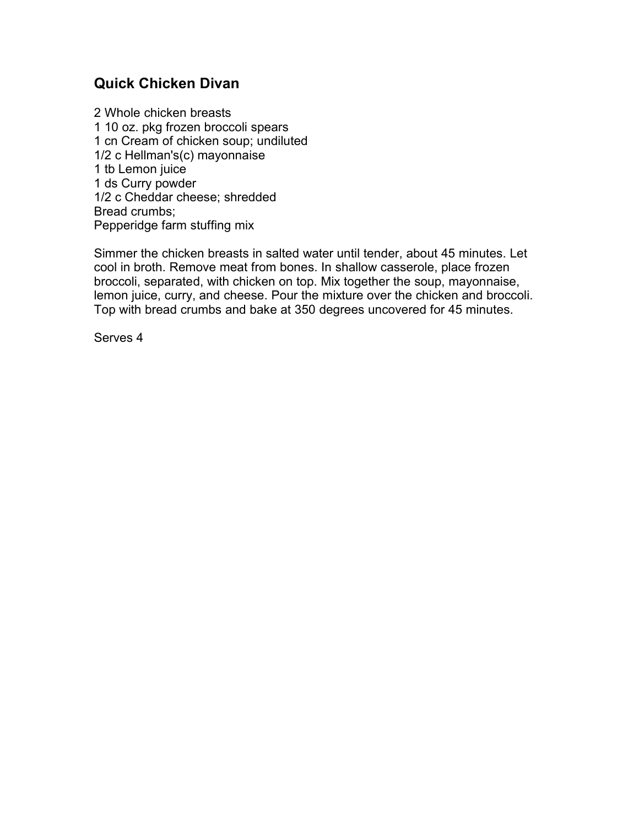# **Quick Chicken Divan**

2 Whole chicken breasts 1 10 oz. pkg frozen broccoli spears 1 cn Cream of chicken soup; undiluted 1/2 c Hellman's(c) mayonnaise 1 tb Lemon juice 1 ds Curry powder 1/2 c Cheddar cheese; shredded Bread crumbs; Pepperidge farm stuffing mix

Simmer the chicken breasts in salted water until tender, about 45 minutes. Let cool in broth. Remove meat from bones. In shallow casserole, place frozen broccoli, separated, with chicken on top. Mix together the soup, mayonnaise, lemon juice, curry, and cheese. Pour the mixture over the chicken and broccoli. Top with bread crumbs and bake at 350 degrees uncovered for 45 minutes.

Serves 4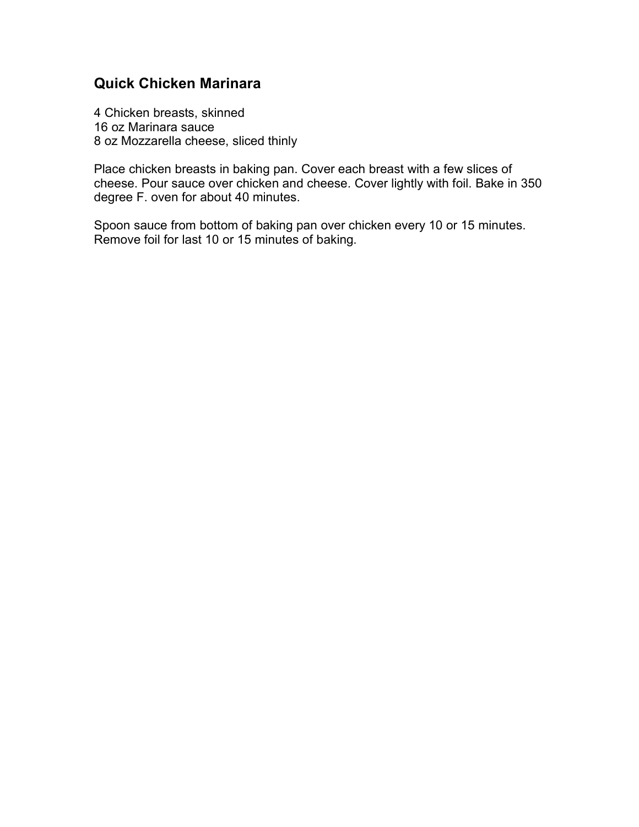# **Quick Chicken Marinara**

4 Chicken breasts, skinned 16 oz Marinara sauce 8 oz Mozzarella cheese, sliced thinly

Place chicken breasts in baking pan. Cover each breast with a few slices of cheese. Pour sauce over chicken and cheese. Cover lightly with foil. Bake in 350 degree F. oven for about 40 minutes.

Spoon sauce from bottom of baking pan over chicken every 10 or 15 minutes. Remove foil for last 10 or 15 minutes of baking.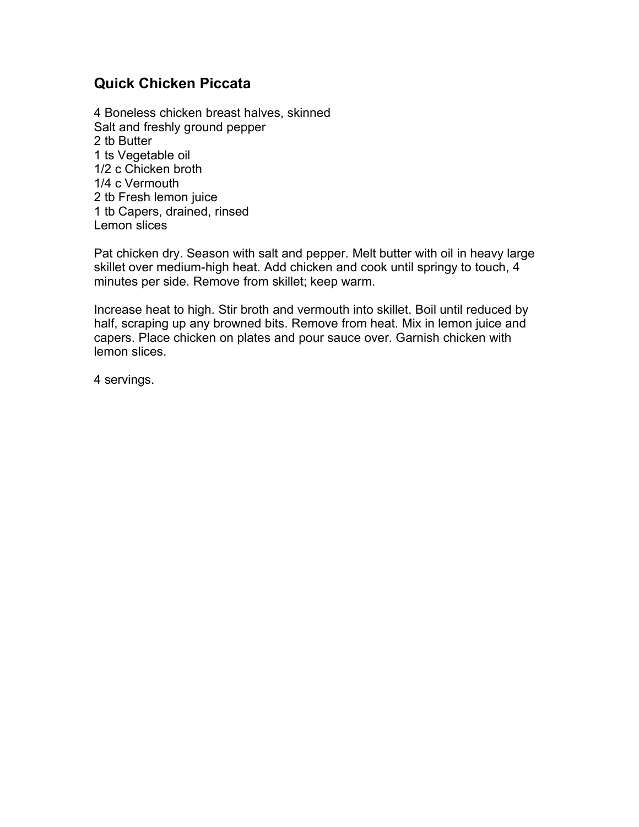#### **Quick Chicken Piccata**

4 Boneless chicken breast halves, skinned Salt and freshly ground pepper 2 tb Butter 1 ts Vegetable oil 1/2 c Chicken broth 1/4 c Vermouth 2 tb Fresh lemon juice 1 tb Capers, drained, rinsed Lemon slices

Pat chicken dry. Season with salt and pepper. Melt butter with oil in heavy large skillet over medium-high heat. Add chicken and cook until springy to touch, 4 minutes per side. Remove from skillet; keep warm.

Increase heat to high. Stir broth and vermouth into skillet. Boil until reduced by half, scraping up any browned bits. Remove from heat. Mix in lemon juice and capers. Place chicken on plates and pour sauce over. Garnish chicken with lemon slices.

4 servings.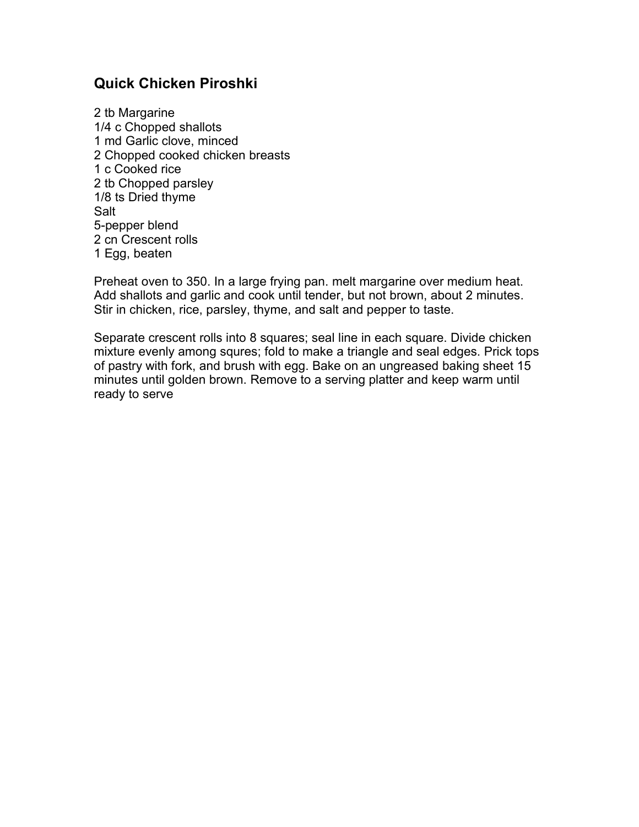#### **Quick Chicken Piroshki**

 tb Margarine 1/4 c Chopped shallots md Garlic clove, minced Chopped cooked chicken breasts c Cooked rice tb Chopped parsley 1/8 ts Dried thyme **Salt** 5-pepper blend cn Crescent rolls Egg, beaten

Preheat oven to 350. In a large frying pan. melt margarine over medium heat. Add shallots and garlic and cook until tender, but not brown, about 2 minutes. Stir in chicken, rice, parsley, thyme, and salt and pepper to taste.

Separate crescent rolls into 8 squares; seal line in each square. Divide chicken mixture evenly among squres; fold to make a triangle and seal edges. Prick tops of pastry with fork, and brush with egg. Bake on an ungreased baking sheet 15 minutes until golden brown. Remove to a serving platter and keep warm until ready to serve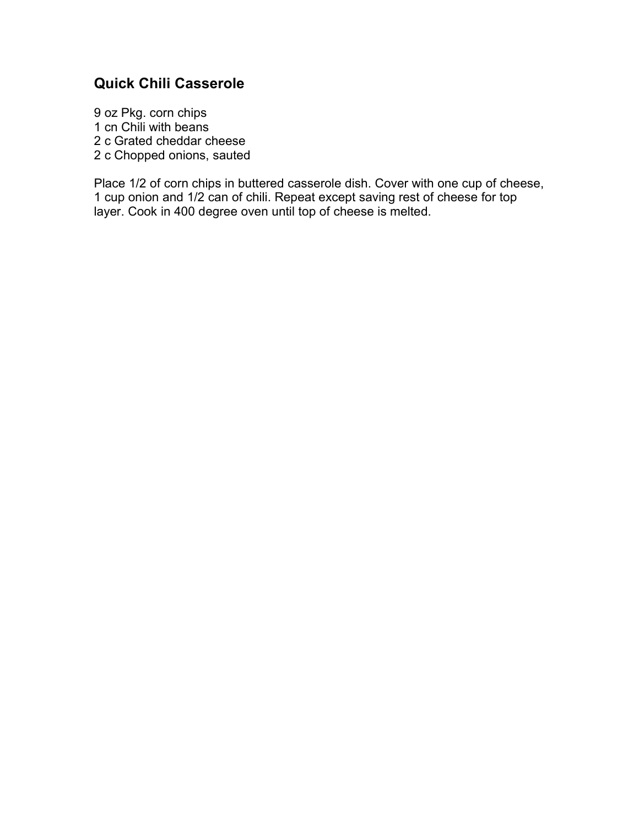# **Quick Chili Casserole**

 oz Pkg. corn chips cn Chili with beans c Grated cheddar cheese c Chopped onions, sauted

Place 1/2 of corn chips in buttered casserole dish. Cover with one cup of cheese, cup onion and 1/2 can of chili. Repeat except saving rest of cheese for top layer. Cook in 400 degree oven until top of cheese is melted.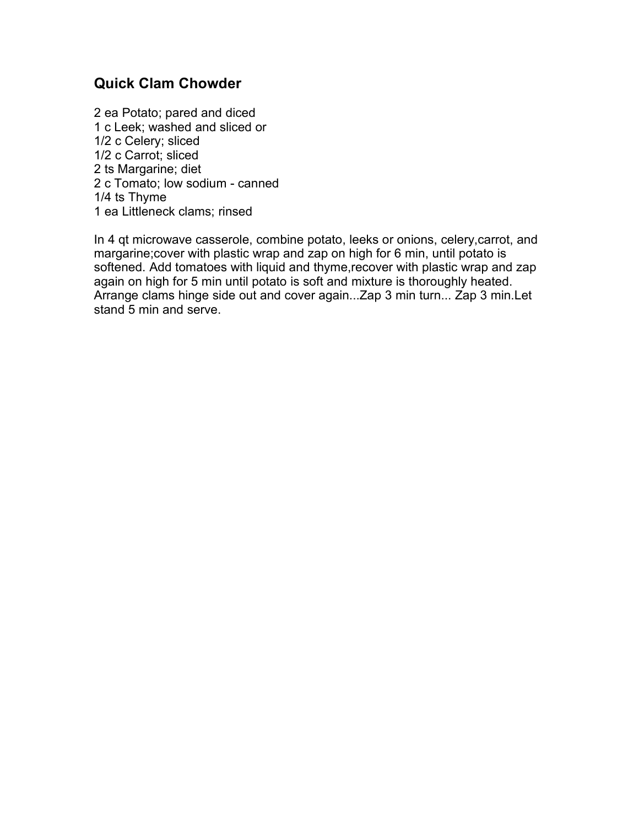# **Quick Clam Chowder**

 ea Potato; pared and diced c Leek; washed and sliced or 1/2 c Celery; sliced 1/2 c Carrot; sliced ts Margarine; diet c Tomato; low sodium - canned 1/4 ts Thyme ea Littleneck clams; rinsed

In 4 qt microwave casserole, combine potato, leeks or onions, celery,carrot, and margarine;cover with plastic wrap and zap on high for 6 min, until potato is softened. Add tomatoes with liquid and thyme,recover with plastic wrap and zap again on high for 5 min until potato is soft and mixture is thoroughly heated. Arrange clams hinge side out and cover again...Zap 3 min turn... Zap 3 min.Let stand 5 min and serve.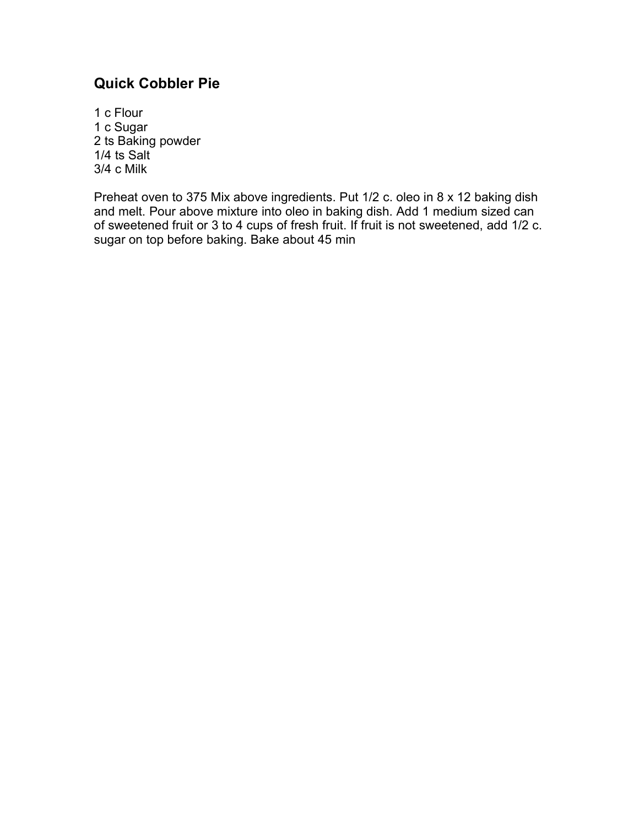# **Quick Cobbler Pie**

1 c Flour 1 c Sugar 2 ts Baking powder 1/4 ts Salt 3/4 c Milk

Preheat oven to 375 Mix above ingredients. Put 1/2 c. oleo in 8 x 12 baking dish and melt. Pour above mixture into oleo in baking dish. Add 1 medium sized can of sweetened fruit or 3 to 4 cups of fresh fruit. If fruit is not sweetened, add 1/2 c. sugar on top before baking. Bake about 45 min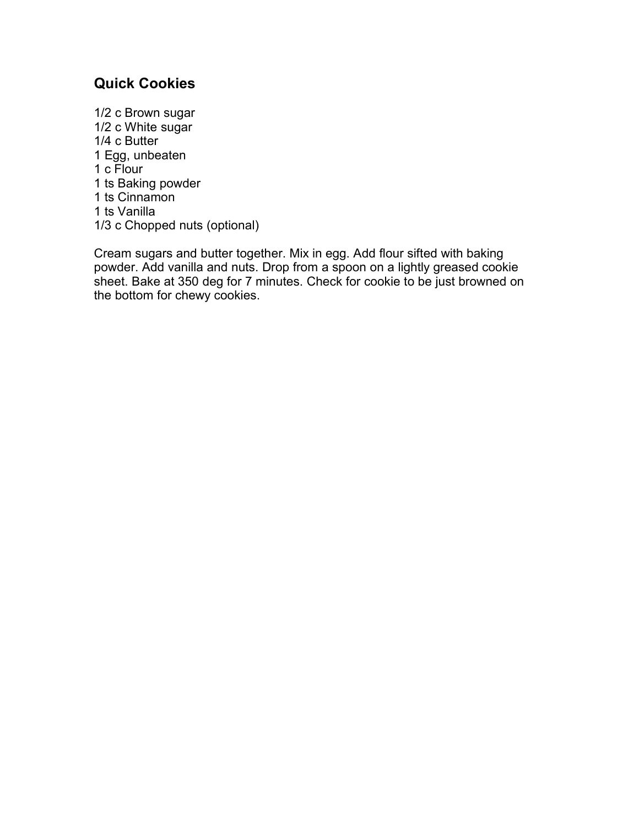# **Quick Cookies**

1/2 c Brown sugar 1/2 c White sugar 1/4 c Butter 1 Egg, unbeaten 1 c Flour 1 ts Baking powder 1 ts Cinnamon 1 ts Vanilla 1/3 c Chopped nuts (optional)

Cream sugars and butter together. Mix in egg. Add flour sifted with baking powder. Add vanilla and nuts. Drop from a spoon on a lightly greased cookie sheet. Bake at 350 deg for 7 minutes. Check for cookie to be just browned on the bottom for chewy cookies.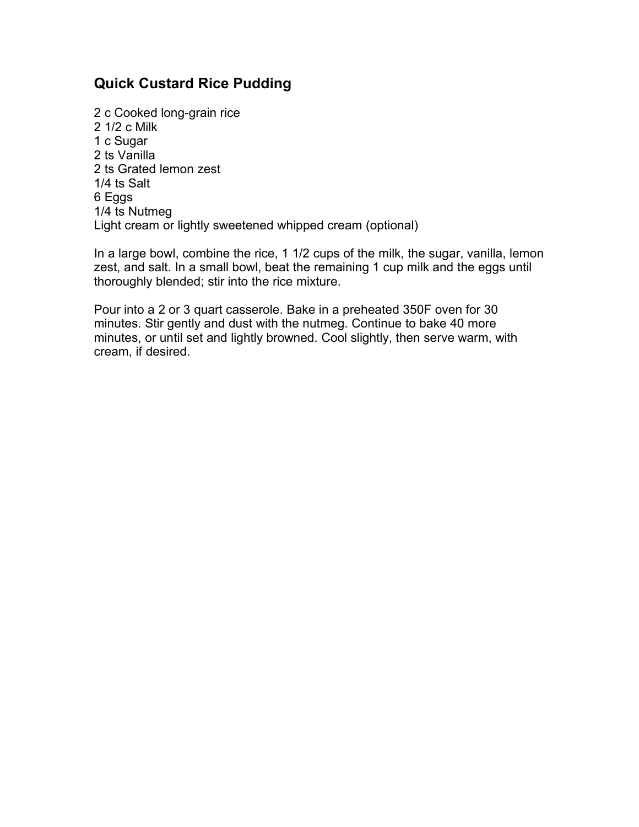# **Quick Custard Rice Pudding**

2 c Cooked long-grain rice 2 1/2 c Milk 1 c Sugar 2 ts Vanilla 2 ts Grated lemon zest 1/4 ts Salt 6 Eggs 1/4 ts Nutmeg Light cream or lightly sweetened whipped cream (optional)

In a large bowl, combine the rice, 1 1/2 cups of the milk, the sugar, vanilla, lemon zest, and salt. In a small bowl, beat the remaining 1 cup milk and the eggs until thoroughly blended; stir into the rice mixture.

Pour into a 2 or 3 quart casserole. Bake in a preheated 350F oven for 30 minutes. Stir gently and dust with the nutmeg. Continue to bake 40 more minutes, or until set and lightly browned. Cool slightly, then serve warm, with cream, if desired.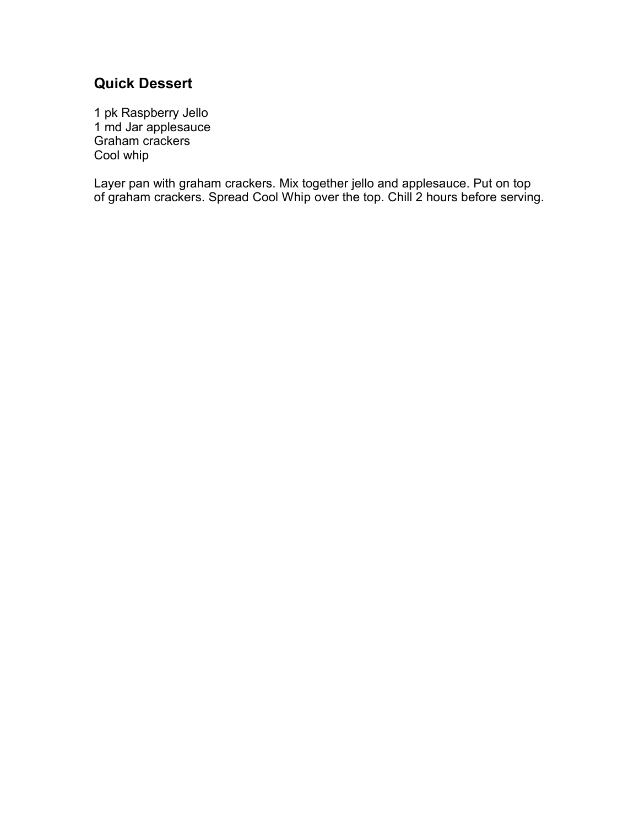# **Quick Dessert**

1 pk Raspberry Jello 1 md Jar applesauce Graham crackers Cool whip

Layer pan with graham crackers. Mix together jello and applesauce. Put on top of graham crackers. Spread Cool Whip over the top. Chill 2 hours before serving.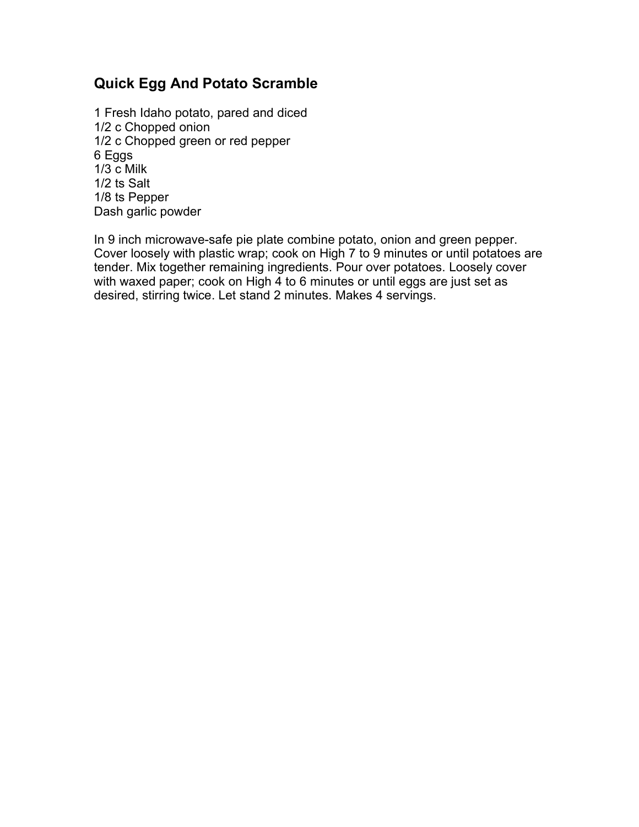# **Quick Egg And Potato Scramble**

1 Fresh Idaho potato, pared and diced 1/2 c Chopped onion 1/2 c Chopped green or red pepper 6 Eggs 1/3 c Milk 1/2 ts Salt 1/8 ts Pepper Dash garlic powder

In 9 inch microwave-safe pie plate combine potato, onion and green pepper. Cover loosely with plastic wrap; cook on High 7 to 9 minutes or until potatoes are tender. Mix together remaining ingredients. Pour over potatoes. Loosely cover with waxed paper; cook on High 4 to 6 minutes or until eggs are just set as desired, stirring twice. Let stand 2 minutes. Makes 4 servings.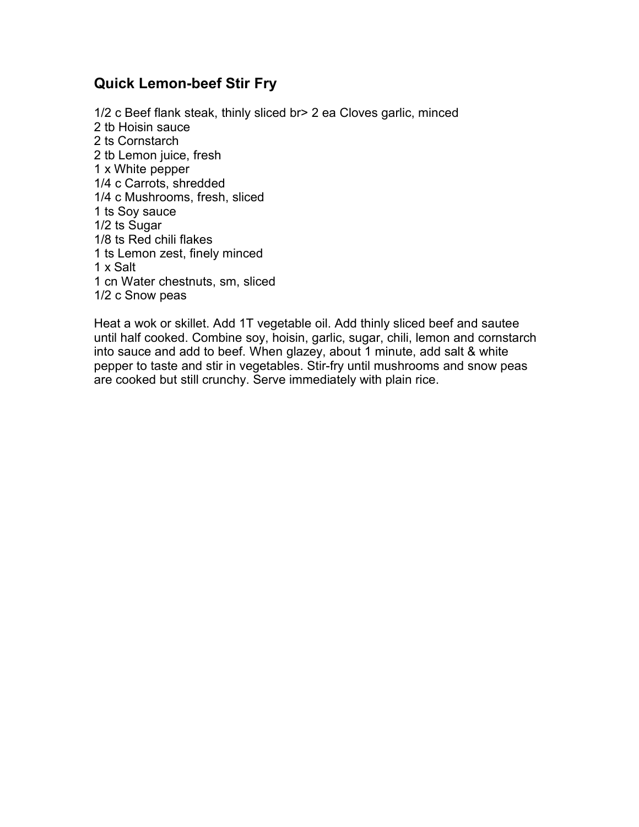#### **Quick Lemon-beef Stir Fry**

1/2 c Beef flank steak, thinly sliced br> 2 ea Cloves garlic, minced 2 tb Hoisin sauce 2 ts Cornstarch 2 tb Lemon juice, fresh 1 x White pepper 1/4 c Carrots, shredded 1/4 c Mushrooms, fresh, sliced 1 ts Soy sauce 1/2 ts Sugar 1/8 ts Red chili flakes 1 ts Lemon zest, finely minced 1 x Salt 1 cn Water chestnuts, sm, sliced 1/2 c Snow peas

Heat a wok or skillet. Add 1T vegetable oil. Add thinly sliced beef and sautee until half cooked. Combine soy, hoisin, garlic, sugar, chili, lemon and cornstarch into sauce and add to beef. When glazey, about 1 minute, add salt & white pepper to taste and stir in vegetables. Stir-fry until mushrooms and snow peas are cooked but still crunchy. Serve immediately with plain rice.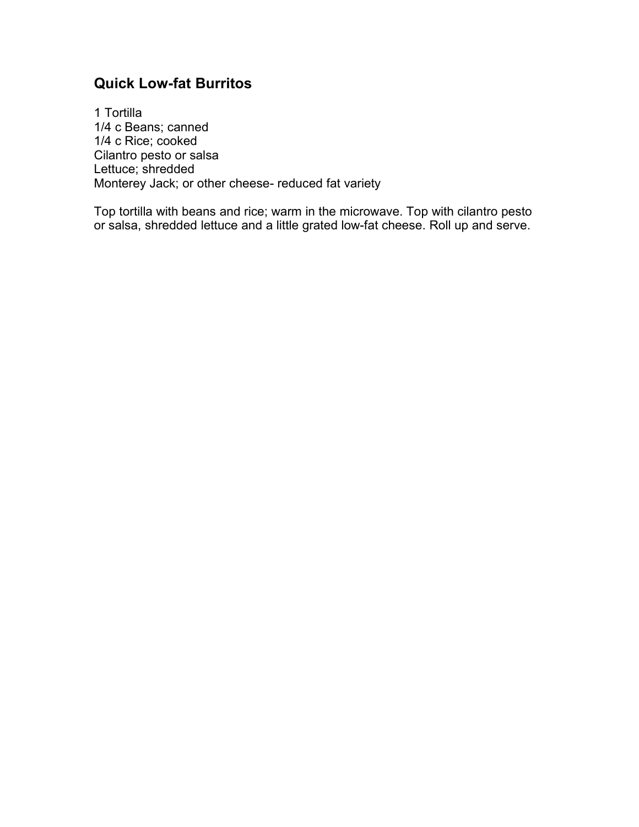# **Quick Low-fat Burritos**

1 Tortilla 1/4 c Beans; canned 1/4 c Rice; cooked Cilantro pesto or salsa Lettuce; shredded Monterey Jack; or other cheese- reduced fat variety

Top tortilla with beans and rice; warm in the microwave. Top with cilantro pesto or salsa, shredded lettuce and a little grated low-fat cheese. Roll up and serve.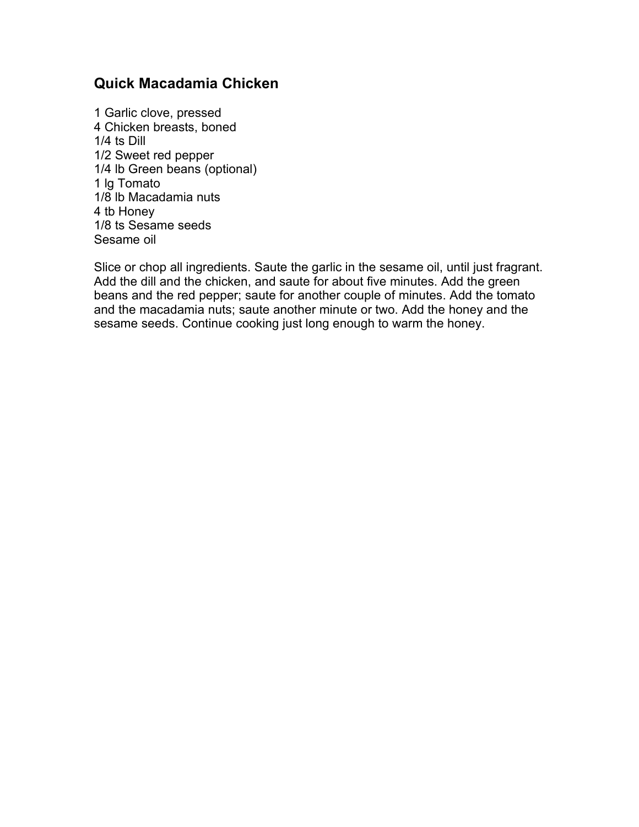# **Quick Macadamia Chicken**

1 Garlic clove, pressed 4 Chicken breasts, boned 1/4 ts Dill 1/2 Sweet red pepper 1/4 lb Green beans (optional) 1 lg Tomato 1/8 lb Macadamia nuts 4 tb Honey 1/8 ts Sesame seeds Sesame oil

Slice or chop all ingredients. Saute the garlic in the sesame oil, until just fragrant. Add the dill and the chicken, and saute for about five minutes. Add the green beans and the red pepper; saute for another couple of minutes. Add the tomato and the macadamia nuts; saute another minute or two. Add the honey and the sesame seeds. Continue cooking just long enough to warm the honey.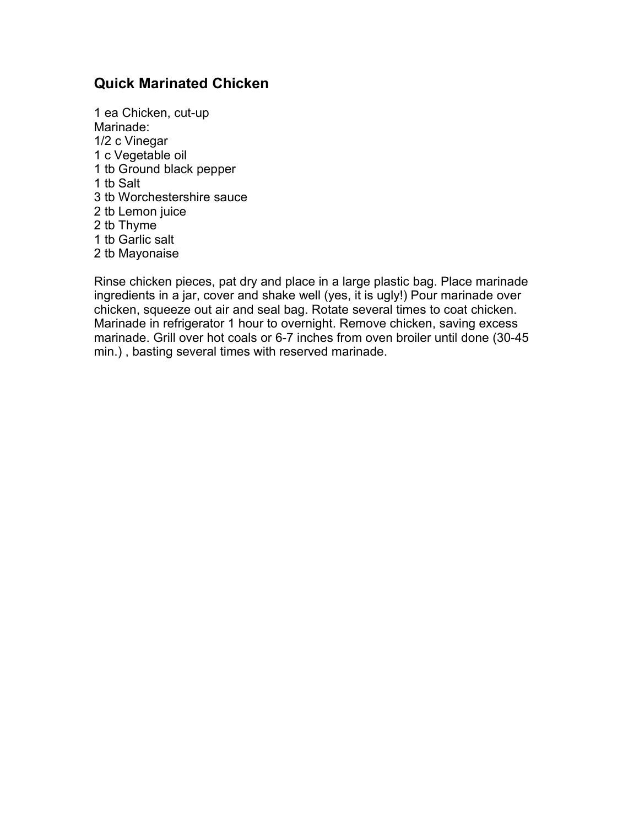#### **Quick Marinated Chicken**

 ea Chicken, cut-up Marinade: 1/2 c Vinegar c Vegetable oil tb Ground black pepper 1 tb Salt tb Worchestershire sauce tb Lemon juice 2 tb Thyme tb Garlic salt tb Mayonaise

Rinse chicken pieces, pat dry and place in a large plastic bag. Place marinade ingredients in a jar, cover and shake well (yes, it is ugly!) Pour marinade over chicken, squeeze out air and seal bag. Rotate several times to coat chicken. Marinade in refrigerator 1 hour to overnight. Remove chicken, saving excess marinade. Grill over hot coals or 6-7 inches from oven broiler until done (30-45 min.) , basting several times with reserved marinade.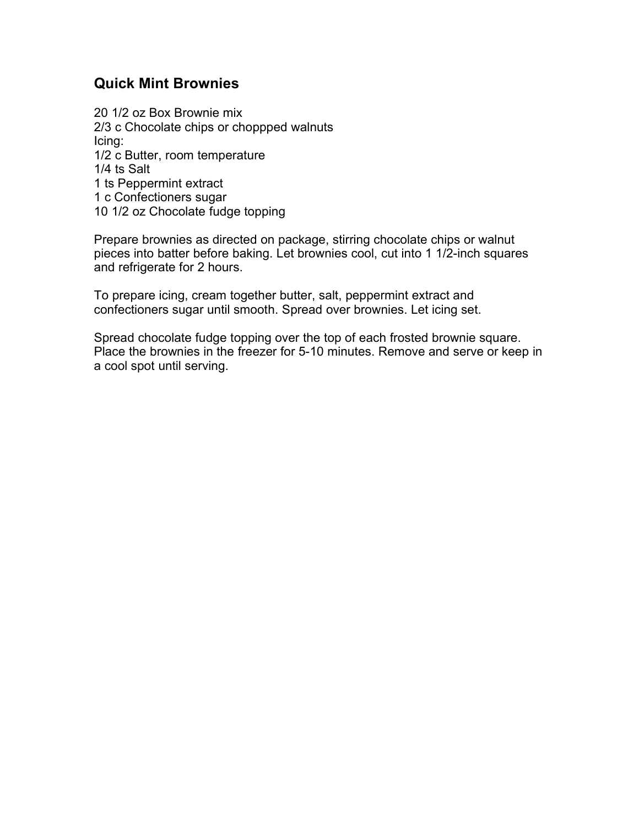#### **Quick Mint Brownies**

20 1/2 oz Box Brownie mix 2/3 c Chocolate chips or choppped walnuts Icing: 1/2 c Butter, room temperature 1/4 ts Salt 1 ts Peppermint extract 1 c Confectioners sugar 10 1/2 oz Chocolate fudge topping

Prepare brownies as directed on package, stirring chocolate chips or walnut pieces into batter before baking. Let brownies cool, cut into 1 1/2-inch squares and refrigerate for 2 hours.

To prepare icing, cream together butter, salt, peppermint extract and confectioners sugar until smooth. Spread over brownies. Let icing set.

Spread chocolate fudge topping over the top of each frosted brownie square. Place the brownies in the freezer for 5-10 minutes. Remove and serve or keep in a cool spot until serving.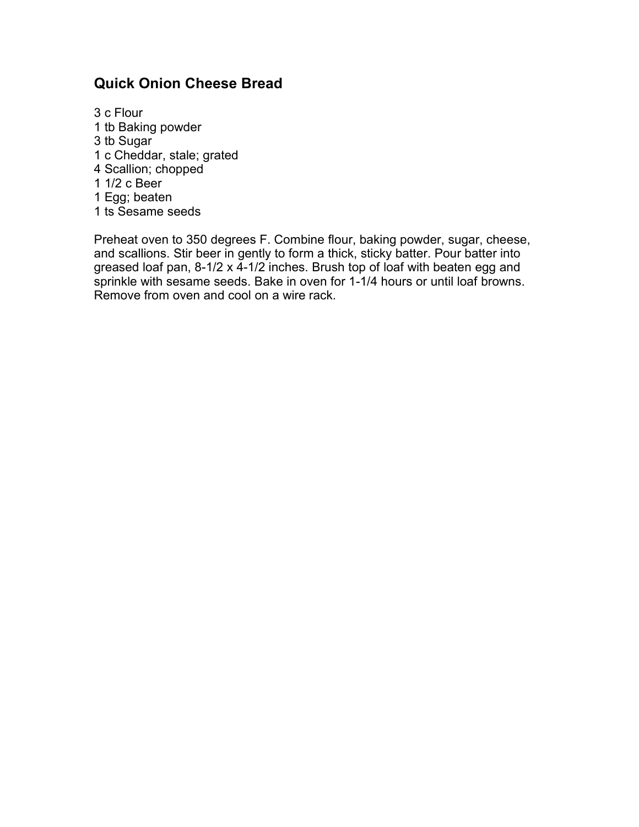### **Quick Onion Cheese Bread**

3 c Flour tb Baking powder 3 tb Sugar c Cheddar, stale; grated Scallion; chopped 1/2 c Beer Egg; beaten ts Sesame seeds

Preheat oven to 350 degrees F. Combine flour, baking powder, sugar, cheese, and scallions. Stir beer in gently to form a thick, sticky batter. Pour batter into greased loaf pan, 8-1/2 x 4-1/2 inches. Brush top of loaf with beaten egg and sprinkle with sesame seeds. Bake in oven for 1-1/4 hours or until loaf browns. Remove from oven and cool on a wire rack.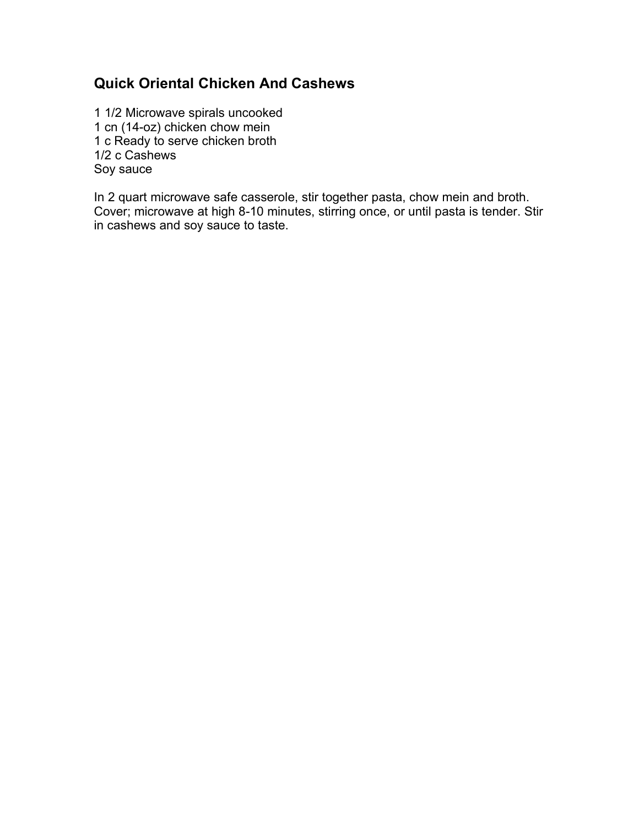# **Quick Oriental Chicken And Cashews**

1 1/2 Microwave spirals uncooked 1 cn (14-oz) chicken chow mein 1 c Ready to serve chicken broth 1/2 c Cashews Soy sauce

In 2 quart microwave safe casserole, stir together pasta, chow mein and broth. Cover; microwave at high 8-10 minutes, stirring once, or until pasta is tender. Stir in cashews and soy sauce to taste.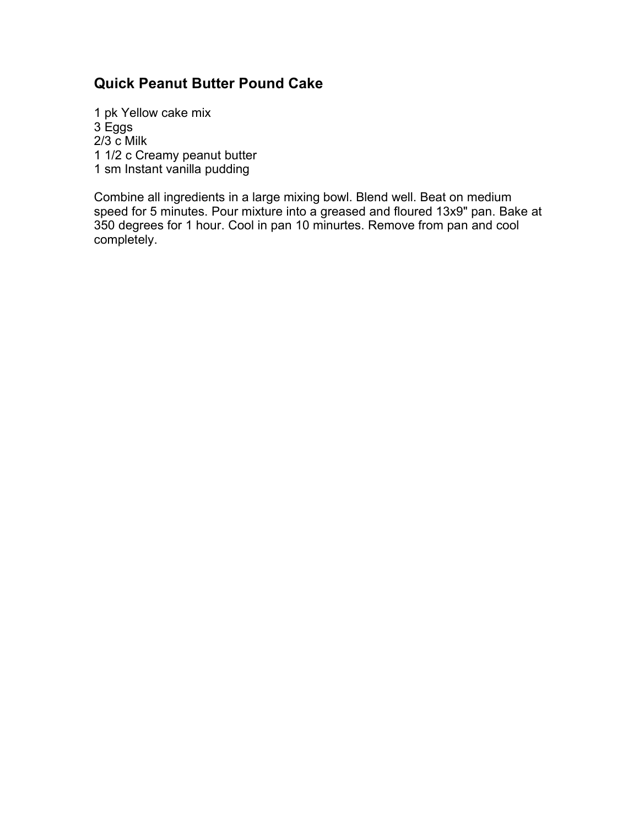# **Quick Peanut Butter Pound Cake**

1 pk Yellow cake mix 3 Eggs 2/3 c Milk 1 1/2 c Creamy peanut butter 1 sm Instant vanilla pudding

Combine all ingredients in a large mixing bowl. Blend well. Beat on medium speed for 5 minutes. Pour mixture into a greased and floured 13x9" pan. Bake at 350 degrees for 1 hour. Cool in pan 10 minurtes. Remove from pan and cool completely.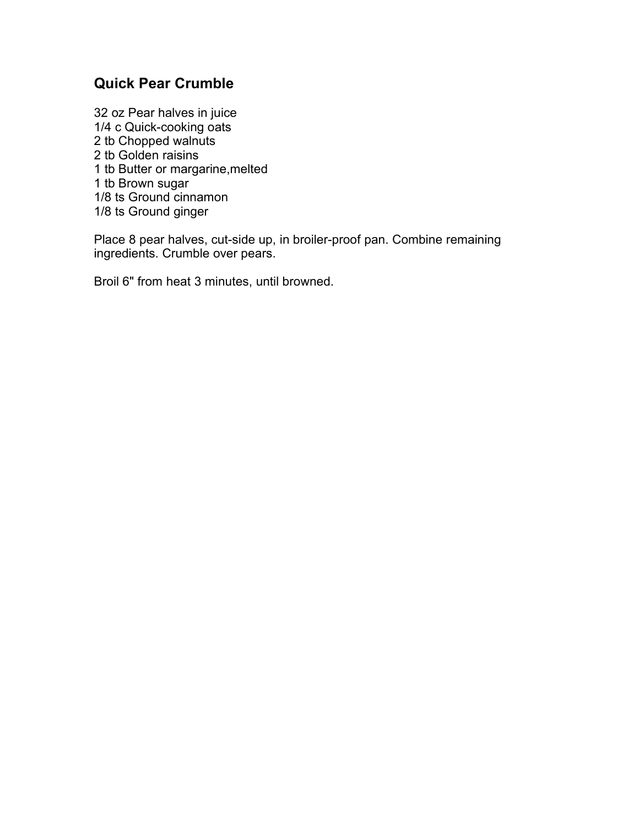### **Quick Pear Crumble**

32 oz Pear halves in juice 1/4 c Quick-cooking oats 2 tb Chopped walnuts 2 tb Golden raisins 1 tb Butter or margarine,melted 1 tb Brown sugar 1/8 ts Ground cinnamon 1/8 ts Ground ginger

Place 8 pear halves, cut-side up, in broiler-proof pan. Combine remaining ingredients. Crumble over pears.

Broil 6" from heat 3 minutes, until browned.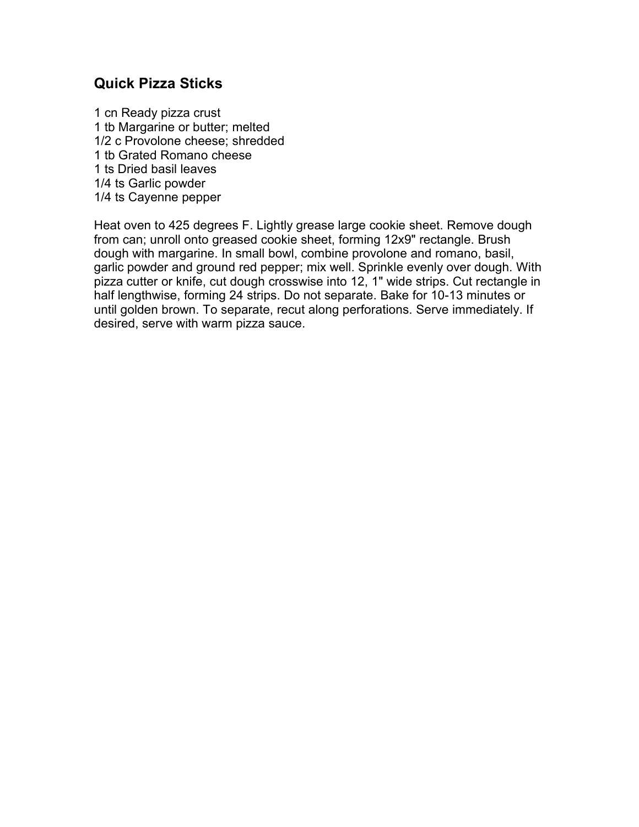#### **Quick Pizza Sticks**

1 cn Ready pizza crust 1 tb Margarine or butter; melted 1/2 c Provolone cheese; shredded 1 tb Grated Romano cheese 1 ts Dried basil leaves 1/4 ts Garlic powder 1/4 ts Cayenne pepper

Heat oven to 425 degrees F. Lightly grease large cookie sheet. Remove dough from can; unroll onto greased cookie sheet, forming 12x9" rectangle. Brush dough with margarine. In small bowl, combine provolone and romano, basil, garlic powder and ground red pepper; mix well. Sprinkle evenly over dough. With pizza cutter or knife, cut dough crosswise into 12, 1" wide strips. Cut rectangle in half lengthwise, forming 24 strips. Do not separate. Bake for 10-13 minutes or until golden brown. To separate, recut along perforations. Serve immediately. If desired, serve with warm pizza sauce.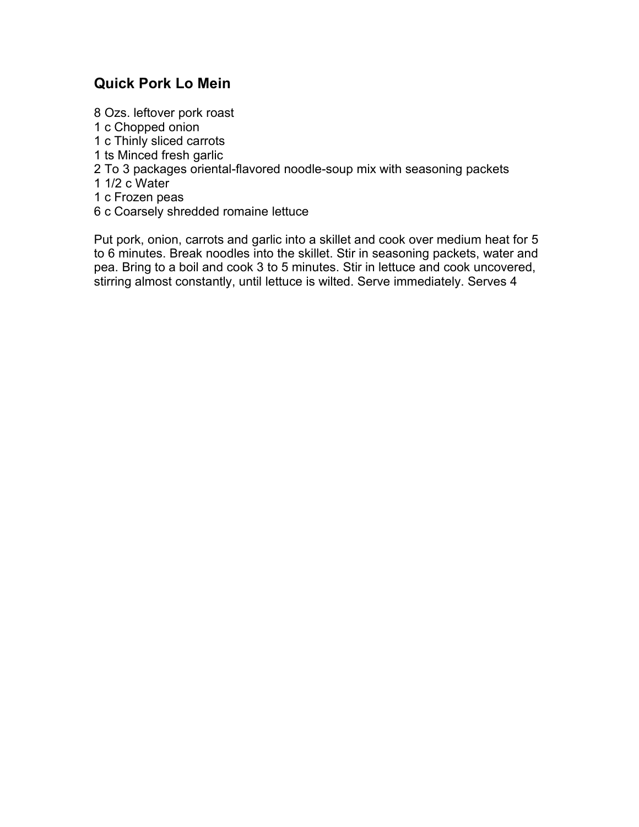### **Quick Pork Lo Mein**

- Ozs. leftover pork roast
- c Chopped onion
- c Thinly sliced carrots
- ts Minced fresh garlic
- To 3 packages oriental-flavored noodle-soup mix with seasoning packets
- 1/2 c Water
- c Frozen peas
- c Coarsely shredded romaine lettuce

Put pork, onion, carrots and garlic into a skillet and cook over medium heat for 5 to 6 minutes. Break noodles into the skillet. Stir in seasoning packets, water and pea. Bring to a boil and cook 3 to 5 minutes. Stir in lettuce and cook uncovered, stirring almost constantly, until lettuce is wilted. Serve immediately. Serves 4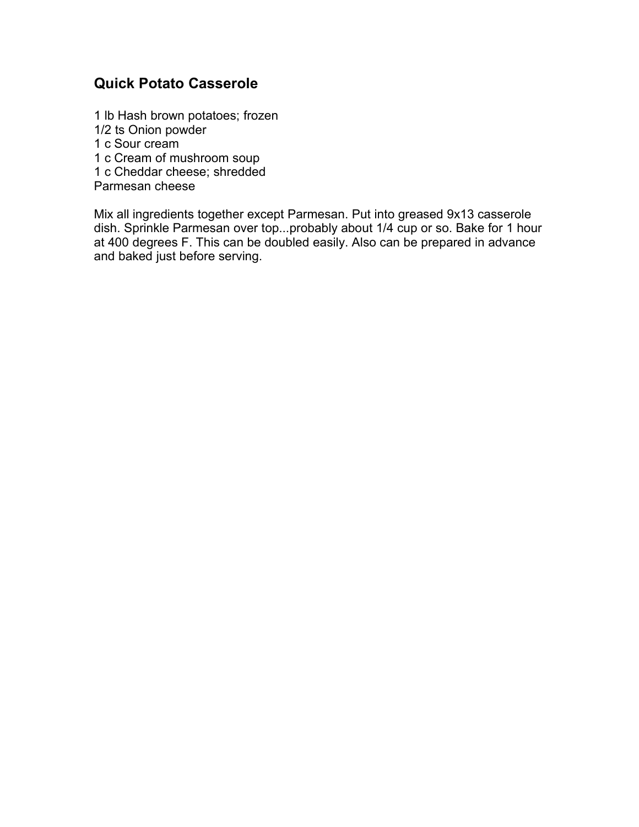# **Quick Potato Casserole**

 lb Hash brown potatoes; frozen 1/2 ts Onion powder c Sour cream c Cream of mushroom soup c Cheddar cheese; shredded Parmesan cheese

Mix all ingredients together except Parmesan. Put into greased 9x13 casserole dish. Sprinkle Parmesan over top...probably about 1/4 cup or so. Bake for 1 hour at 400 degrees F. This can be doubled easily. Also can be prepared in advance and baked just before serving.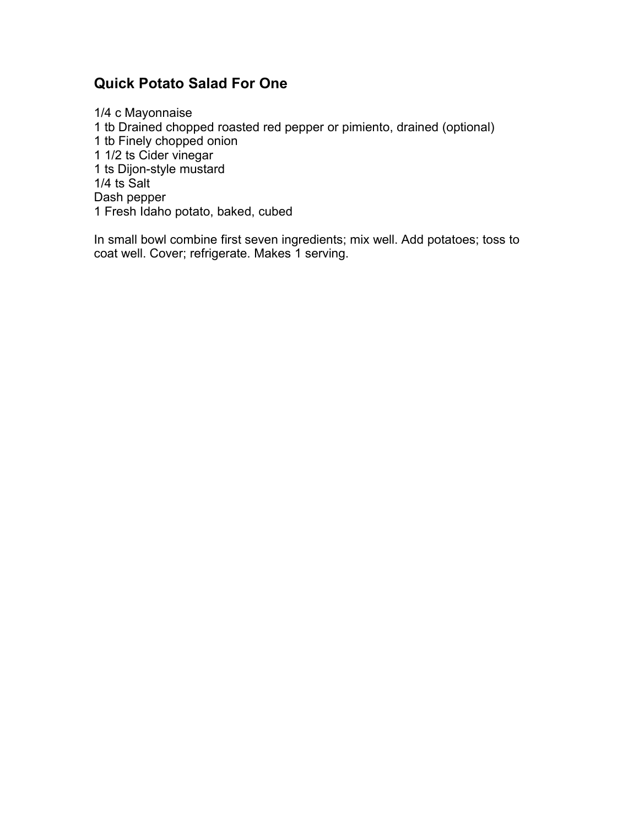# **Quick Potato Salad For One**

1/4 c Mayonnaise tb Drained chopped roasted red pepper or pimiento, drained (optional) tb Finely chopped onion 1/2 ts Cider vinegar ts Dijon-style mustard 1/4 ts Salt Dash pepper Fresh Idaho potato, baked, cubed

In small bowl combine first seven ingredients; mix well. Add potatoes; toss to coat well. Cover; refrigerate. Makes 1 serving.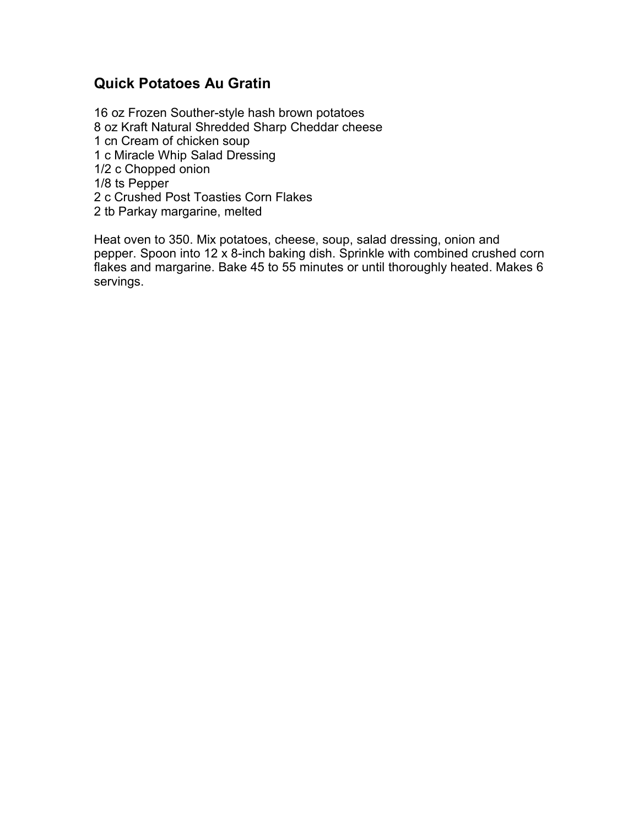# **Quick Potatoes Au Gratin**

16 oz Frozen Souther-style hash brown potatoes oz Kraft Natural Shredded Sharp Cheddar cheese cn Cream of chicken soup c Miracle Whip Salad Dressing 1/2 c Chopped onion 1/8 ts Pepper c Crushed Post Toasties Corn Flakes tb Parkay margarine, melted

Heat oven to 350. Mix potatoes, cheese, soup, salad dressing, onion and pepper. Spoon into 12 x 8-inch baking dish. Sprinkle with combined crushed corn flakes and margarine. Bake 45 to 55 minutes or until thoroughly heated. Makes 6 servings.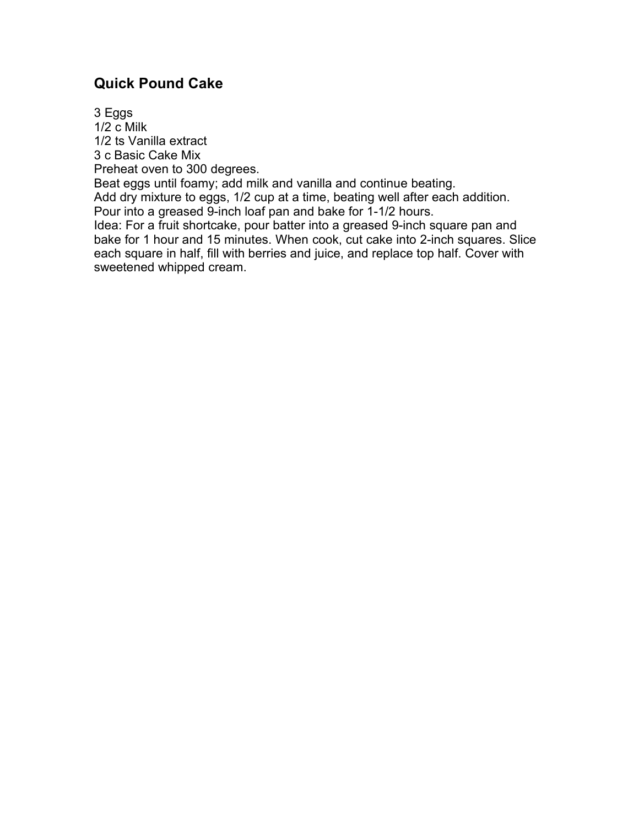#### **Quick Pound Cake**

3 Eggs 1/2 c Milk 1/2 ts Vanilla extract 3 c Basic Cake Mix Preheat oven to 300 degrees. Beat eggs until foamy; add milk and vanilla and continue beating. Add dry mixture to eggs, 1/2 cup at a time, beating well after each addition. Pour into a greased 9-inch loaf pan and bake for 1-1/2 hours. Idea: For a fruit shortcake, pour batter into a greased 9-inch square pan and bake for 1 hour and 15 minutes. When cook, cut cake into 2-inch squares. Slice each square in half, fill with berries and juice, and replace top half. Cover with sweetened whipped cream.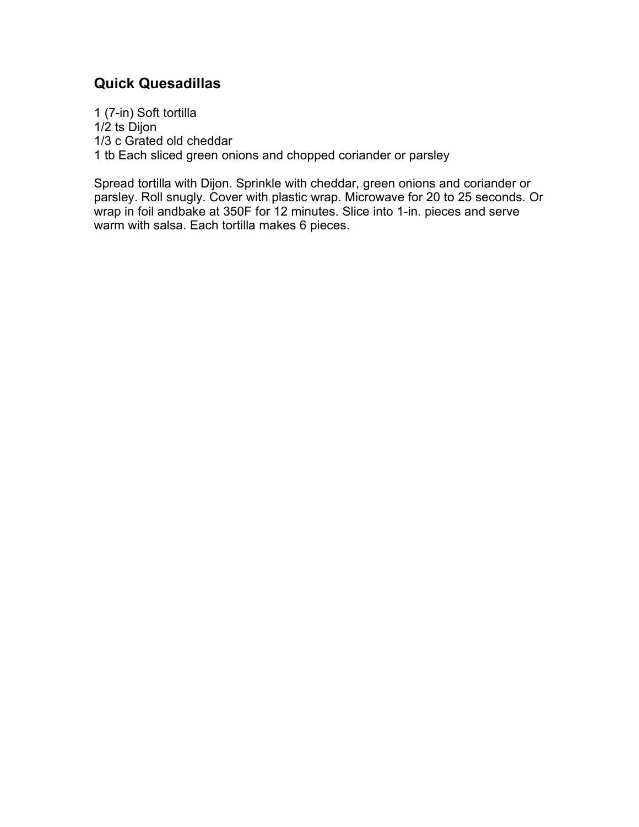# **Quick Quesadillas**

1 (7-in) Soft tortilla 1/2 ts Dijon 1/3 c Grated old cheddar 1 tb Each sliced green onions and chopped coriander or parsley

Spread tortilla with Dijon. Sprinkle with cheddar, green onions and coriander or parsley. Roll snugly. Cover with plastic wrap. Microwave for 20 to 25 seconds. Or wrap in foil andbake at 350F for 12 minutes. Slice into 1-in. pieces and serve warm with salsa. Each tortilla makes 6 pieces.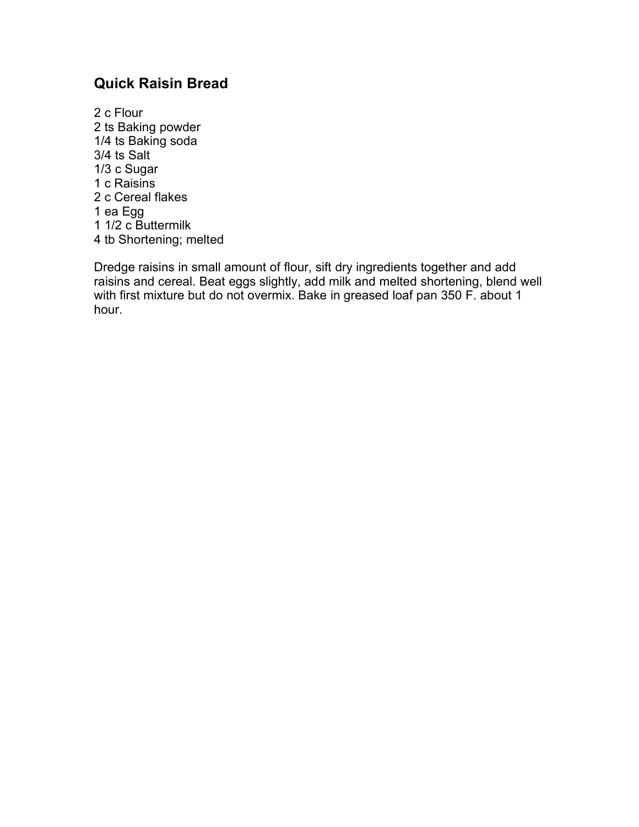# **Quick Raisin Bread**

2 c Flour 2 ts Baking powder 1/4 ts Baking soda 3/4 ts Salt 1/3 c Sugar 1 c Raisins 2 c Cereal flakes 1 ea Egg 1 1/2 c Buttermilk 4 tb Shortening; melted

Dredge raisins in small amount of flour, sift dry ingredients together and add raisins and cereal. Beat eggs slightly, add milk and melted shortening, blend well with first mixture but do not overmix. Bake in greased loaf pan 350 F. about 1 hour.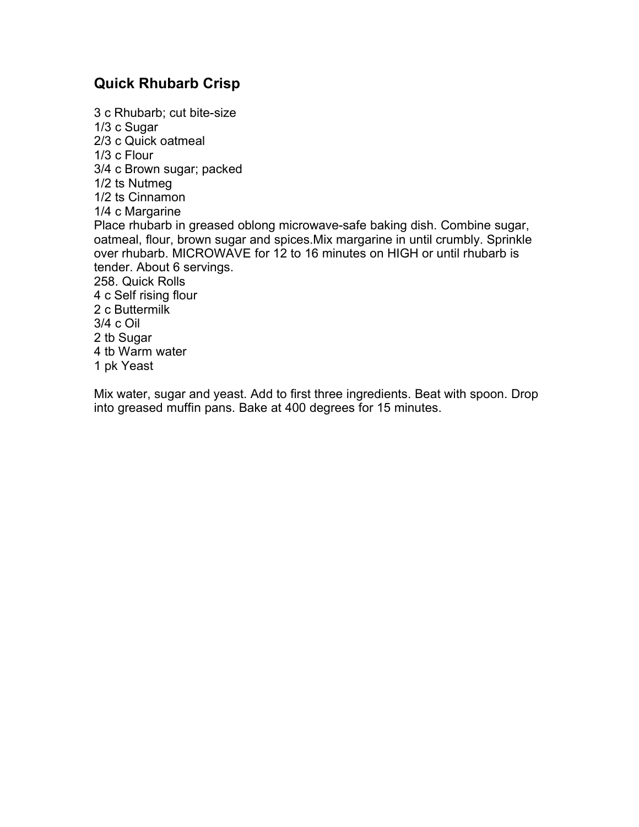# **Quick Rhubarb Crisp**

3 c Rhubarb; cut bite-size 1/3 c Sugar 2/3 c Quick oatmeal 1/3 c Flour 3/4 c Brown sugar; packed 1/2 ts Nutmeg 1/2 ts Cinnamon 1/4 c Margarine Place rhubarb in greased oblong microwave-safe baking dish. Combine sugar, oatmeal, flour, brown sugar and spices.Mix margarine in until crumbly. Sprinkle over rhubarb. MICROWAVE for 12 to 16 minutes on HIGH or until rhubarb is tender. About 6 servings. 258. Quick Rolls 4 c Self rising flour 2 c Buttermilk 3/4 c Oil 2 tb Sugar 4 tb Warm water 1 pk Yeast

Mix water, sugar and yeast. Add to first three ingredients. Beat with spoon. Drop into greased muffin pans. Bake at 400 degrees for 15 minutes.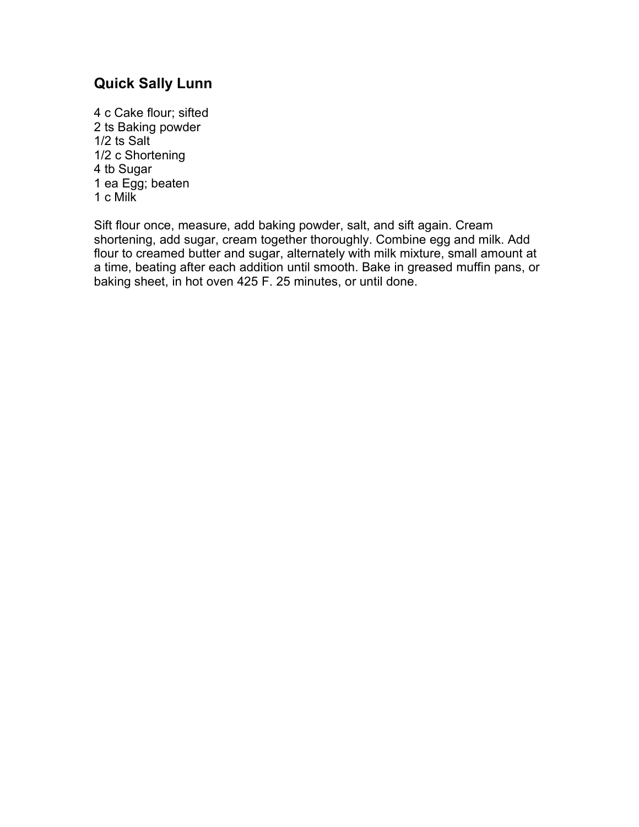# **Quick Sally Lunn**

4 c Cake flour; sifted 2 ts Baking powder 1/2 ts Salt 1/2 c Shortening 4 tb Sugar 1 ea Egg; beaten 1 c Milk

Sift flour once, measure, add baking powder, salt, and sift again. Cream shortening, add sugar, cream together thoroughly. Combine egg and milk. Add flour to creamed butter and sugar, alternately with milk mixture, small amount at a time, beating after each addition until smooth. Bake in greased muffin pans, or baking sheet, in hot oven 425 F. 25 minutes, or until done.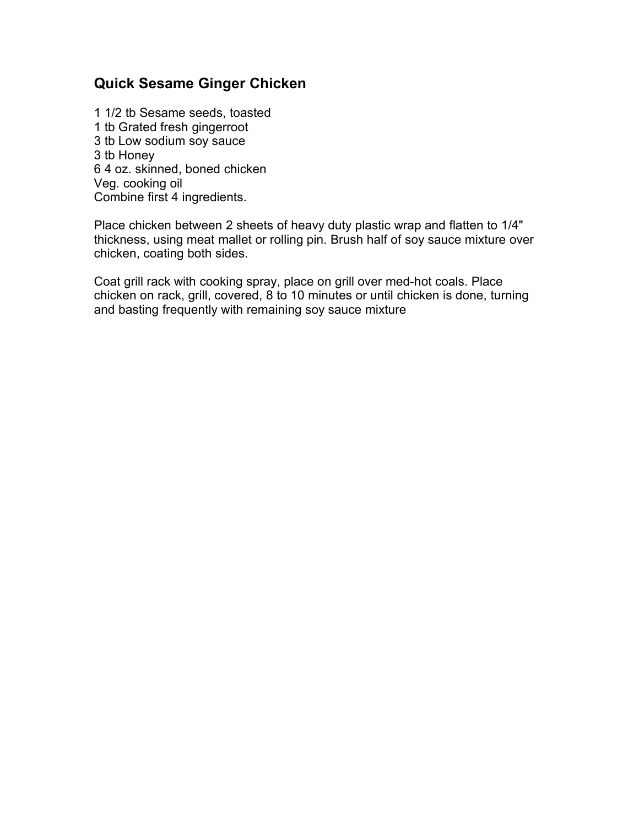#### **Quick Sesame Ginger Chicken**

1 1/2 tb Sesame seeds, toasted 1 tb Grated fresh gingerroot 3 tb Low sodium soy sauce 3 tb Honey 6 4 oz. skinned, boned chicken Veg. cooking oil Combine first 4 ingredients.

Place chicken between 2 sheets of heavy duty plastic wrap and flatten to 1/4" thickness, using meat mallet or rolling pin. Brush half of soy sauce mixture over chicken, coating both sides.

Coat grill rack with cooking spray, place on grill over med-hot coals. Place chicken on rack, grill, covered, 8 to 10 minutes or until chicken is done, turning and basting frequently with remaining soy sauce mixture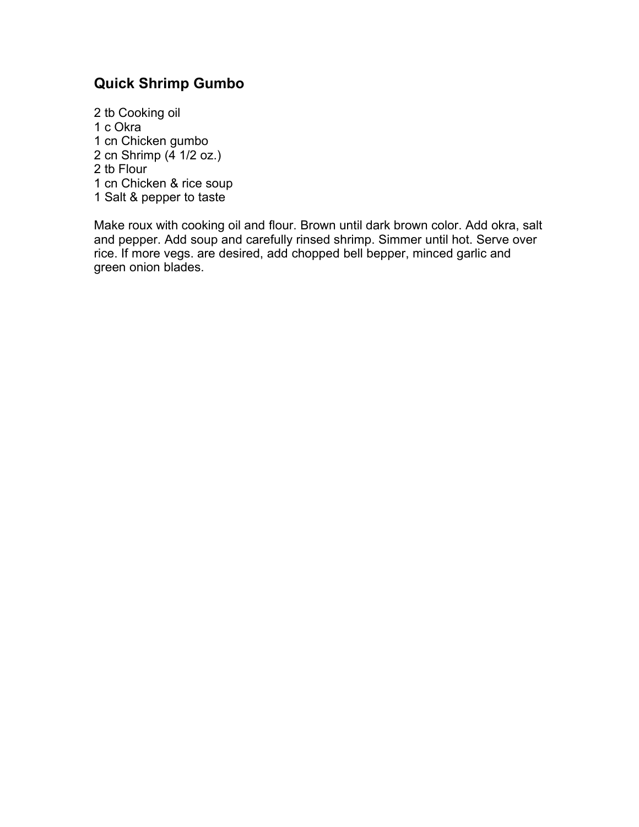# **Quick Shrimp Gumbo**

 tb Cooking oil 1 c Okra cn Chicken gumbo cn Shrimp (4 1/2 oz.) 2 tb Flour cn Chicken & rice soup Salt & pepper to taste

Make roux with cooking oil and flour. Brown until dark brown color. Add okra, salt and pepper. Add soup and carefully rinsed shrimp. Simmer until hot. Serve over rice. If more vegs. are desired, add chopped bell bepper, minced garlic and green onion blades.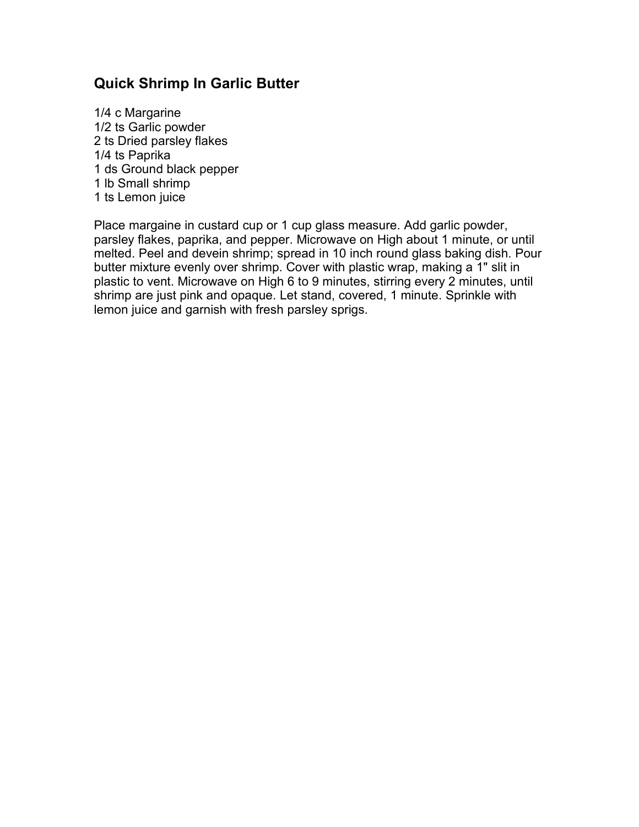#### **Quick Shrimp In Garlic Butter**

1/4 c Margarine 1/2 ts Garlic powder 2 ts Dried parsley flakes 1/4 ts Paprika 1 ds Ground black pepper 1 lb Small shrimp 1 ts Lemon juice

Place margaine in custard cup or 1 cup glass measure. Add garlic powder, parsley flakes, paprika, and pepper. Microwave on High about 1 minute, or until melted. Peel and devein shrimp; spread in 10 inch round glass baking dish. Pour butter mixture evenly over shrimp. Cover with plastic wrap, making a 1" slit in plastic to vent. Microwave on High 6 to 9 minutes, stirring every 2 minutes, until shrimp are just pink and opaque. Let stand, covered, 1 minute. Sprinkle with lemon juice and garnish with fresh parsley sprigs.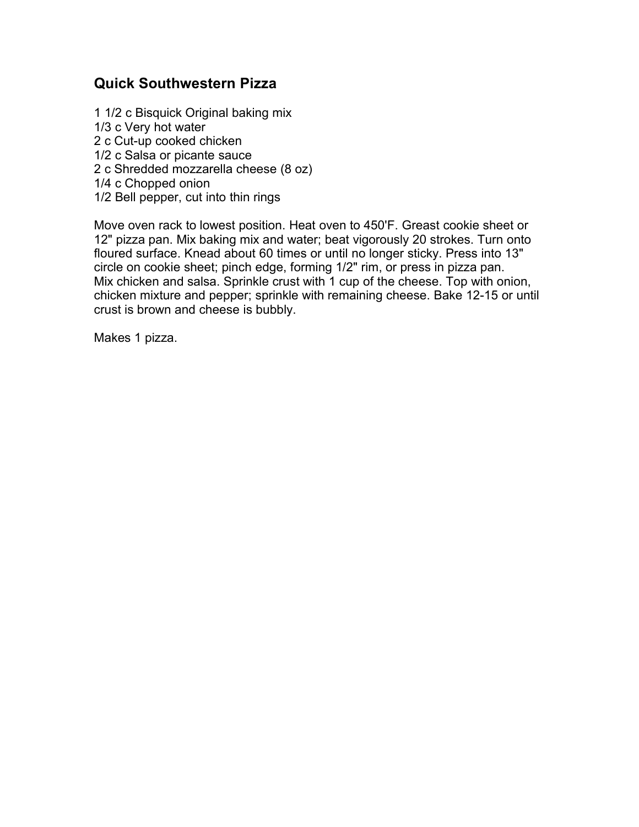#### **Quick Southwestern Pizza**

1 1/2 c Bisquick Original baking mix 1/3 c Very hot water 2 c Cut-up cooked chicken 1/2 c Salsa or picante sauce 2 c Shredded mozzarella cheese (8 oz) 1/4 c Chopped onion 1/2 Bell pepper, cut into thin rings

Move oven rack to lowest position. Heat oven to 450'F. Greast cookie sheet or 12" pizza pan. Mix baking mix and water; beat vigorously 20 strokes. Turn onto floured surface. Knead about 60 times or until no longer sticky. Press into 13" circle on cookie sheet; pinch edge, forming 1/2" rim, or press in pizza pan. Mix chicken and salsa. Sprinkle crust with 1 cup of the cheese. Top with onion, chicken mixture and pepper; sprinkle with remaining cheese. Bake 12-15 or until crust is brown and cheese is bubbly.

Makes 1 pizza.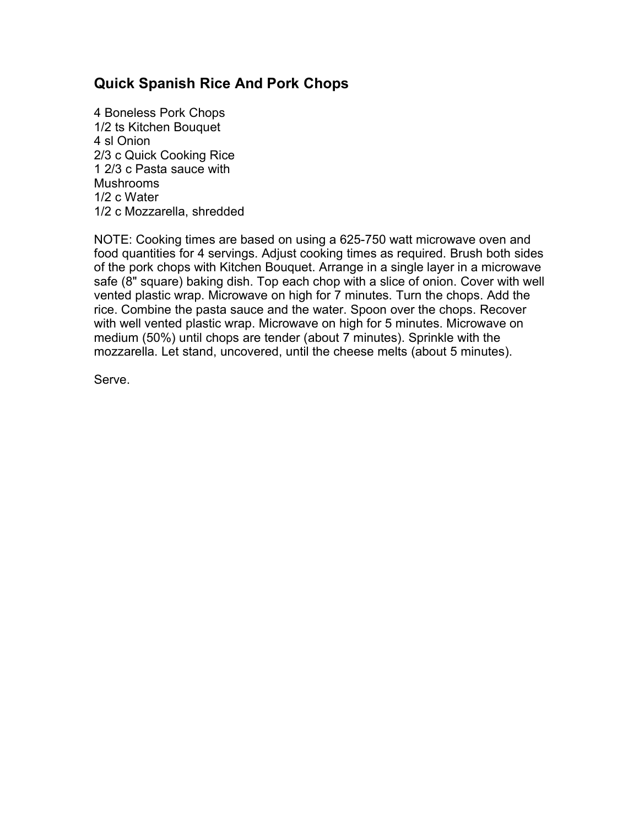# **Quick Spanish Rice And Pork Chops**

4 Boneless Pork Chops 1/2 ts Kitchen Bouquet 4 sl Onion 2/3 c Quick Cooking Rice 1 2/3 c Pasta sauce with Mushrooms 1/2 c Water 1/2 c Mozzarella, shredded

NOTE: Cooking times are based on using a 625-750 watt microwave oven and food quantities for 4 servings. Adjust cooking times as required. Brush both sides of the pork chops with Kitchen Bouquet. Arrange in a single layer in a microwave safe (8" square) baking dish. Top each chop with a slice of onion. Cover with well vented plastic wrap. Microwave on high for 7 minutes. Turn the chops. Add the rice. Combine the pasta sauce and the water. Spoon over the chops. Recover with well vented plastic wrap. Microwave on high for 5 minutes. Microwave on medium (50%) until chops are tender (about 7 minutes). Sprinkle with the mozzarella. Let stand, uncovered, until the cheese melts (about 5 minutes).

Serve.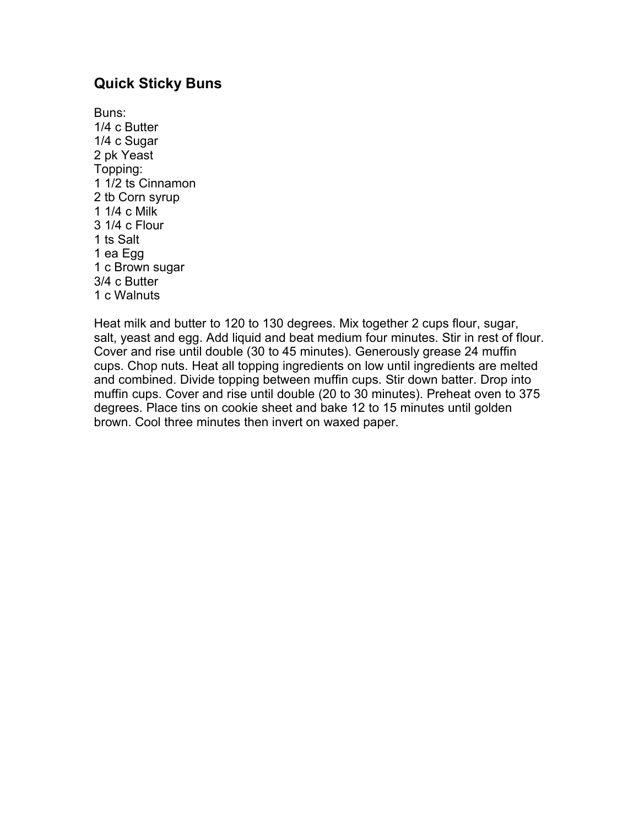#### **Quick Sticky Buns**

Buns: 1/4 c Butter 1/4 c Sugar 2 pk Yeast Topping: 1 1/2 ts Cinnamon 2 tb Corn syrup 1 1/4 c Milk 3 1/4 c Flour 1 ts Salt 1 ea Egg 1 c Brown sugar 3/4 c Butter 1 c Walnuts

Heat milk and butter to 120 to 130 degrees. Mix together 2 cups flour, sugar, salt, yeast and egg. Add liquid and beat medium four minutes. Stir in rest of flour. Cover and rise until double (30 to 45 minutes). Generously grease 24 muffin cups. Chop nuts. Heat all topping ingredients on low until ingredients are melted and combined. Divide topping between muffin cups. Stir down batter. Drop into muffin cups. Cover and rise until double (20 to 30 minutes). Preheat oven to 375 degrees. Place tins on cookie sheet and bake 12 to 15 minutes until golden brown. Cool three minutes then invert on waxed paper.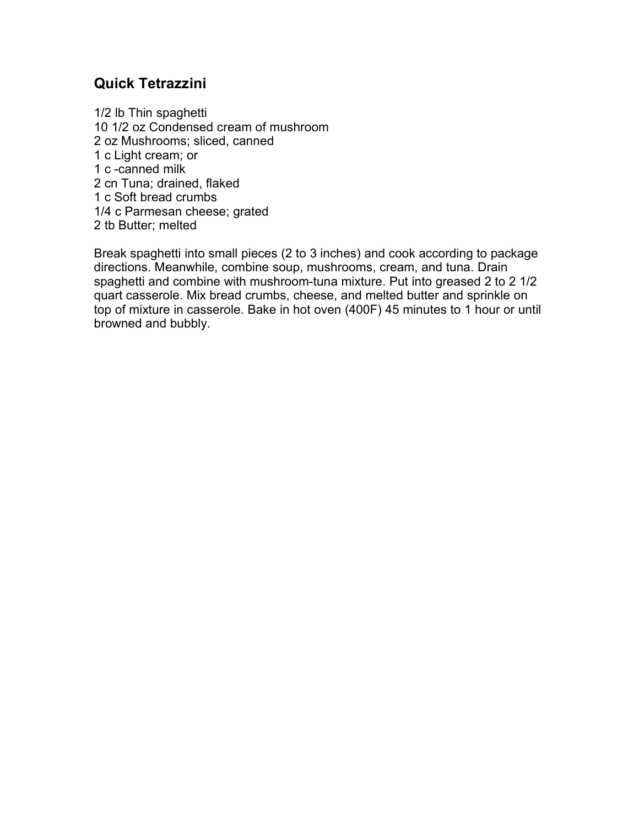## **Quick Tetrazzini**

1/2 lb Thin spaghetti 10 1/2 oz Condensed cream of mushroom oz Mushrooms; sliced, canned c Light cream; or c -canned milk cn Tuna; drained, flaked c Soft bread crumbs 1/4 c Parmesan cheese; grated tb Butter; melted

Break spaghetti into small pieces (2 to 3 inches) and cook according to package directions. Meanwhile, combine soup, mushrooms, cream, and tuna. Drain spaghetti and combine with mushroom-tuna mixture. Put into greased 2 to 2 1/2 quart casserole. Mix bread crumbs, cheese, and melted butter and sprinkle on top of mixture in casserole. Bake in hot oven (400F) 45 minutes to 1 hour or until browned and bubbly.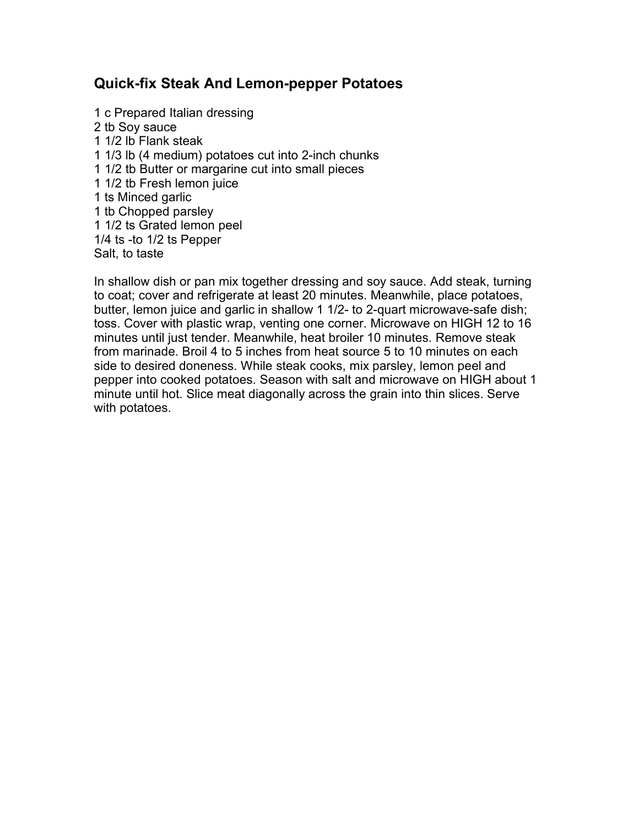#### **Quick-fix Steak And Lemon-pepper Potatoes**

 c Prepared Italian dressing tb Soy sauce 1/2 lb Flank steak 1/3 lb (4 medium) potatoes cut into 2-inch chunks 1/2 tb Butter or margarine cut into small pieces 1/2 tb Fresh lemon juice ts Minced garlic tb Chopped parsley 1/2 ts Grated lemon peel 1/4 ts -to 1/2 ts Pepper Salt, to taste

In shallow dish or pan mix together dressing and soy sauce. Add steak, turning to coat; cover and refrigerate at least 20 minutes. Meanwhile, place potatoes, butter, lemon juice and garlic in shallow 1 1/2- to 2-quart microwave-safe dish; toss. Cover with plastic wrap, venting one corner. Microwave on HIGH 12 to 16 minutes until just tender. Meanwhile, heat broiler 10 minutes. Remove steak from marinade. Broil 4 to 5 inches from heat source 5 to 10 minutes on each side to desired doneness. While steak cooks, mix parsley, lemon peel and pepper into cooked potatoes. Season with salt and microwave on HIGH about 1 minute until hot. Slice meat diagonally across the grain into thin slices. Serve with potatoes.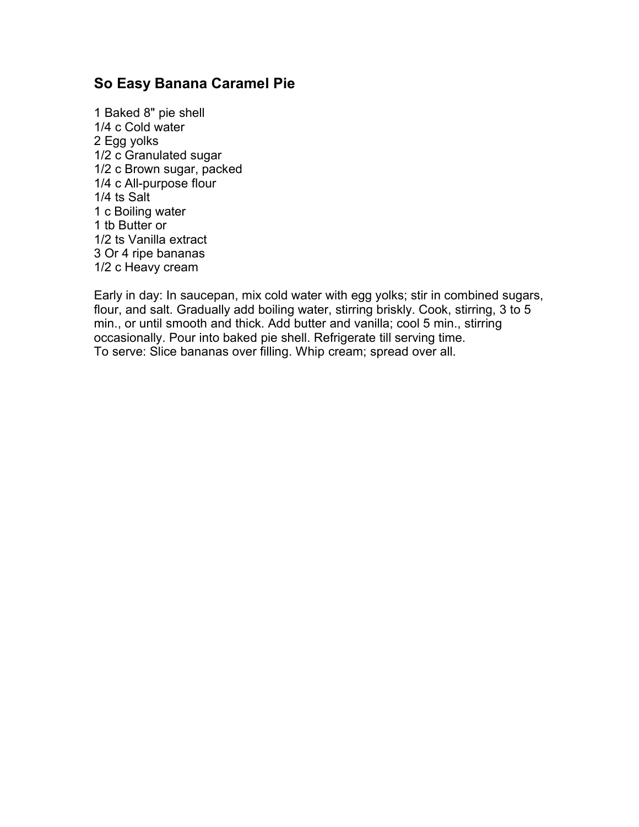#### **So Easy Banana Caramel Pie**

1 Baked 8" pie shell 1/4 c Cold water 2 Egg yolks 1/2 c Granulated sugar 1/2 c Brown sugar, packed 1/4 c All-purpose flour 1/4 ts Salt 1 c Boiling water 1 tb Butter or 1/2 ts Vanilla extract 3 Or 4 ripe bananas 1/2 c Heavy cream

Early in day: In saucepan, mix cold water with egg yolks; stir in combined sugars, flour, and salt. Gradually add boiling water, stirring briskly. Cook, stirring, 3 to 5 min., or until smooth and thick. Add butter and vanilla; cool 5 min., stirring occasionally. Pour into baked pie shell. Refrigerate till serving time. To serve: Slice bananas over filling. Whip cream; spread over all.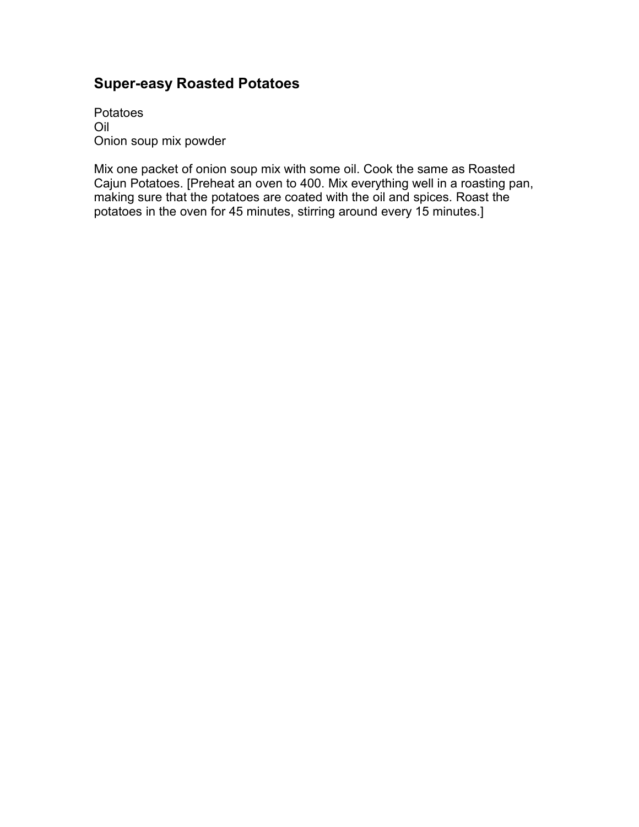## **Super-easy Roasted Potatoes**

Potatoes Oil Onion soup mix powder

Mix one packet of onion soup mix with some oil. Cook the same as Roasted Cajun Potatoes. [Preheat an oven to 400. Mix everything well in a roasting pan, making sure that the potatoes are coated with the oil and spices. Roast the potatoes in the oven for 45 minutes, stirring around every 15 minutes.]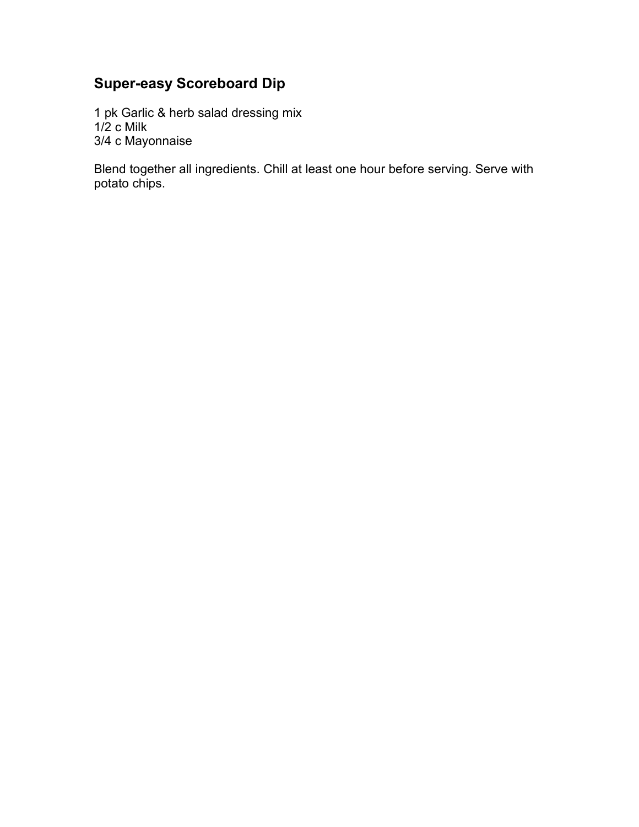# **Super-easy Scoreboard Dip**

1 pk Garlic & herb salad dressing mix  $1/2$  c Milk 3/4 c Mayonnaise

Blend together all ingredients. Chill at least one hour before serving. Serve with potato chips.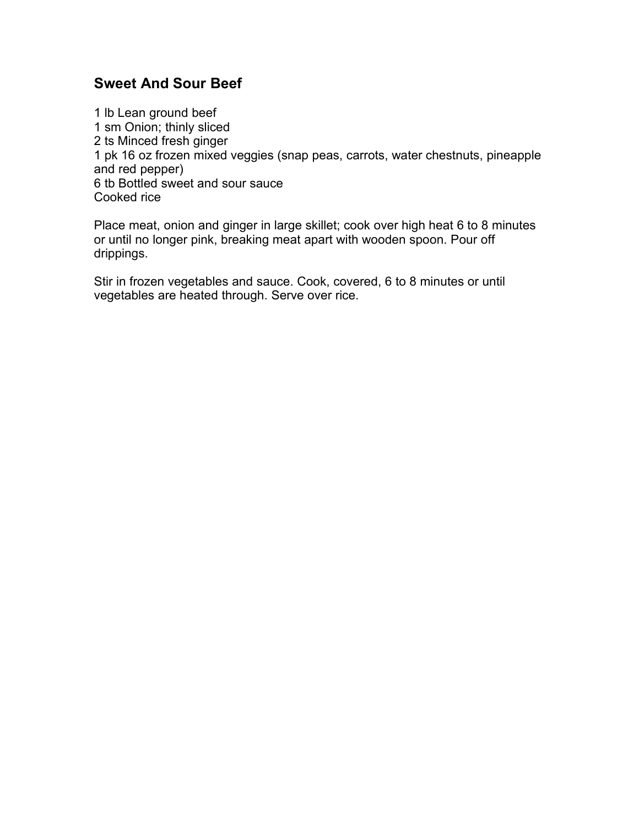### **Sweet And Sour Beef**

 lb Lean ground beef sm Onion; thinly sliced ts Minced fresh ginger pk 16 oz frozen mixed veggies (snap peas, carrots, water chestnuts, pineapple and red pepper) tb Bottled sweet and sour sauce Cooked rice

Place meat, onion and ginger in large skillet; cook over high heat 6 to 8 minutes or until no longer pink, breaking meat apart with wooden spoon. Pour off drippings.

Stir in frozen vegetables and sauce. Cook, covered, 6 to 8 minutes or until vegetables are heated through. Serve over rice.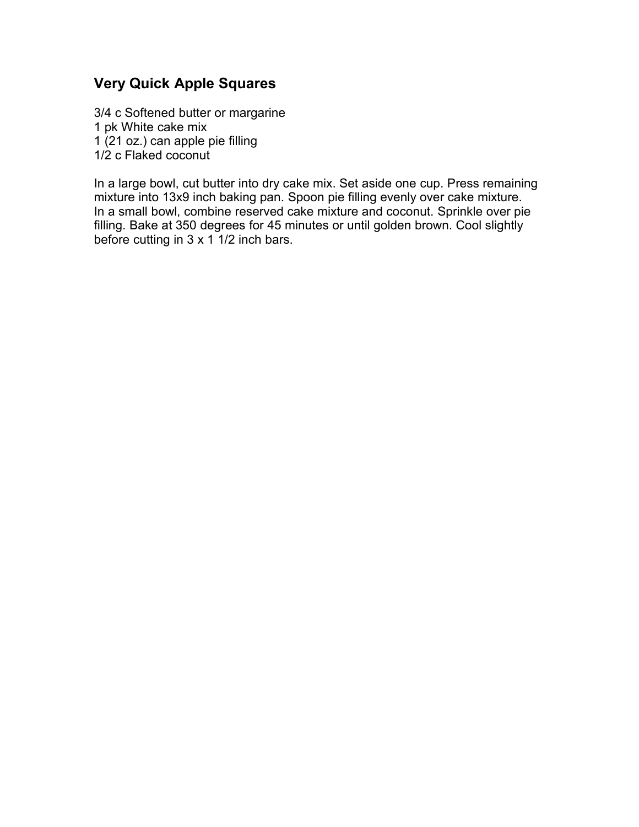## **Very Quick Apple Squares**

3/4 c Softened butter or margarine 1 pk White cake mix 1 (21 oz.) can apple pie filling 1/2 c Flaked coconut

In a large bowl, cut butter into dry cake mix. Set aside one cup. Press remaining mixture into 13x9 inch baking pan. Spoon pie filling evenly over cake mixture. In a small bowl, combine reserved cake mixture and coconut. Sprinkle over pie filling. Bake at 350 degrees for 45 minutes or until golden brown. Cool slightly before cutting in 3 x 1 1/2 inch bars.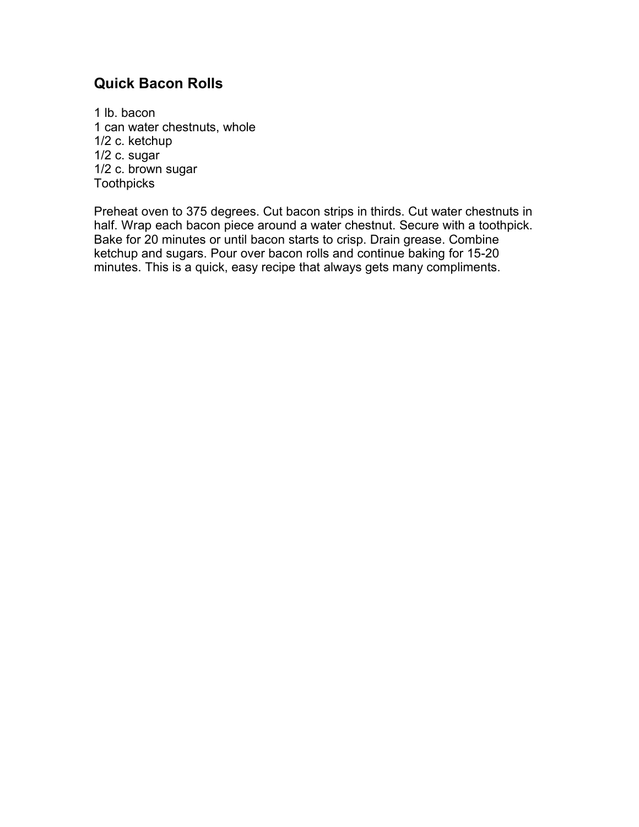## **Quick Bacon Rolls**

1 lb. bacon 1 can water chestnuts, whole 1/2 c. ketchup 1/2 c. sugar 1/2 c. brown sugar **Toothpicks** 

Preheat oven to 375 degrees. Cut bacon strips in thirds. Cut water chestnuts in half. Wrap each bacon piece around a water chestnut. Secure with a toothpick. Bake for 20 minutes or until bacon starts to crisp. Drain grease. Combine ketchup and sugars. Pour over bacon rolls and continue baking for 15-20 minutes. This is a quick, easy recipe that always gets many compliments.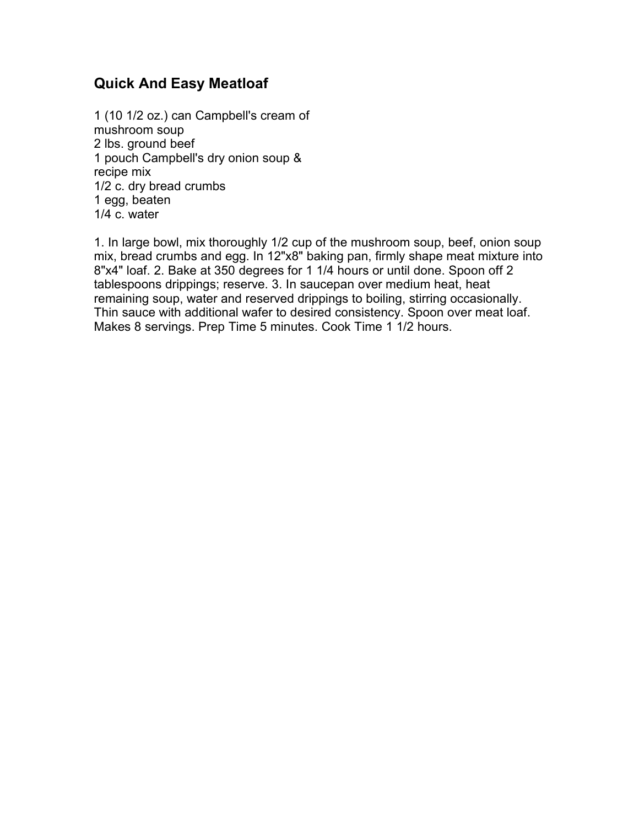## **Quick And Easy Meatloaf**

1 (10 1/2 oz.) can Campbell's cream of mushroom soup 2 lbs. ground beef 1 pouch Campbell's dry onion soup & recipe mix 1/2 c. dry bread crumbs 1 egg, beaten 1/4 c. water

1. In large bowl, mix thoroughly 1/2 cup of the mushroom soup, beef, onion soup mix, bread crumbs and egg. In 12"x8" baking pan, firmly shape meat mixture into 8"x4" loaf. 2. Bake at 350 degrees for 1 1/4 hours or until done. Spoon off 2 tablespoons drippings; reserve. 3. In saucepan over medium heat, heat remaining soup, water and reserved drippings to boiling, stirring occasionally. Thin sauce with additional wafer to desired consistency. Spoon over meat loaf. Makes 8 servings. Prep Time 5 minutes. Cook Time 1 1/2 hours.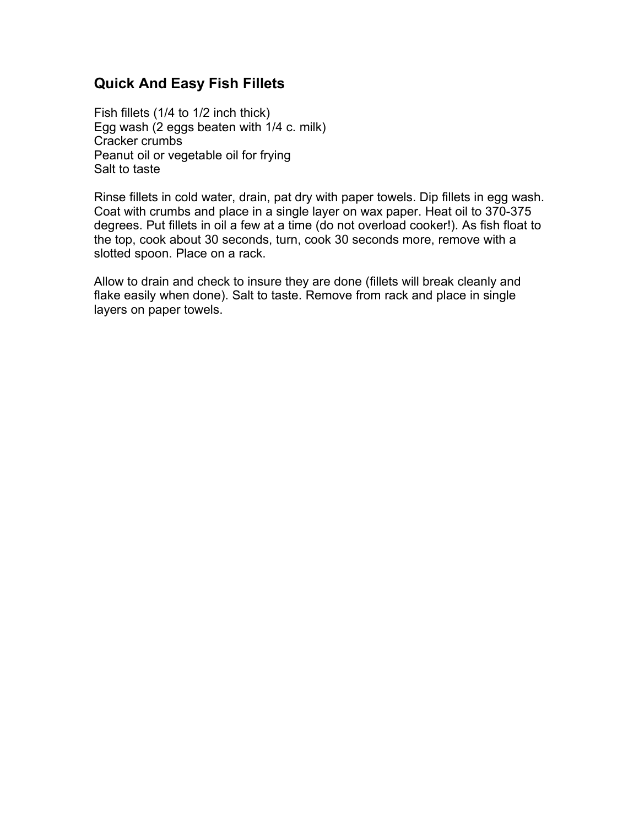#### **Quick And Easy Fish Fillets**

Fish fillets (1/4 to 1/2 inch thick) Egg wash (2 eggs beaten with 1/4 c. milk) Cracker crumbs Peanut oil or vegetable oil for frying Salt to taste

Rinse fillets in cold water, drain, pat dry with paper towels. Dip fillets in egg wash. Coat with crumbs and place in a single layer on wax paper. Heat oil to 370-375 degrees. Put fillets in oil a few at a time (do not overload cooker!). As fish float to the top, cook about 30 seconds, turn, cook 30 seconds more, remove with a slotted spoon. Place on a rack.

Allow to drain and check to insure they are done (fillets will break cleanly and flake easily when done). Salt to taste. Remove from rack and place in single layers on paper towels.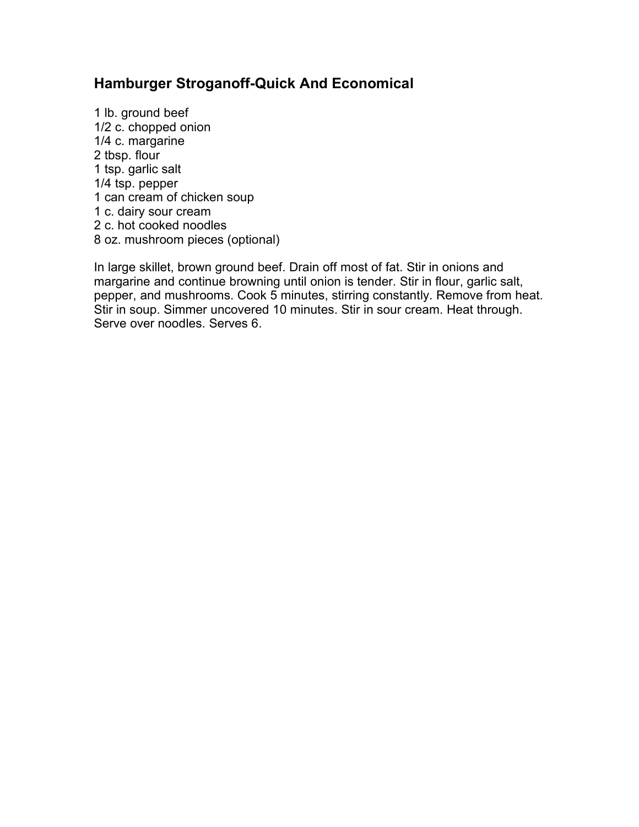#### **Hamburger Stroganoff-Quick And Economical**

 lb. ground beef 1/2 c. chopped onion 1/4 c. margarine tbsp. flour tsp. garlic salt 1/4 tsp. pepper can cream of chicken soup c. dairy sour cream c. hot cooked noodles oz. mushroom pieces (optional)

In large skillet, brown ground beef. Drain off most of fat. Stir in onions and margarine and continue browning until onion is tender. Stir in flour, garlic salt, pepper, and mushrooms. Cook 5 minutes, stirring constantly. Remove from heat. Stir in soup. Simmer uncovered 10 minutes. Stir in sour cream. Heat through. Serve over noodles. Serves 6.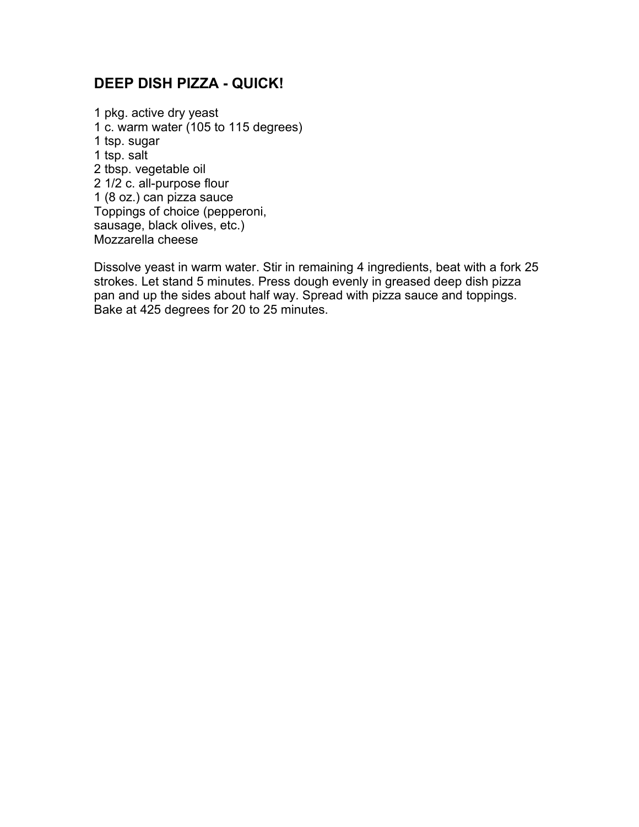## **DEEP DISH PIZZA - QUICK!**

 pkg. active dry yeast c. warm water (105 to 115 degrees) tsp. sugar tsp. salt tbsp. vegetable oil 1/2 c. all-purpose flour (8 oz.) can pizza sauce Toppings of choice (pepperoni, sausage, black olives, etc.) Mozzarella cheese

Dissolve yeast in warm water. Stir in remaining 4 ingredients, beat with a fork 25 strokes. Let stand 5 minutes. Press dough evenly in greased deep dish pizza pan and up the sides about half way. Spread with pizza sauce and toppings. Bake at 425 degrees for 20 to 25 minutes.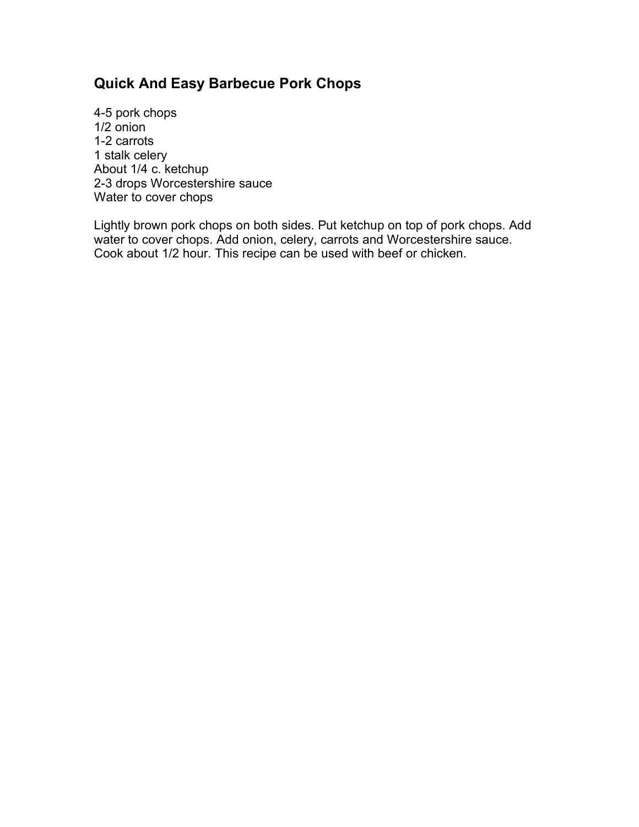## **Quick And Easy Barbecue Pork Chops**

4-5 pork chops 1/2 onion 1-2 carrots 1 stalk celery About 1/4 c. ketchup 2-3 drops Worcestershire sauce Water to cover chops

Lightly brown pork chops on both sides. Put ketchup on top of pork chops. Add water to cover chops. Add onion, celery, carrots and Worcestershire sauce. Cook about 1/2 hour. This recipe can be used with beef or chicken.